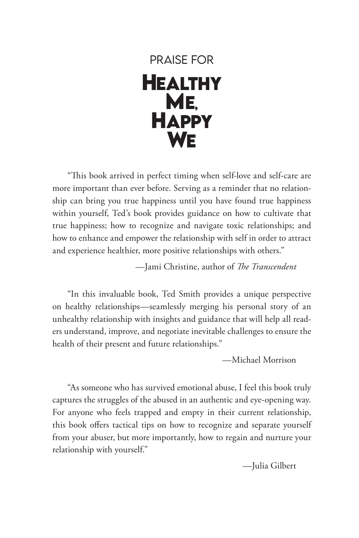# Praise for **Healthy Me, Happy We**

"This book arrived in perfect timing when self-love and self-care are more important than ever before. Serving as a reminder that no relationship can bring you true happiness until you have found true happiness within yourself, Ted's book provides guidance on how to cultivate that true happiness; how to recognize and navigate toxic relationships; and how to enhance and empower the relationship with self in order to attract and experience healthier, more positive relationships with others."

—Jami Christine, author of *The Transcendent*

"In this invaluable book, Ted Smith provides a unique perspective on healthy relationships—seamlessly merging his personal story of an unhealthy relationship with insights and guidance that will help all readers understand, improve, and negotiate inevitable challenges to ensure the health of their present and future relationships."

—Michael Morrison

"As someone who has survived emotional abuse, I feel this book truly captures the struggles of the abused in an authentic and eye-opening way. For anyone who feels trapped and empty in their current relationship, this book offers tactical tips on how to recognize and separate yourself from your abuser, but more importantly, how to regain and nurture your relationship with yourself."

—Julia Gilbert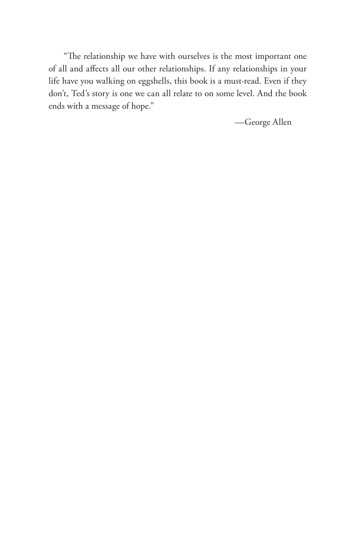"The relationship we have with ourselves is the most important one of all and affects all our other relationships. If any relationships in your life have you walking on eggshells, this book is a must-read. Even if they don't, Ted's story is one we can all relate to on some level. And the book ends with a message of hope."

—George Allen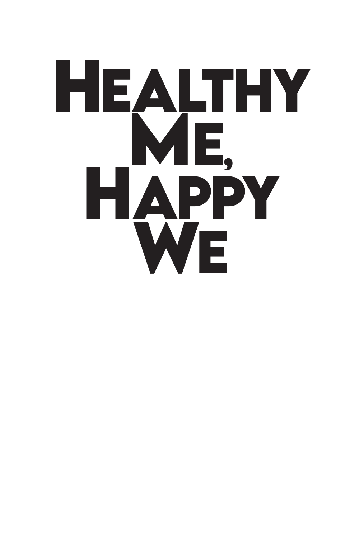# **Healthy Me, Happy We**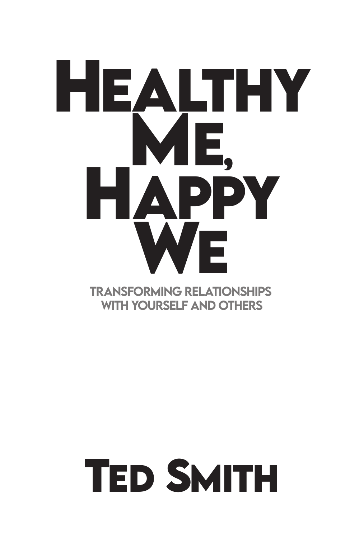# **Healthy Me, Happy We** Transforming Relationships

# with Yourself and Others

# **TED SMITH**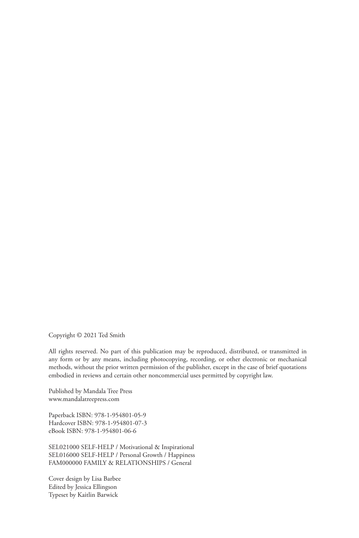Copyright © 2021 Ted Smith

All rights reserved. No part of this publication may be reproduced, distributed, or transmitted in any form or by any means, including photocopying, recording, or other electronic or mechanical methods, without the prior written permission of the publisher, except in the case of brief quotations embodied in reviews and certain other noncommercial uses permitted by copyright law.

Published by Mandala Tree Press www.mandalatreepress.com

Paperback ISBN: 978-1-954801-05-9 Hardcover ISBN: 978-1-954801-07-3 eBook ISBN: 978-1-954801-06-6

SEL021000 SELF-HELP / Motivational & Inspirational SEL016000 SELF-HELP / Personal Growth / Happiness FAM000000 FAMILY & RELATIONSHIPS / General

Cover design by Lisa Barbee Edited by Jessica Ellingson Typeset by Kaitlin Barwick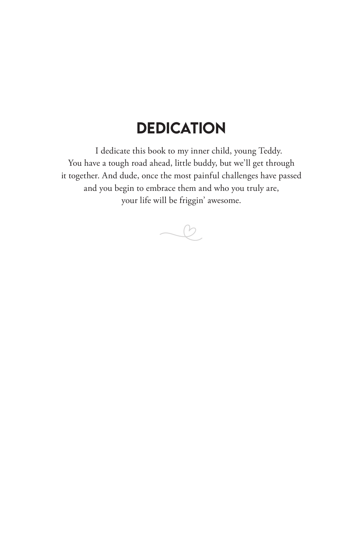# **DEDICATION**

I dedicate this book to my inner child, young Teddy. You have a tough road ahead, little buddy, but we'll get through it together. And dude, once the most painful challenges have passed and you begin to embrace them and who you truly are, your life will be friggin' awesome.

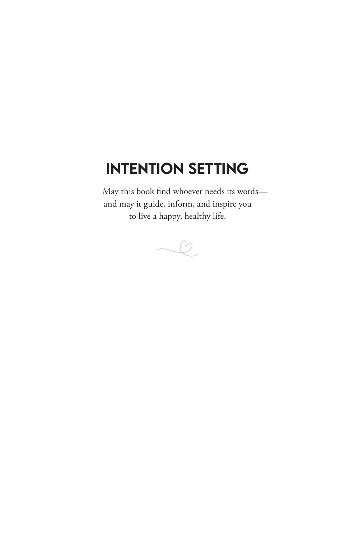# Intention Setting

May this book find whoever needs its words and may it guide, inform, and inspire you to live a happy, healthy life.

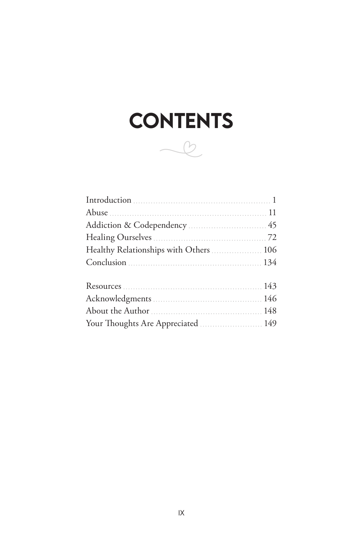# **CONTENTS**



| Healthy Relationships with Others  106 |
|----------------------------------------|
|                                        |
|                                        |
|                                        |
|                                        |
| Your Thoughts Are Appreciated  149     |
|                                        |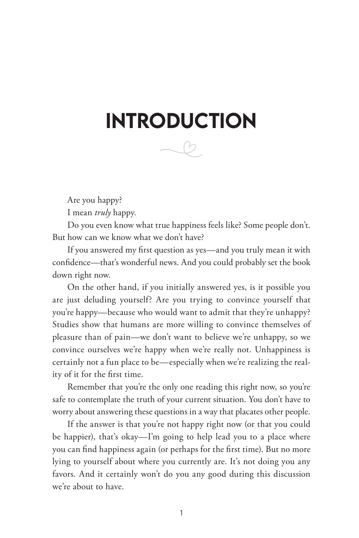# **INTRODUCTION**  $\overline{\mathcal{L}}$



I mean *truly* happy.

Do you even know what true happiness feels like? Some people don't. But how can we know what we don't have?

If you answered my first question as yes—and you truly mean it with confidence—that's wonderful news. And you could probably set the book down right now.

On the other hand, if you initially answered yes, is it possible you are just deluding yourself? Are you trying to convince yourself that you're happy—because who would want to admit that they're unhappy? Studies show that humans are more willing to convince themselves of pleasure than of pain—we don't want to believe we're unhappy, so we convince ourselves we're happy when we're really not. Unhappiness is certainly not a fun place to be—especially when we're realizing the reality of it for the first time.

Remember that you're the only one reading this right now, so you're safe to contemplate the truth of your current situation. You don't have to worry about answering these questions in a way that placates other people.

If the answer is that you're not happy right now (or that you could be happier), that's okay—I'm going to help lead you to a place where you can find happiness again (or perhaps for the first time). But no more lying to yourself about where you currently are. It's not doing you any favors. And it certainly won't do you any good during this discussion we're about to have.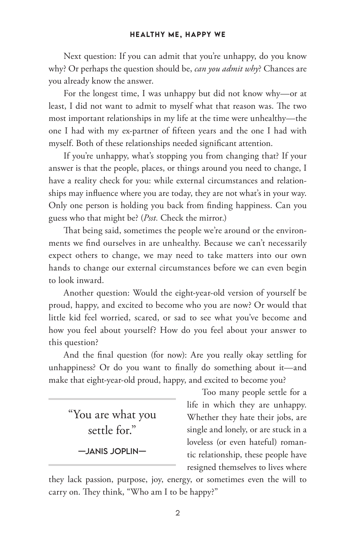Next question: If you can admit that you're unhappy, do you know why? Or perhaps the question should be, *can you admit why*? Chances are you already know the answer.

For the longest time, I was unhappy but did not know why—or at least, I did not want to admit to myself what that reason was. The two most important relationships in my life at the time were unhealthy—the one I had with my ex-partner of fifteen years and the one I had with myself. Both of these relationships needed significant attention.

If you're unhappy, what's stopping you from changing that? If your answer is that the people, places, or things around you need to change, I have a reality check for you: while external circumstances and relationships may influence where you are today, they are not what's in your way. Only one person is holding you back from finding happiness. Can you guess who that might be? (*Psst.* Check the mirror.)

That being said, sometimes the people we're around or the environments we find ourselves in are unhealthy. Because we can't necessarily expect others to change, we may need to take matters into our own hands to change our external circumstances before we can even begin to look inward.

Another question: Would the eight-year-old version of yourself be proud, happy, and excited to become who you are now? Or would that little kid feel worried, scared, or sad to see what you've become and how you feel about yourself? How do you feel about your answer to this question?

And the final question (for now): Are you really okay settling for unhappiness? Or do you want to finally do something about it—and make that eight-year-old proud, happy, and excited to become you?

"You are what you settle for." —Janis Joplin—

Too many people settle for a life in which they are unhappy. Whether they hate their jobs, are single and lonely, or are stuck in a loveless (or even hateful) romantic relationship, these people have resigned themselves to lives where

they lack passion, purpose, joy, energy, or sometimes even the will to carry on. They think, "Who am I to be happy?"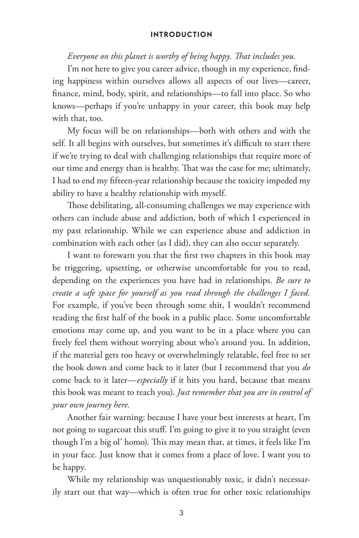#### Introduction

#### *Everyone on this planet is worthy of being happy. That includes you.*

I'm not here to give you career advice, though in my experience, finding happiness within ourselves allows all aspects of our lives—career, finance, mind, body, spirit, and relationships—to fall into place. So who knows—perhaps if you're unhappy in your career, this book may help with that, too.

My focus will be on relationships—both with others and with the self. It all begins with ourselves, but sometimes it's difficult to start there if we're trying to deal with challenging relationships that require more of our time and energy than is healthy. That was the case for me; ultimately, I had to end my fifteen-year relationship because the toxicity impeded my ability to have a healthy relationship with myself.

Those debilitating, all-consuming challenges we may experience with others can include abuse and addiction, both of which I experienced in my past relationship. While we can experience abuse and addiction in combination with each other (as I did), they can also occur separately.

I want to forewarn you that the first two chapters in this book may be triggering, upsetting, or otherwise uncomfortable for you to read, depending on the experiences you have had in relationships. *Be sure to create a safe space for yourself as you read through the challenges I faced.*  For example, if you've been through some shit, I wouldn't recommend reading the first half of the book in a public place. Some uncomfortable emotions may come up, and you want to be in a place where you can freely feel them without worrying about who's around you. In addition, if the material gets too heavy or overwhelmingly relatable, feel free to set the book down and come back to it later (but I recommend that you *do* come back to it later—*especially* if it hits you hard, because that means this book was meant to reach you). *Just remember that you are in control of your own journey here.*

Another fair warning: because I have your best interests at heart, I'm not going to sugarcoat this stuff. I'm going to give it to you straight (even though I'm a big ol' homo). This may mean that, at times, it feels like I'm in your face. Just know that it comes from a place of love. I want you to be happy.

While my relationship was unquestionably toxic, it didn't necessarily start out that way—which is often true for other toxic relationships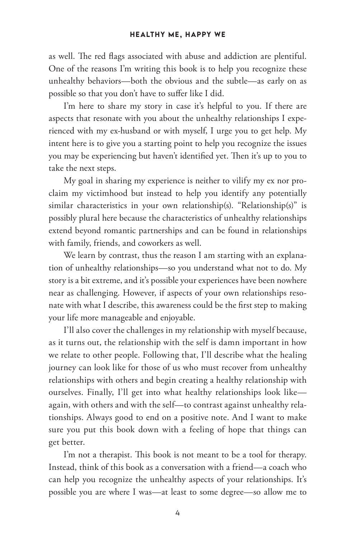as well. The red flags associated with abuse and addiction are plentiful. One of the reasons I'm writing this book is to help you recognize these unhealthy behaviors—both the obvious and the subtle—as early on as possible so that you don't have to suffer like I did.

I'm here to share my story in case it's helpful to you. If there are aspects that resonate with you about the unhealthy relationships I experienced with my ex-husband or with myself, I urge you to get help. My intent here is to give you a starting point to help you recognize the issues you may be experiencing but haven't identified yet. Then it's up to you to take the next steps.

My goal in sharing my experience is neither to vilify my ex nor proclaim my victimhood but instead to help you identify any potentially similar characteristics in your own relationship(s). "Relationship(s)" is possibly plural here because the characteristics of unhealthy relationships extend beyond romantic partnerships and can be found in relationships with family, friends, and coworkers as well.

We learn by contrast, thus the reason I am starting with an explanation of unhealthy relationships—so you understand what not to do. My story is a bit extreme, and it's possible your experiences have been nowhere near as challenging. However, if aspects of your own relationships resonate with what I describe, this awareness could be the first step to making your life more manageable and enjoyable.

I'll also cover the challenges in my relationship with myself because, as it turns out, the relationship with the self is damn important in how we relate to other people. Following that, I'll describe what the healing journey can look like for those of us who must recover from unhealthy relationships with others and begin creating a healthy relationship with ourselves. Finally, I'll get into what healthy relationships look like again, with others and with the self—to contrast against unhealthy relationships. Always good to end on a positive note. And I want to make sure you put this book down with a feeling of hope that things can get better.

I'm not a therapist. This book is not meant to be a tool for therapy. Instead, think of this book as a conversation with a friend—a coach who can help you recognize the unhealthy aspects of your relationships. It's possible you are where I was—at least to some degree—so allow me to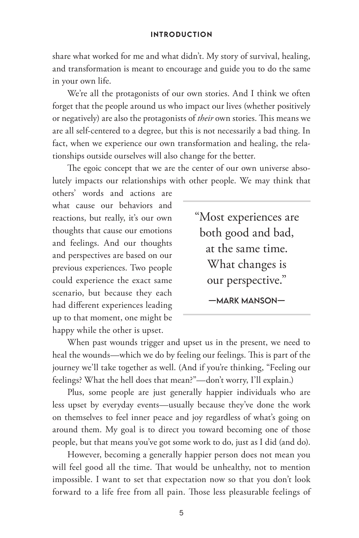#### Introduction

share what worked for me and what didn't. My story of survival, healing, and transformation is meant to encourage and guide you to do the same in your own life.

We're all the protagonists of our own stories. And I think we often forget that the people around us who impact our lives (whether positively or negatively) are also the protagonists of *their* own stories. This means we are all self-centered to a degree, but this is not necessarily a bad thing. In fact, when we experience our own transformation and healing, the relationships outside ourselves will also change for the better.

The egoic concept that we are the center of our own universe absolutely impacts our relationships with other people. We may think that

others' words and actions are what cause our behaviors and reactions, but really, it's our own thoughts that cause our emotions and feelings. And our thoughts and perspectives are based on our previous experiences. Two people could experience the exact same scenario, but because they each had different experiences leading up to that moment, one might be happy while the other is upset.

"Most experiences are both good and bad, at the same time. What changes is our perspective." —Mark Manson—

When past wounds trigger and upset us in the present, we need to heal the wounds—which we do by feeling our feelings. This is part of the journey we'll take together as well. (And if you're thinking, "Feeling our feelings? What the hell does that mean?"—don't worry, I'll explain.)

Plus, some people are just generally happier individuals who are less upset by everyday events—usually because they've done the work on themselves to feel inner peace and joy regardless of what's going on around them. My goal is to direct you toward becoming one of those people, but that means you've got some work to do, just as I did (and do).

However, becoming a generally happier person does not mean you will feel good all the time. That would be unhealthy, not to mention impossible. I want to set that expectation now so that you don't look forward to a life free from all pain. Those less pleasurable feelings of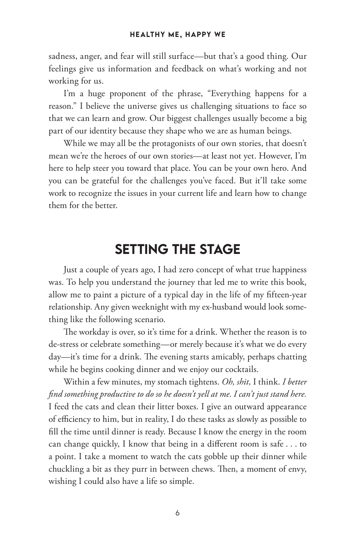sadness, anger, and fear will still surface—but that's a good thing. Our feelings give us information and feedback on what's working and not working for us.

I'm a huge proponent of the phrase, "Everything happens for a reason." I believe the universe gives us challenging situations to face so that we can learn and grow. Our biggest challenges usually become a big part of our identity because they shape who we are as human beings.

While we may all be the protagonists of our own stories, that doesn't mean we're the heroes of our own stories—at least not yet. However, I'm here to help steer you toward that place. You can be your own hero. And you can be grateful for the challenges you've faced. But it'll take some work to recognize the issues in your current life and learn how to change them for the better.

### Setting the Stage

Just a couple of years ago, I had zero concept of what true happiness was. To help you understand the journey that led me to write this book, allow me to paint a picture of a typical day in the life of my fifteen-year relationship. Any given weeknight with my ex-husband would look something like the following scenario.

The workday is over, so it's time for a drink. Whether the reason is to de-stress or celebrate something—or merely because it's what we do every day—it's time for a drink. The evening starts amicably, perhaps chatting while he begins cooking dinner and we enjoy our cocktails.

Within a few minutes, my stomach tightens. *Oh, shit,* I think. *I better find something productive to do so he doesn't yell at me*. *I can't just stand here.* I feed the cats and clean their litter boxes. I give an outward appearance of efficiency to him, but in reality, I do these tasks as slowly as possible to fill the time until dinner is ready. Because I know the energy in the room can change quickly, I know that being in a different room is safe . . . to a point. I take a moment to watch the cats gobble up their dinner while chuckling a bit as they purr in between chews. Then, a moment of envy, wishing I could also have a life so simple.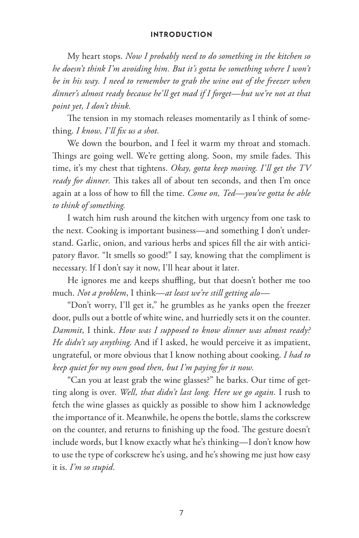#### Introduction

My heart stops. *Now I probably need to do something in the kitchen so he doesn't think I'm avoiding him. But it's gotta be something where I won't be in his way. I need to remember to grab the wine out of the freezer when dinner's almost ready because he'll get mad if I forget—but we're not at that point yet, I don't think.* 

The tension in my stomach releases momentarily as I think of something. *I know, I'll fix us a shot.*

We down the bourbon, and I feel it warm my throat and stomach. Things are going well. We're getting along. Soon, my smile fades. This time, it's my chest that tightens. *Okay, gotta keep moving. I'll get the TV ready for dinner.* This takes all of about ten seconds, and then I'm once again at a loss of how to fill the time. *Come on, Ted—you've gotta be able to think of something.*

I watch him rush around the kitchen with urgency from one task to the next. Cooking is important business—and something I don't understand. Garlic, onion, and various herbs and spices fill the air with anticipatory flavor. "It smells so good!" I say, knowing that the compliment is necessary. If I don't say it now, I'll hear about it later.

He ignores me and keeps shuffling, but that doesn't bother me too much. *Not a problem*, I think—*at least we're still getting alo—*

"Don't worry, I'll get it," he grumbles as he yanks open the freezer door, pulls out a bottle of white wine, and hurriedly sets it on the counter. *Dammit*, I think. *How was I supposed to know dinner was almost ready? He didn't say anything*. And if I asked, he would perceive it as impatient, ungrateful, or more obvious that I know nothing about cooking. *I had to keep quiet for my own good then, but I'm paying for it now.*

"Can you at least grab the wine glasses?" he barks. Our time of getting along is over. *Well, that didn't last long. Here we go again.* I rush to fetch the wine glasses as quickly as possible to show him I acknowledge the importance of it. Meanwhile, he opens the bottle, slams the corkscrew on the counter, and returns to finishing up the food. The gesture doesn't include words, but I know exactly what he's thinking—I don't know how to use the type of corkscrew he's using, and he's showing me just how easy it is. *I'm so stupid.*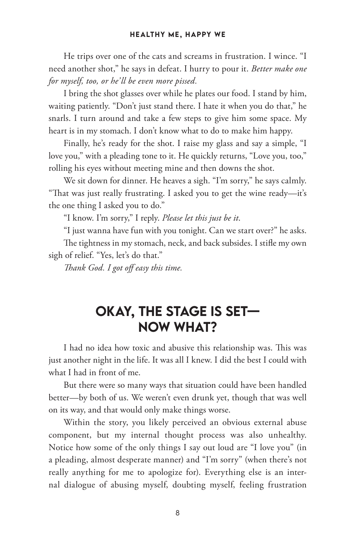He trips over one of the cats and screams in frustration. I wince. "I need another shot," he says in defeat. I hurry to pour it. *Better make one for myself, too, or he'll be even more pissed.*

I bring the shot glasses over while he plates our food. I stand by him, waiting patiently. "Don't just stand there. I hate it when you do that," he snarls. I turn around and take a few steps to give him some space. My heart is in my stomach. I don't know what to do to make him happy.

Finally, he's ready for the shot. I raise my glass and say a simple, "I love you," with a pleading tone to it. He quickly returns, "Love you, too," rolling his eyes without meeting mine and then downs the shot.

We sit down for dinner. He heaves a sigh. "I'm sorry," he says calmly. "That was just really frustrating. I asked you to get the wine ready—it's the one thing I asked you to do."

"I know. I'm sorry," I reply. *Please let this just be it*.

"I just wanna have fun with you tonight. Can we start over?" he asks.

The tightness in my stomach, neck, and back subsides. I stifle my own sigh of relief. "Yes, let's do that."

*Thank God. I got off easy this time.*

## Okay, the Stage Is Set— **NOW WHAT?**

I had no idea how toxic and abusive this relationship was. This was just another night in the life. It was all I knew. I did the best I could with what I had in front of me.

But there were so many ways that situation could have been handled better—by both of us. We weren't even drunk yet, though that was well on its way, and that would only make things worse.

Within the story, you likely perceived an obvious external abuse component, but my internal thought process was also unhealthy. Notice how some of the only things I say out loud are "I love you" (in a pleading, almost desperate manner) and "I'm sorry" (when there's not really anything for me to apologize for). Everything else is an internal dialogue of abusing myself, doubting myself, feeling frustration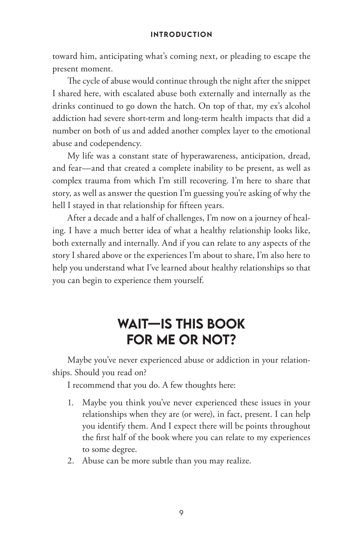#### Introduction

toward him, anticipating what's coming next, or pleading to escape the present moment.

The cycle of abuse would continue through the night after the snippet I shared here, with escalated abuse both externally and internally as the drinks continued to go down the hatch. On top of that, my ex's alcohol addiction had severe short-term and long-term health impacts that did a number on both of us and added another complex layer to the emotional abuse and codependency.

My life was a constant state of hyperawareness, anticipation, dread, and fear—and that created a complete inability to be present, as well as complex trauma from which I'm still recovering. I'm here to share that story, as well as answer the question I'm guessing you're asking of why the hell I stayed in that relationship for fifteen years.

After a decade and a half of challenges, I'm now on a journey of healing. I have a much better idea of what a healthy relationship looks like, both externally and internally. And if you can relate to any aspects of the story I shared above or the experiences I'm about to share, I'm also here to help you understand what I've learned about healthy relationships so that you can begin to experience them yourself.

## Wait—Is This Book FOR ME OR NOT?

Maybe you've never experienced abuse or addiction in your relationships. Should you read on?

I recommend that you do. A few thoughts here:

- 1. Maybe you think you've never experienced these issues in your relationships when they are (or were), in fact, present. I can help you identify them. And I expect there will be points throughout the first half of the book where you can relate to my experiences to some degree.
- 2. Abuse can be more subtle than you may realize.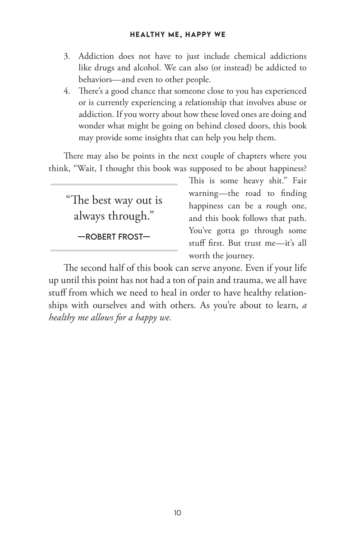- 3. Addiction does not have to just include chemical addictions like drugs and alcohol. We can also (or instead) be addicted to behaviors—and even to other people.
- 4. There's a good chance that someone close to you has experienced or is currently experiencing a relationship that involves abuse or addiction. If you worry about how these loved ones are doing and wonder what might be going on behind closed doors, this book may provide some insights that can help you help them.

There may also be points in the next couple of chapters where you think, "Wait, I thought this book was supposed to be about happiness?

"The best way out is always through." —Robert FrostThis is some heavy shit." Fair warning—the road to finding happiness can be a rough one, and this book follows that path. You've gotta go through some stuff first. But trust me—it's all worth the journey.

The second half of this book can serve anyone. Even if your life up until this point has not had a ton of pain and trauma, we all have stuff from which we need to heal in order to have healthy relationships with ourselves and with others. As you're about to learn, *a healthy me allows for a happy we.*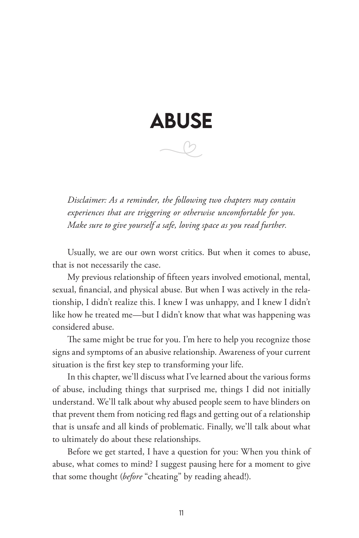# ABUSE  $\overline{\mathcal{L}}$

*Disclaimer: As a reminder, the following two chapters may contain experiences that are triggering or otherwise uncomfortable for you. Make sure to give yourself a safe, loving space as you read further.*

Usually, we are our own worst critics. But when it comes to abuse, that is not necessarily the case.

My previous relationship of fifteen years involved emotional, mental, sexual, financial, and physical abuse. But when I was actively in the relationship, I didn't realize this. I knew I was unhappy, and I knew I didn't like how he treated me—but I didn't know that what was happening was considered abuse.

The same might be true for you. I'm here to help you recognize those signs and symptoms of an abusive relationship. Awareness of your current situation is the first key step to transforming your life.

In this chapter, we'll discuss what I've learned about the various forms of abuse, including things that surprised me, things I did not initially understand. We'll talk about why abused people seem to have blinders on that prevent them from noticing red flags and getting out of a relationship that is unsafe and all kinds of problematic. Finally, we'll talk about what to ultimately do about these relationships.

Before we get started, I have a question for you: When you think of abuse, what comes to mind? I suggest pausing here for a moment to give that some thought (*before* "cheating" by reading ahead!).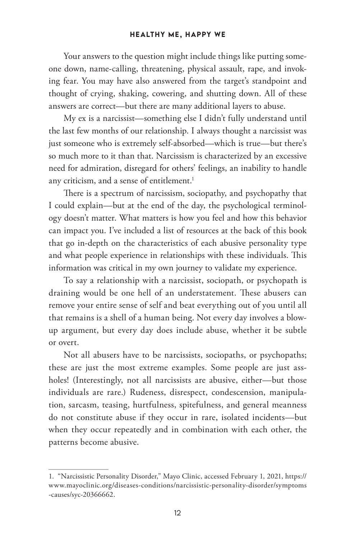#### Healthy Me, Happy We

Your answers to the question might include things like putting someone down, name-calling, threatening, physical assault, rape, and invoking fear. You may have also answered from the target's standpoint and thought of crying, shaking, cowering, and shutting down. All of these answers are correct—but there are many additional layers to abuse.

My ex is a narcissist—something else I didn't fully understand until the last few months of our relationship. I always thought a narcissist was just someone who is extremely self-absorbed—which is true—but there's so much more to it than that. Narcissism is characterized by an excessive need for admiration, disregard for others' feelings, an inability to handle any criticism, and a sense of entitlement.<sup>1</sup>

There is a spectrum of narcissism, sociopathy, and psychopathy that I could explain—but at the end of the day, the psychological terminology doesn't matter. What matters is how you feel and how this behavior can impact you. I've included a list of resources at the back of this book that go in-depth on the characteristics of each abusive personality type and what people experience in relationships with these individuals. This information was critical in my own journey to validate my experience.

To say a relationship with a narcissist, sociopath, or psychopath is draining would be one hell of an understatement. These abusers can remove your entire sense of self and beat everything out of you until all that remains is a shell of a human being. Not every day involves a blowup argument, but every day does include abuse, whether it be subtle or overt.

Not all abusers have to be narcissists, sociopaths, or psychopaths; these are just the most extreme examples. Some people are just assholes! (Interestingly, not all narcissists are abusive, either—but those individuals are rare.) Rudeness, disrespect, condescension, manipulation, sarcasm, teasing, hurtfulness, spitefulness, and general meanness do not constitute abuse if they occur in rare, isolated incidents—but when they occur repeatedly and in combination with each other, the patterns become abusive.

<sup>1.</sup> "Narcissistic Personality Disorder," Mayo Clinic, accessed February 1, 2021, https:// www.mayoclinic.org/diseases-conditions/narcissistic-personality-disorder/symptoms -causes/syc-20366662.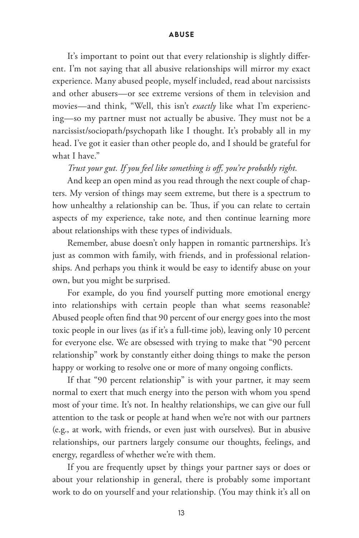#### ABUSE

It's important to point out that every relationship is slightly different. I'm not saying that all abusive relationships will mirror my exact experience. Many abused people, myself included, read about narcissists and other abusers—or see extreme versions of them in television and movies—and think, "Well, this isn't *exactly* like what I'm experiencing—so my partner must not actually be abusive. They must not be a narcissist/sociopath/psychopath like I thought. It's probably all in my head. I've got it easier than other people do, and I should be grateful for what I have."

#### *Trust your gut. If you feel like something is off, you're probably right.*

And keep an open mind as you read through the next couple of chapters. My version of things may seem extreme, but there is a spectrum to how unhealthy a relationship can be. Thus, if you can relate to certain aspects of my experience, take note, and then continue learning more about relationships with these types of individuals.

Remember, abuse doesn't only happen in romantic partnerships. It's just as common with family, with friends, and in professional relationships. And perhaps you think it would be easy to identify abuse on your own, but you might be surprised.

For example, do you find yourself putting more emotional energy into relationships with certain people than what seems reasonable? Abused people often find that 90 percent of our energy goes into the most toxic people in our lives (as if it's a full-time job), leaving only 10 percent for everyone else. We are obsessed with trying to make that "90 percent relationship" work by constantly either doing things to make the person happy or working to resolve one or more of many ongoing conflicts.

If that "90 percent relationship" is with your partner, it may seem normal to exert that much energy into the person with whom you spend most of your time. It's not. In healthy relationships, we can give our full attention to the task or people at hand when we're not with our partners (e.g., at work, with friends, or even just with ourselves). But in abusive relationships, our partners largely consume our thoughts, feelings, and energy, regardless of whether we're with them.

If you are frequently upset by things your partner says or does or about your relationship in general, there is probably some important work to do on yourself and your relationship. (You may think it's all on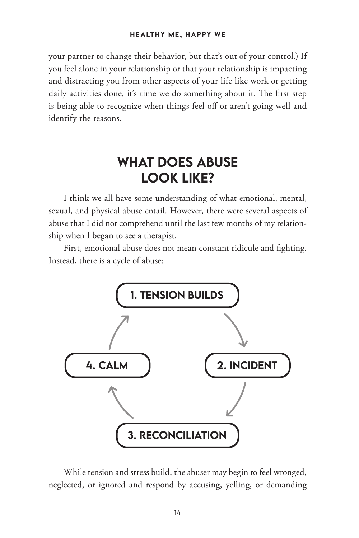#### Healthy Me, Happy We

your partner to change their behavior, but that's out of your control.) If you feel alone in your relationship or that your relationship is impacting and distracting you from other aspects of your life like work or getting daily activities done, it's time we do something about it. The first step is being able to recognize when things feel off or aren't going well and identify the reasons.

## What Does Abuse Look Like?

I think we all have some understanding of what emotional, mental, sexual, and physical abuse entail. However, there were several aspects of abuse that I did not comprehend until the last few months of my relationship when I began to see a therapist.

First, emotional abuse does not mean constant ridicule and fighting. Instead, there is a cycle of abuse:



While tension and stress build, the abuser may begin to feel wronged, neglected, or ignored and respond by accusing, yelling, or demanding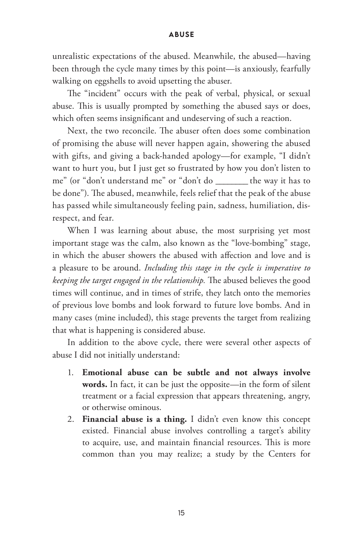#### ABUSE

unrealistic expectations of the abused. Meanwhile, the abused—having been through the cycle many times by this point—is anxiously, fearfully walking on eggshells to avoid upsetting the abuser.

The "incident" occurs with the peak of verbal, physical, or sexual abuse. This is usually prompted by something the abused says or does, which often seems insignificant and undeserving of such a reaction.

Next, the two reconcile. The abuser often does some combination of promising the abuse will never happen again, showering the abused with gifts, and giving a back-handed apology—for example, "I didn't want to hurt you, but I just get so frustrated by how you don't listen to me" (or "don't understand me" or "don't do \_\_\_\_\_\_\_\_ the way it has to be done"). The abused, meanwhile, feels relief that the peak of the abuse has passed while simultaneously feeling pain, sadness, humiliation, disrespect, and fear.

When I was learning about abuse, the most surprising yet most important stage was the calm, also known as the "love-bombing" stage, in which the abuser showers the abused with affection and love and is a pleasure to be around. *Including this stage in the cycle is imperative to keeping the target engaged in the relationship.* The abused believes the good times will continue, and in times of strife, they latch onto the memories of previous love bombs and look forward to future love bombs. And in many cases (mine included), this stage prevents the target from realizing that what is happening is considered abuse.

In addition to the above cycle, there were several other aspects of abuse I did not initially understand:

- 1. **Emotional abuse can be subtle and not always involve words.** In fact, it can be just the opposite—in the form of silent treatment or a facial expression that appears threatening, angry, or otherwise ominous.
- 2. **Financial abuse is a thing.** I didn't even know this concept existed. Financial abuse involves controlling a target's ability to acquire, use, and maintain financial resources. This is more common than you may realize; a study by the Centers for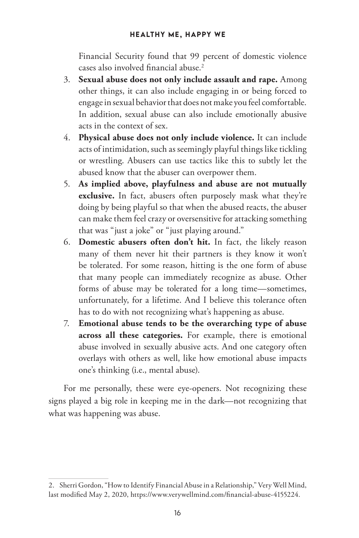Financial Security found that 99 percent of domestic violence cases also involved financial abuse.2

- 3. **Sexual abuse does not only include assault and rape.** Among other things, it can also include engaging in or being forced to engage in sexual behavior that does not make you feel comfortable. In addition, sexual abuse can also include emotionally abusive acts in the context of sex.
- 4. **Physical abuse does not only include violence.** It can include acts of intimidation, such as seemingly playful things like tickling or wrestling. Abusers can use tactics like this to subtly let the abused know that the abuser can overpower them.
- 5. **As implied above, playfulness and abuse are not mutually exclusive.** In fact, abusers often purposely mask what they're doing by being playful so that when the abused reacts, the abuser can make them feel crazy or oversensitive for attacking something that was "just a joke" or "just playing around."
- 6. **Domestic abusers often don't hit.** In fact, the likely reason many of them never hit their partners is they know it won't be tolerated. For some reason, hitting is the one form of abuse that many people can immediately recognize as abuse. Other forms of abuse may be tolerated for a long time—sometimes, unfortunately, for a lifetime. And I believe this tolerance often has to do with not recognizing what's happening as abuse.
- 7. **Emotional abuse tends to be the overarching type of abuse across all these categories.** For example, there is emotional abuse involved in sexually abusive acts. And one category often overlays with others as well, like how emotional abuse impacts one's thinking (i.e., mental abuse).

For me personally, these were eye-openers. Not recognizing these signs played a big role in keeping me in the dark—not recognizing that what was happening was abuse.

<sup>2.</sup> Sherri Gordon, "How to Identify Financial Abuse in a Relationship," Very Well Mind, last modified May 2, 2020, https://www.verywellmind.com/financial-abuse-4155224.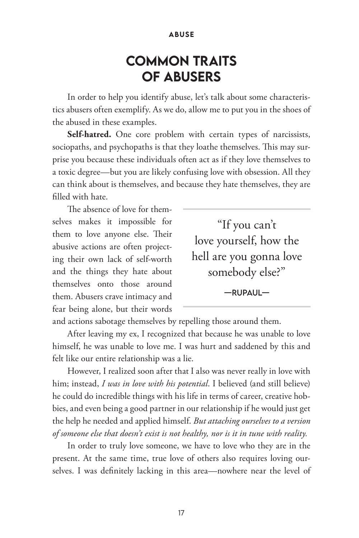#### ABUSE

## Common Traits of Abusers

In order to help you identify abuse, let's talk about some characteristics abusers often exemplify. As we do, allow me to put you in the shoes of the abused in these examples.

**Self-hatred.** One core problem with certain types of narcissists, sociopaths, and psychopaths is that they loathe themselves. This may surprise you because these individuals often act as if they love themselves to a toxic degree—but you are likely confusing love with obsession. All they can think about is themselves, and because they hate themselves, they are filled with hate.

The absence of love for themselves makes it impossible for them to love anyone else. Their abusive actions are often projecting their own lack of self-worth and the things they hate about themselves onto those around them. Abusers crave intimacy and fear being alone, but their words

"If you can't love yourself, how the hell are you gonna love somebody else?"

—RuPaul—

and actions sabotage themselves by repelling those around them.

After leaving my ex, I recognized that because he was unable to love himself, he was unable to love me. I was hurt and saddened by this and felt like our entire relationship was a lie.

However, I realized soon after that I also was never really in love with him; instead, *I was in love with his potential*. I believed (and still believe) he could do incredible things with his life in terms of career, creative hobbies, and even being a good partner in our relationship if he would just get the help he needed and applied himself. *But attaching ourselves to a version of someone else that doesn't exist is not healthy, nor is it in tune with reality.*

In order to truly love someone, we have to love who they are in the present. At the same time, true love of others also requires loving ourselves. I was definitely lacking in this area—nowhere near the level of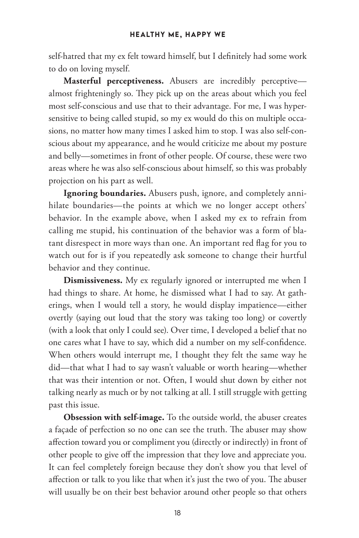self-hatred that my ex felt toward himself, but I definitely had some work to do on loving myself.

**Masterful perceptiveness.** Abusers are incredibly perceptive almost frighteningly so. They pick up on the areas about which you feel most self-conscious and use that to their advantage. For me, I was hypersensitive to being called stupid, so my ex would do this on multiple occasions, no matter how many times I asked him to stop. I was also self-conscious about my appearance, and he would criticize me about my posture and belly—sometimes in front of other people. Of course, these were two areas where he was also self-conscious about himself, so this was probably projection on his part as well.

**Ignoring boundaries.** Abusers push, ignore, and completely annihilate boundaries—the points at which we no longer accept others' behavior. In the example above, when I asked my ex to refrain from calling me stupid, his continuation of the behavior was a form of blatant disrespect in more ways than one. An important red flag for you to watch out for is if you repeatedly ask someone to change their hurtful behavior and they continue.

**Dismissiveness.** My ex regularly ignored or interrupted me when I had things to share. At home, he dismissed what I had to say. At gatherings, when I would tell a story, he would display impatience—either overtly (saying out loud that the story was taking too long) or covertly (with a look that only I could see). Over time, I developed a belief that no one cares what I have to say, which did a number on my self-confidence. When others would interrupt me, I thought they felt the same way he did—that what I had to say wasn't valuable or worth hearing—whether that was their intention or not. Often, I would shut down by either not talking nearly as much or by not talking at all. I still struggle with getting past this issue.

**Obsession with self-image.** To the outside world, the abuser creates a façade of perfection so no one can see the truth. The abuser may show affection toward you or compliment you (directly or indirectly) in front of other people to give off the impression that they love and appreciate you. It can feel completely foreign because they don't show you that level of affection or talk to you like that when it's just the two of you. The abuser will usually be on their best behavior around other people so that others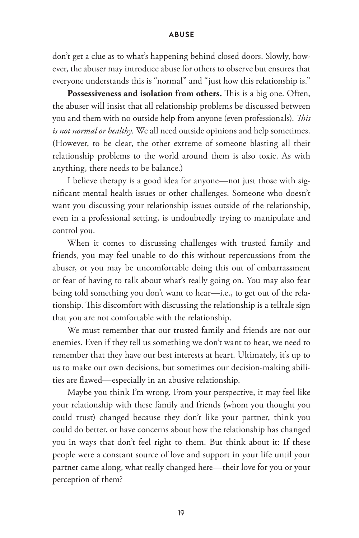#### ABUSE

don't get a clue as to what's happening behind closed doors. Slowly, however, the abuser may introduce abuse for others to observe but ensures that everyone understands this is "normal" and "just how this relationship is."

**Possessiveness and isolation from others.** This is a big one. Often, the abuser will insist that all relationship problems be discussed between you and them with no outside help from anyone (even professionals). *This is not normal or healthy.* We all need outside opinions and help sometimes. (However, to be clear, the other extreme of someone blasting all their relationship problems to the world around them is also toxic. As with anything, there needs to be balance.)

I believe therapy is a good idea for anyone—not just those with significant mental health issues or other challenges. Someone who doesn't want you discussing your relationship issues outside of the relationship, even in a professional setting, is undoubtedly trying to manipulate and control you.

When it comes to discussing challenges with trusted family and friends, you may feel unable to do this without repercussions from the abuser, or you may be uncomfortable doing this out of embarrassment or fear of having to talk about what's really going on. You may also fear being told something you don't want to hear—i.e., to get out of the relationship. This discomfort with discussing the relationship is a telltale sign that you are not comfortable with the relationship.

We must remember that our trusted family and friends are not our enemies. Even if they tell us something we don't want to hear, we need to remember that they have our best interests at heart. Ultimately, it's up to us to make our own decisions, but sometimes our decision-making abilities are flawed—especially in an abusive relationship.

Maybe you think I'm wrong. From your perspective, it may feel like your relationship with these family and friends (whom you thought you could trust) changed because they don't like your partner, think you could do better, or have concerns about how the relationship has changed you in ways that don't feel right to them. But think about it: If these people were a constant source of love and support in your life until your partner came along, what really changed here—their love for you or your perception of them?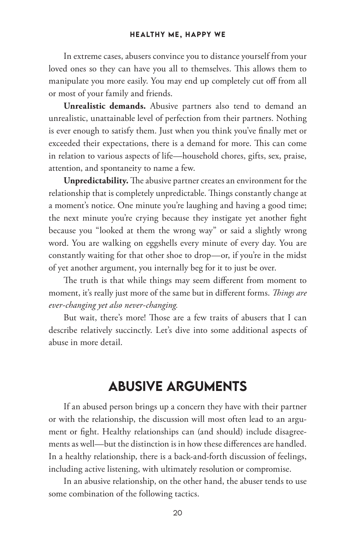#### Healthy Me, Happy We

In extreme cases, abusers convince you to distance yourself from your loved ones so they can have you all to themselves. This allows them to manipulate you more easily. You may end up completely cut off from all or most of your family and friends.

**Unrealistic demands.** Abusive partners also tend to demand an unrealistic, unattainable level of perfection from their partners. Nothing is ever enough to satisfy them. Just when you think you've finally met or exceeded their expectations, there is a demand for more. This can come in relation to various aspects of life—household chores, gifts, sex, praise, attention, and spontaneity to name a few.

**Unpredictability.** The abusive partner creates an environment for the relationship that is completely unpredictable. Things constantly change at a moment's notice. One minute you're laughing and having a good time; the next minute you're crying because they instigate yet another fight because you "looked at them the wrong way" or said a slightly wrong word. You are walking on eggshells every minute of every day. You are constantly waiting for that other shoe to drop—or, if you're in the midst of yet another argument, you internally beg for it to just be over.

The truth is that while things may seem different from moment to moment, it's really just more of the same but in different forms. *Things are ever-changing yet also never-changing.*

But wait, there's more! Those are a few traits of abusers that I can describe relatively succinctly. Let's dive into some additional aspects of abuse in more detail.

### Abusive Arguments

If an abused person brings up a concern they have with their partner or with the relationship, the discussion will most often lead to an argument or fight. Healthy relationships can (and should) include disagreements as well—but the distinction is in how these differences are handled. In a healthy relationship, there is a back-and-forth discussion of feelings, including active listening, with ultimately resolution or compromise.

In an abusive relationship, on the other hand, the abuser tends to use some combination of the following tactics.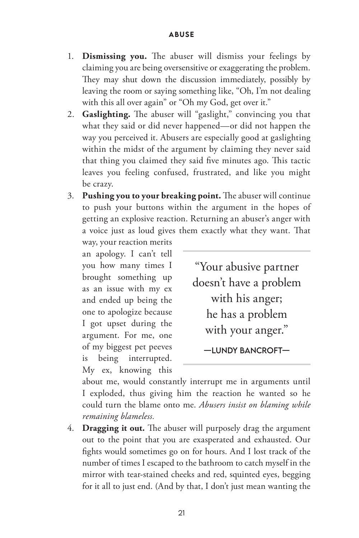- 1. **Dismissing you.** The abuser will dismiss your feelings by claiming you are being oversensitive or exaggerating the problem. They may shut down the discussion immediately, possibly by leaving the room or saying something like, "Oh, I'm not dealing with this all over again" or "Oh my God, get over it."
- 2. **Gaslighting.** The abuser will "gaslight," convincing you that what they said or did never happened—or did not happen the way you perceived it. Abusers are especially good at gaslighting within the midst of the argument by claiming they never said that thing you claimed they said five minutes ago. This tactic leaves you feeling confused, frustrated, and like you might be crazy.
- 3. **Pushing you to your breaking point.** The abuser will continue to push your buttons within the argument in the hopes of getting an explosive reaction. Returning an abuser's anger with a voice just as loud gives them exactly what they want. That

way, your reaction merits an apology. I can't tell you how many times I brought something up as an issue with my ex and ended up being the one to apologize because I got upset during the argument. For me, one of my biggest pet peeves is being interrupted. My ex, knowing this

"Your abusive partner doesn't have a problem with his anger; he has a problem with your anger." —Lundy Bancroft—

about me, would constantly interrupt me in arguments until I exploded, thus giving him the reaction he wanted so he could turn the blame onto me. *Abusers insist on blaming while remaining blameless.*

4. **Dragging it out.** The abuser will purposely drag the argument out to the point that you are exasperated and exhausted. Our fights would sometimes go on for hours. And I lost track of the number of times I escaped to the bathroom to catch myself in the mirror with tear-stained cheeks and red, squinted eyes, begging for it all to just end. (And by that, I don't just mean wanting the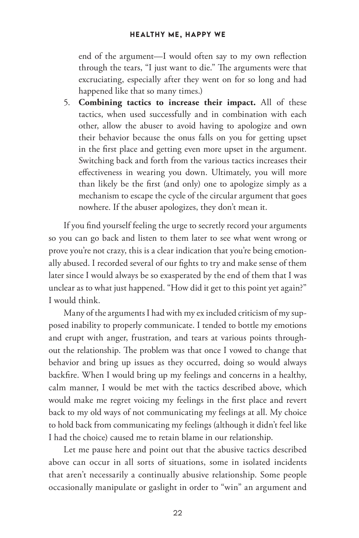end of the argument—I would often say to my own reflection through the tears, "I just want to die." The arguments were that excruciating, especially after they went on for so long and had happened like that so many times.)

5. **Combining tactics to increase their impact.** All of these tactics, when used successfully and in combination with each other, allow the abuser to avoid having to apologize and own their behavior because the onus falls on you for getting upset in the first place and getting even more upset in the argument. Switching back and forth from the various tactics increases their effectiveness in wearing you down. Ultimately, you will more than likely be the first (and only) one to apologize simply as a mechanism to escape the cycle of the circular argument that goes nowhere. If the abuser apologizes, they don't mean it.

If you find yourself feeling the urge to secretly record your arguments so you can go back and listen to them later to see what went wrong or prove you're not crazy, this is a clear indication that you're being emotionally abused. I recorded several of our fights to try and make sense of them later since I would always be so exasperated by the end of them that I was unclear as to what just happened. "How did it get to this point yet again?" I would think.

Many of the arguments I had with my ex included criticism of my supposed inability to properly communicate. I tended to bottle my emotions and erupt with anger, frustration, and tears at various points throughout the relationship. The problem was that once I vowed to change that behavior and bring up issues as they occurred, doing so would always backfire. When I would bring up my feelings and concerns in a healthy, calm manner, I would be met with the tactics described above, which would make me regret voicing my feelings in the first place and revert back to my old ways of not communicating my feelings at all. My choice to hold back from communicating my feelings (although it didn't feel like I had the choice) caused me to retain blame in our relationship.

Let me pause here and point out that the abusive tactics described above can occur in all sorts of situations, some in isolated incidents that aren't necessarily a continually abusive relationship. Some people occasionally manipulate or gaslight in order to "win" an argument and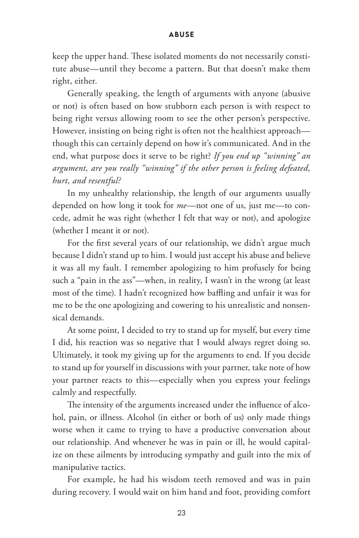#### ABUSE

keep the upper hand. These isolated moments do not necessarily constitute abuse—until they become a pattern. But that doesn't make them right, either.

Generally speaking, the length of arguments with anyone (abusive or not) is often based on how stubborn each person is with respect to being right versus allowing room to see the other person's perspective. However, insisting on being right is often not the healthiest approach though this can certainly depend on how it's communicated. And in the end, what purpose does it serve to be right? *If you end up "winning" an argument, are you really "winning" if the other person is feeling defeated, hurt, and resentful?*

In my unhealthy relationship, the length of our arguments usually depended on how long it took for *me*—not one of us, just me—to concede, admit he was right (whether I felt that way or not), and apologize (whether I meant it or not).

For the first several years of our relationship, we didn't argue much because I didn't stand up to him. I would just accept his abuse and believe it was all my fault. I remember apologizing to him profusely for being such a "pain in the ass"—when, in reality, I wasn't in the wrong (at least most of the time). I hadn't recognized how baffling and unfair it was for me to be the one apologizing and cowering to his unrealistic and nonsensical demands.

At some point, I decided to try to stand up for myself, but every time I did, his reaction was so negative that I would always regret doing so. Ultimately, it took my giving up for the arguments to end. If you decide to stand up for yourself in discussions with your partner, take note of how your partner reacts to this—especially when you express your feelings calmly and respectfully.

The intensity of the arguments increased under the influence of alcohol, pain, or illness. Alcohol (in either or both of us) only made things worse when it came to trying to have a productive conversation about our relationship. And whenever he was in pain or ill, he would capitalize on these ailments by introducing sympathy and guilt into the mix of manipulative tactics.

For example, he had his wisdom teeth removed and was in pain during recovery. I would wait on him hand and foot, providing comfort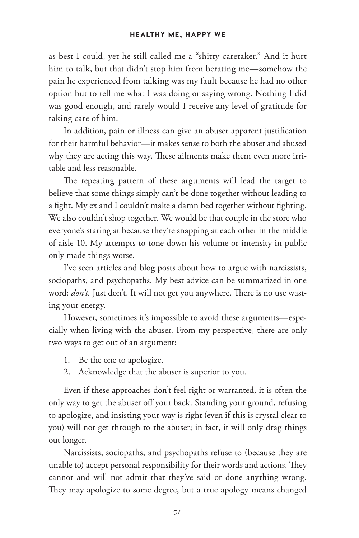#### Healthy Me, Happy We

as best I could, yet he still called me a "shitty caretaker." And it hurt him to talk, but that didn't stop him from berating me—somehow the pain he experienced from talking was my fault because he had no other option but to tell me what I was doing or saying wrong. Nothing I did was good enough, and rarely would I receive any level of gratitude for taking care of him.

In addition, pain or illness can give an abuser apparent justification for their harmful behavior—it makes sense to both the abuser and abused why they are acting this way. These ailments make them even more irritable and less reasonable.

The repeating pattern of these arguments will lead the target to believe that some things simply can't be done together without leading to a fight. My ex and I couldn't make a damn bed together without fighting. We also couldn't shop together. We would be that couple in the store who everyone's staring at because they're snapping at each other in the middle of aisle 10. My attempts to tone down his volume or intensity in public only made things worse.

I've seen articles and blog posts about how to argue with narcissists, sociopaths, and psychopaths. My best advice can be summarized in one word: *don't.* Just don't. It will not get you anywhere. There is no use wasting your energy.

However, sometimes it's impossible to avoid these arguments—especially when living with the abuser. From my perspective, there are only two ways to get out of an argument:

- 1. Be the one to apologize.
- 2. Acknowledge that the abuser is superior to you.

Even if these approaches don't feel right or warranted, it is often the only way to get the abuser off your back. Standing your ground, refusing to apologize, and insisting your way is right (even if this is crystal clear to you) will not get through to the abuser; in fact, it will only drag things out longer.

Narcissists, sociopaths, and psychopaths refuse to (because they are unable to) accept personal responsibility for their words and actions. They cannot and will not admit that they've said or done anything wrong. They may apologize to some degree, but a true apology means changed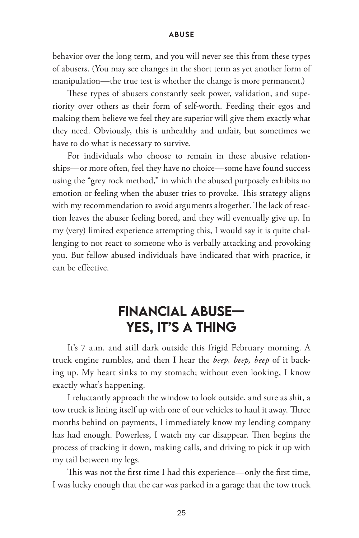#### ABUSE

behavior over the long term, and you will never see this from these types of abusers. (You may see changes in the short term as yet another form of manipulation—the true test is whether the change is more permanent.)

These types of abusers constantly seek power, validation, and superiority over others as their form of self-worth. Feeding their egos and making them believe we feel they are superior will give them exactly what they need. Obviously, this is unhealthy and unfair, but sometimes we have to do what is necessary to survive.

For individuals who choose to remain in these abusive relationships—or more often, feel they have no choice—some have found success using the "grey rock method," in which the abused purposely exhibits no emotion or feeling when the abuser tries to provoke. This strategy aligns with my recommendation to avoid arguments altogether. The lack of reaction leaves the abuser feeling bored, and they will eventually give up. In my (very) limited experience attempting this, I would say it is quite challenging to not react to someone who is verbally attacking and provoking you. But fellow abused individuals have indicated that with practice, it can be effective.

## Financial Abuse— YES, IT'S A THING

It's 7 a.m. and still dark outside this frigid February morning. A truck engine rumbles, and then I hear the *beep, beep, beep* of it backing up. My heart sinks to my stomach; without even looking, I know exactly what's happening.

I reluctantly approach the window to look outside, and sure as shit, a tow truck is lining itself up with one of our vehicles to haul it away. Three months behind on payments, I immediately know my lending company has had enough. Powerless, I watch my car disappear. Then begins the process of tracking it down, making calls, and driving to pick it up with my tail between my legs.

This was not the first time I had this experience—only the first time, I was lucky enough that the car was parked in a garage that the tow truck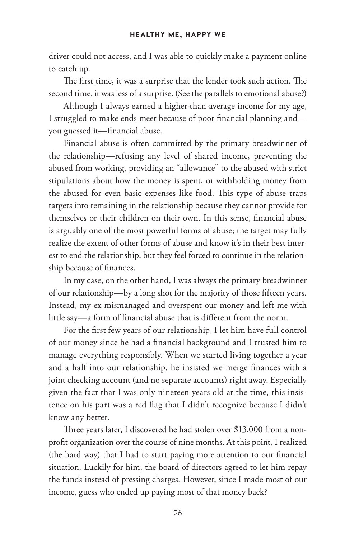driver could not access, and I was able to quickly make a payment online to catch up.

The first time, it was a surprise that the lender took such action. The second time, it was less of a surprise. (See the parallels to emotional abuse?)

Although I always earned a higher-than-average income for my age, I struggled to make ends meet because of poor financial planning and you guessed it—financial abuse.

Financial abuse is often committed by the primary breadwinner of the relationship—refusing any level of shared income, preventing the abused from working, providing an "allowance" to the abused with strict stipulations about how the money is spent, or withholding money from the abused for even basic expenses like food. This type of abuse traps targets into remaining in the relationship because they cannot provide for themselves or their children on their own. In this sense, financial abuse is arguably one of the most powerful forms of abuse; the target may fully realize the extent of other forms of abuse and know it's in their best interest to end the relationship, but they feel forced to continue in the relationship because of finances.

In my case, on the other hand, I was always the primary breadwinner of our relationship—by a long shot for the majority of those fifteen years. Instead, my ex mismanaged and overspent our money and left me with little say—a form of financial abuse that is different from the norm.

For the first few years of our relationship, I let him have full control of our money since he had a financial background and I trusted him to manage everything responsibly. When we started living together a year and a half into our relationship, he insisted we merge finances with a joint checking account (and no separate accounts) right away. Especially given the fact that I was only nineteen years old at the time, this insistence on his part was a red flag that I didn't recognize because I didn't know any better.

Three years later, I discovered he had stolen over \$13,000 from a nonprofit organization over the course of nine months. At this point, I realized (the hard way) that I had to start paying more attention to our financial situation. Luckily for him, the board of directors agreed to let him repay the funds instead of pressing charges. However, since I made most of our income, guess who ended up paying most of that money back?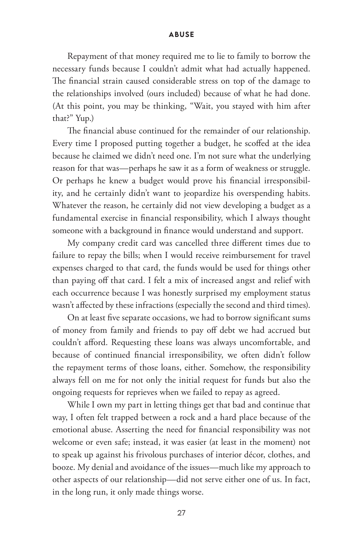Repayment of that money required me to lie to family to borrow the necessary funds because I couldn't admit what had actually happened. The financial strain caused considerable stress on top of the damage to the relationships involved (ours included) because of what he had done. (At this point, you may be thinking, "Wait, you stayed with him after that?" Yup.)

The financial abuse continued for the remainder of our relationship. Every time I proposed putting together a budget, he scoffed at the idea because he claimed we didn't need one. I'm not sure what the underlying reason for that was—perhaps he saw it as a form of weakness or struggle. Or perhaps he knew a budget would prove his financial irresponsibility, and he certainly didn't want to jeopardize his overspending habits. Whatever the reason, he certainly did not view developing a budget as a fundamental exercise in financial responsibility, which I always thought someone with a background in finance would understand and support.

My company credit card was cancelled three different times due to failure to repay the bills; when I would receive reimbursement for travel expenses charged to that card, the funds would be used for things other than paying off that card. I felt a mix of increased angst and relief with each occurrence because I was honestly surprised my employment status wasn't affected by these infractions (especially the second and third times).

On at least five separate occasions, we had to borrow significant sums of money from family and friends to pay off debt we had accrued but couldn't afford. Requesting these loans was always uncomfortable, and because of continued financial irresponsibility, we often didn't follow the repayment terms of those loans, either. Somehow, the responsibility always fell on me for not only the initial request for funds but also the ongoing requests for reprieves when we failed to repay as agreed.

While I own my part in letting things get that bad and continue that way, I often felt trapped between a rock and a hard place because of the emotional abuse. Asserting the need for financial responsibility was not welcome or even safe; instead, it was easier (at least in the moment) not to speak up against his frivolous purchases of interior décor, clothes, and booze. My denial and avoidance of the issues—much like my approach to other aspects of our relationship—did not serve either one of us. In fact, in the long run, it only made things worse.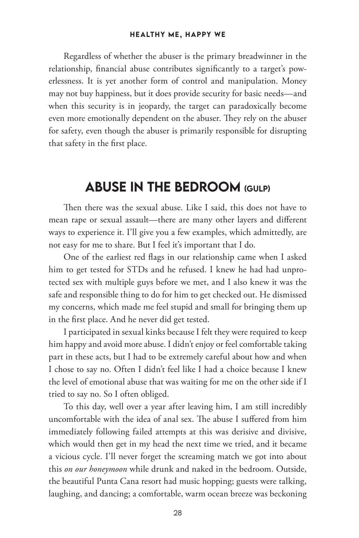## Healthy Me, Happy We

Regardless of whether the abuser is the primary breadwinner in the relationship, financial abuse contributes significantly to a target's powerlessness. It is yet another form of control and manipulation. Money may not buy happiness, but it does provide security for basic needs—and when this security is in jeopardy, the target can paradoxically become even more emotionally dependent on the abuser. They rely on the abuser for safety, even though the abuser is primarily responsible for disrupting that safety in the first place.

# Abuse in the Bedroom (gulp)

Then there was the sexual abuse. Like I said, this does not have to mean rape or sexual assault—there are many other layers and different ways to experience it. I'll give you a few examples, which admittedly, are not easy for me to share. But I feel it's important that I do.

One of the earliest red flags in our relationship came when I asked him to get tested for STDs and he refused. I knew he had had unprotected sex with multiple guys before we met, and I also knew it was the safe and responsible thing to do for him to get checked out. He dismissed my concerns, which made me feel stupid and small for bringing them up in the first place. And he never did get tested.

I participated in sexual kinks because I felt they were required to keep him happy and avoid more abuse. I didn't enjoy or feel comfortable taking part in these acts, but I had to be extremely careful about how and when I chose to say no. Often I didn't feel like I had a choice because I knew the level of emotional abuse that was waiting for me on the other side if I tried to say no. So I often obliged.

To this day, well over a year after leaving him, I am still incredibly uncomfortable with the idea of anal sex. The abuse I suffered from him immediately following failed attempts at this was derisive and divisive, which would then get in my head the next time we tried, and it became a vicious cycle. I'll never forget the screaming match we got into about this *on our honeymoon* while drunk and naked in the bedroom. Outside, the beautiful Punta Cana resort had music hopping; guests were talking, laughing, and dancing; a comfortable, warm ocean breeze was beckoning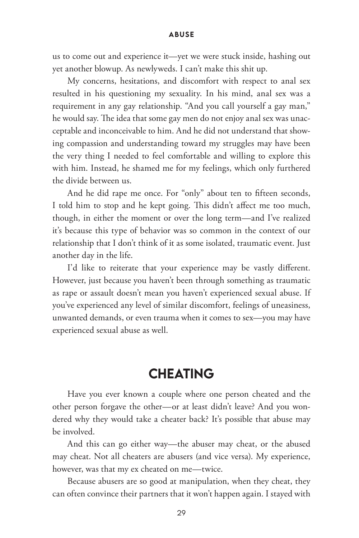us to come out and experience it—yet we were stuck inside, hashing out yet another blowup. As newlyweds. I can't make this shit up.

My concerns, hesitations, and discomfort with respect to anal sex resulted in his questioning my sexuality. In his mind, anal sex was a requirement in any gay relationship. "And you call yourself a gay man," he would say. The idea that some gay men do not enjoy anal sex was unacceptable and inconceivable to him. And he did not understand that showing compassion and understanding toward my struggles may have been the very thing I needed to feel comfortable and willing to explore this with him. Instead, he shamed me for my feelings, which only furthered the divide between us.

And he did rape me once. For "only" about ten to fifteen seconds, I told him to stop and he kept going. This didn't affect me too much, though, in either the moment or over the long term—and I've realized it's because this type of behavior was so common in the context of our relationship that I don't think of it as some isolated, traumatic event. Just another day in the life.

I'd like to reiterate that your experience may be vastly different. However, just because you haven't been through something as traumatic as rape or assault doesn't mean you haven't experienced sexual abuse. If you've experienced any level of similar discomfort, feelings of uneasiness, unwanted demands, or even trauma when it comes to sex—you may have experienced sexual abuse as well.

# **CHEATING**

Have you ever known a couple where one person cheated and the other person forgave the other—or at least didn't leave? And you wondered why they would take a cheater back? It's possible that abuse may be involved.

And this can go either way—the abuser may cheat, or the abused may cheat. Not all cheaters are abusers (and vice versa). My experience, however, was that my ex cheated on me—twice.

Because abusers are so good at manipulation, when they cheat, they can often convince their partners that it won't happen again. I stayed with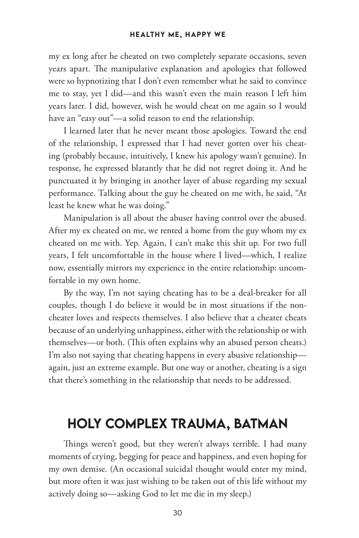my ex long after he cheated on two completely separate occasions, seven years apart. The manipulative explanation and apologies that followed were so hypnotizing that I don't even remember what he said to convince me to stay, yet I did—and this wasn't even the main reason I left him years later. I did, however, wish he would cheat on me again so I would have an "easy out"—a solid reason to end the relationship.

I learned later that he never meant those apologies. Toward the end of the relationship, I expressed that I had never gotten over his cheating (probably because, intuitively, I knew his apology wasn't genuine). In response, he expressed blatantly that he did not regret doing it. And he punctuated it by bringing in another layer of abuse regarding my sexual performance. Talking about the guy he cheated on me with, he said, "At least he knew what he was doing."

Manipulation is all about the abuser having control over the abused. After my ex cheated on me, we rented a home from the guy whom my ex cheated on me with. Yep. Again, I can't make this shit up. For two full years, I felt uncomfortable in the house where I lived—which, I realize now, essentially mirrors my experience in the entire relationship: uncomfortable in my own home.

By the way, I'm not saying cheating has to be a deal-breaker for all couples, though I do believe it would be in most situations if the noncheater loves and respects themselves. I also believe that a cheater cheats because of an underlying unhappiness, either with the relationship or with themselves—or both. (This often explains why an abused person cheats.) I'm also not saying that cheating happens in every abusive relationship again, just an extreme example. But one way or another, cheating is a sign that there's something in the relationship that needs to be addressed.

# Holy Complex Trauma, Batman

Things weren't good, but they weren't always terrible. I had many moments of crying, begging for peace and happiness, and even hoping for my own demise. (An occasional suicidal thought would enter my mind, but more often it was just wishing to be taken out of this life without my actively doing so—asking God to let me die in my sleep.)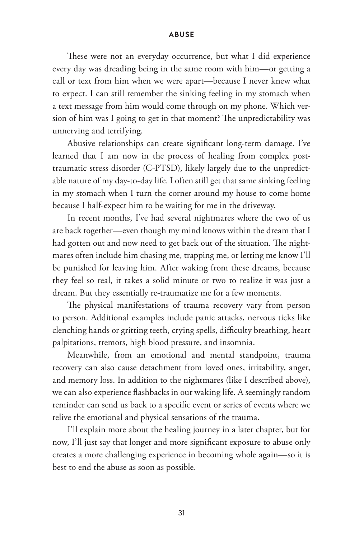These were not an everyday occurrence, but what I did experience every day was dreading being in the same room with him—or getting a call or text from him when we were apart—because I never knew what to expect. I can still remember the sinking feeling in my stomach when a text message from him would come through on my phone. Which version of him was I going to get in that moment? The unpredictability was unnerving and terrifying.

Abusive relationships can create significant long-term damage. I've learned that I am now in the process of healing from complex posttraumatic stress disorder (C-PTSD), likely largely due to the unpredictable nature of my day-to-day life. I often still get that same sinking feeling in my stomach when I turn the corner around my house to come home because I half-expect him to be waiting for me in the driveway.

In recent months, I've had several nightmares where the two of us are back together—even though my mind knows within the dream that I had gotten out and now need to get back out of the situation. The nightmares often include him chasing me, trapping me, or letting me know I'll be punished for leaving him. After waking from these dreams, because they feel so real, it takes a solid minute or two to realize it was just a dream. But they essentially re-traumatize me for a few moments.

The physical manifestations of trauma recovery vary from person to person. Additional examples include panic attacks, nervous ticks like clenching hands or gritting teeth, crying spells, difficulty breathing, heart palpitations, tremors, high blood pressure, and insomnia.

Meanwhile, from an emotional and mental standpoint, trauma recovery can also cause detachment from loved ones, irritability, anger, and memory loss. In addition to the nightmares (like I described above), we can also experience flashbacks in our waking life. A seemingly random reminder can send us back to a specific event or series of events where we relive the emotional and physical sensations of the trauma.

I'll explain more about the healing journey in a later chapter, but for now, I'll just say that longer and more significant exposure to abuse only creates a more challenging experience in becoming whole again—so it is best to end the abuse as soon as possible.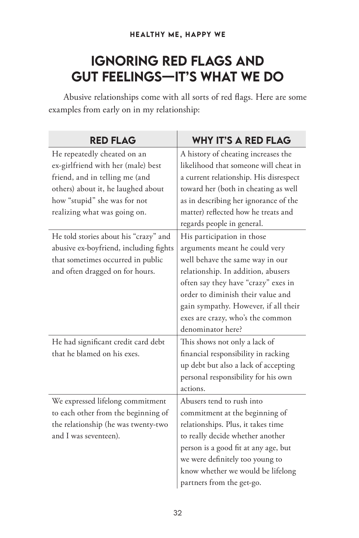# Ignoring Red Flags and Gut Feelings—It's What We Do

Abusive relationships come with all sorts of red flags. Here are some examples from early on in my relationship:

| <b>RED FLAG</b>                        | <b>WHY IT'S A RED FLAG</b>             |
|----------------------------------------|----------------------------------------|
| He repeatedly cheated on an            | A history of cheating increases the    |
| ex-girlfriend with her (male) best     | likelihood that someone will cheat in  |
| friend, and in telling me (and         | a current relationship. His disrespect |
| others) about it, he laughed about     | toward her (both in cheating as well   |
| how "stupid" she was for not           | as in describing her ignorance of the  |
| realizing what was going on.           | matter) reflected how he treats and    |
|                                        | regards people in general.             |
| He told stories about his "crazy" and  | His participation in those             |
| abusive ex-boyfriend, including fights | arguments meant he could very          |
| that sometimes occurred in public      | well behave the same way in our        |
| and often dragged on for hours.        | relationship. In addition, abusers     |
|                                        | often say they have "crazy" exes in    |
|                                        | order to diminish their value and      |
|                                        | gain sympathy. However, if all their   |
|                                        | exes are crazy, who's the common       |
|                                        | denominator here?                      |
| He had significant credit card debt    | This shows not only a lack of          |
| that he blamed on his exes.            | financial responsibility in racking    |
|                                        | up debt but also a lack of accepting   |
|                                        | personal responsibility for his own    |
|                                        | actions.                               |
| We expressed lifelong commitment       | Abusers tend to rush into              |
| to each other from the beginning of    | commitment at the beginning of         |
| the relationship (he was twenty-two    | relationships. Plus, it takes time     |
| and I was seventeen).                  | to really decide whether another       |
|                                        | person is a good fit at any age, but   |
|                                        | we were definitely too young to        |
|                                        | know whether we would be lifelong      |
|                                        | partners from the get-go.              |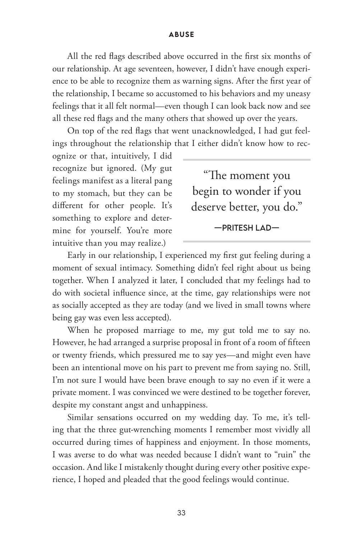All the red flags described above occurred in the first six months of our relationship. At age seventeen, however, I didn't have enough experience to be able to recognize them as warning signs. After the first year of the relationship, I became so accustomed to his behaviors and my uneasy feelings that it all felt normal—even though I can look back now and see all these red flags and the many others that showed up over the years.

On top of the red flags that went unacknowledged, I had gut feelings throughout the relationship that I either didn't know how to rec-

ognize or that, intuitively, I did recognize but ignored. (My gut feelings manifest as a literal pang to my stomach, but they can be different for other people. It's something to explore and determine for yourself. You're more intuitive than you may realize.)

"The moment you begin to wonder if you deserve better, you do."

—Pritesh Lad—

Early in our relationship, I experienced my first gut feeling during a moment of sexual intimacy. Something didn't feel right about us being together. When I analyzed it later, I concluded that my feelings had to do with societal influence since, at the time, gay relationships were not as socially accepted as they are today (and we lived in small towns where being gay was even less accepted).

When he proposed marriage to me, my gut told me to say no. However, he had arranged a surprise proposal in front of a room of fifteen or twenty friends, which pressured me to say yes—and might even have been an intentional move on his part to prevent me from saying no. Still, I'm not sure I would have been brave enough to say no even if it were a private moment. I was convinced we were destined to be together forever, despite my constant angst and unhappiness.

Similar sensations occurred on my wedding day. To me, it's telling that the three gut-wrenching moments I remember most vividly all occurred during times of happiness and enjoyment. In those moments, I was averse to do what was needed because I didn't want to "ruin" the occasion. And like I mistakenly thought during every other positive experience, I hoped and pleaded that the good feelings would continue.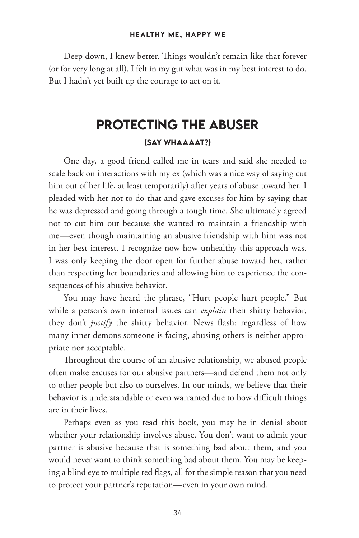Deep down, I knew better. Things wouldn't remain like that forever (or for very long at all). I felt in my gut what was in my best interest to do. But I hadn't yet built up the courage to act on it.

# Protecting the Abuser (Say Whaaaat?)

One day, a good friend called me in tears and said she needed to scale back on interactions with my ex (which was a nice way of saying cut him out of her life, at least temporarily) after years of abuse toward her. I pleaded with her not to do that and gave excuses for him by saying that he was depressed and going through a tough time. She ultimately agreed not to cut him out because she wanted to maintain a friendship with me—even though maintaining an abusive friendship with him was not in her best interest. I recognize now how unhealthy this approach was. I was only keeping the door open for further abuse toward her, rather than respecting her boundaries and allowing him to experience the consequences of his abusive behavior.

You may have heard the phrase, "Hurt people hurt people." But while a person's own internal issues can *explain* their shitty behavior, they don't *justify* the shitty behavior. News flash: regardless of how many inner demons someone is facing, abusing others is neither appropriate nor acceptable.

Throughout the course of an abusive relationship, we abused people often make excuses for our abusive partners—and defend them not only to other people but also to ourselves. In our minds, we believe that their behavior is understandable or even warranted due to how difficult things are in their lives.

Perhaps even as you read this book, you may be in denial about whether your relationship involves abuse. You don't want to admit your partner is abusive because that is something bad about them, and you would never want to think something bad about them. You may be keeping a blind eye to multiple red flags, all for the simple reason that you need to protect your partner's reputation—even in your own mind.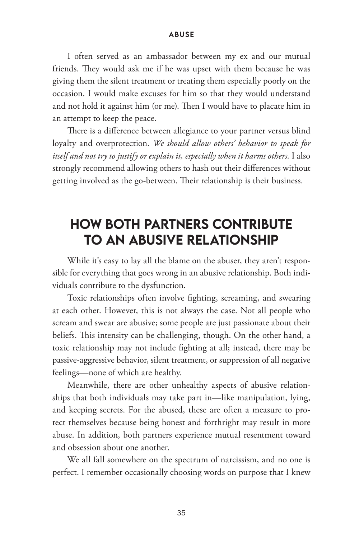I often served as an ambassador between my ex and our mutual friends. They would ask me if he was upset with them because he was giving them the silent treatment or treating them especially poorly on the occasion. I would make excuses for him so that they would understand and not hold it against him (or me). Then I would have to placate him in an attempt to keep the peace.

There is a difference between allegiance to your partner versus blind loyalty and overprotection. *We should allow others' behavior to speak for itself and not try to justify or explain it, especially when it harms others.* I also strongly recommend allowing others to hash out their differences without getting involved as the go-between. Their relationship is their business.

# How Both Partners Contribute to an Abusive Relationship

While it's easy to lay all the blame on the abuser, they aren't responsible for everything that goes wrong in an abusive relationship. Both individuals contribute to the dysfunction.

Toxic relationships often involve fighting, screaming, and swearing at each other. However, this is not always the case. Not all people who scream and swear are abusive; some people are just passionate about their beliefs. This intensity can be challenging, though. On the other hand, a toxic relationship may not include fighting at all; instead, there may be passive-aggressive behavior, silent treatment, or suppression of all negative feelings—none of which are healthy.

Meanwhile, there are other unhealthy aspects of abusive relationships that both individuals may take part in—like manipulation, lying, and keeping secrets. For the abused, these are often a measure to protect themselves because being honest and forthright may result in more abuse. In addition, both partners experience mutual resentment toward and obsession about one another.

We all fall somewhere on the spectrum of narcissism, and no one is perfect. I remember occasionally choosing words on purpose that I knew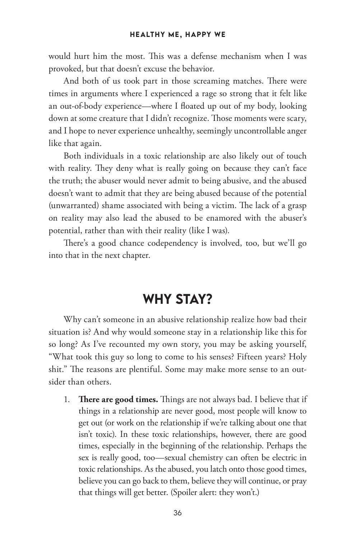would hurt him the most. This was a defense mechanism when I was provoked, but that doesn't excuse the behavior.

And both of us took part in those screaming matches. There were times in arguments where I experienced a rage so strong that it felt like an out-of-body experience—where I floated up out of my body, looking down at some creature that I didn't recognize. Those moments were scary, and I hope to never experience unhealthy, seemingly uncontrollable anger like that again.

Both individuals in a toxic relationship are also likely out of touch with reality. They deny what is really going on because they can't face the truth; the abuser would never admit to being abusive, and the abused doesn't want to admit that they are being abused because of the potential (unwarranted) shame associated with being a victim. The lack of a grasp on reality may also lead the abused to be enamored with the abuser's potential, rather than with their reality (like I was).

There's a good chance codependency is involved, too, but we'll go into that in the next chapter.

# WHY STAY?

Why can't someone in an abusive relationship realize how bad their situation is? And why would someone stay in a relationship like this for so long? As I've recounted my own story, you may be asking yourself, "What took this guy so long to come to his senses? Fifteen years? Holy shit." The reasons are plentiful. Some may make more sense to an outsider than others.

1. **There are good times.** Things are not always bad. I believe that if things in a relationship are never good, most people will know to get out (or work on the relationship if we're talking about one that isn't toxic). In these toxic relationships, however, there are good times, especially in the beginning of the relationship. Perhaps the sex is really good, too—sexual chemistry can often be electric in toxic relationships. As the abused, you latch onto those good times, believe you can go back to them, believe they will continue, or pray that things will get better. (Spoiler alert: they won't.)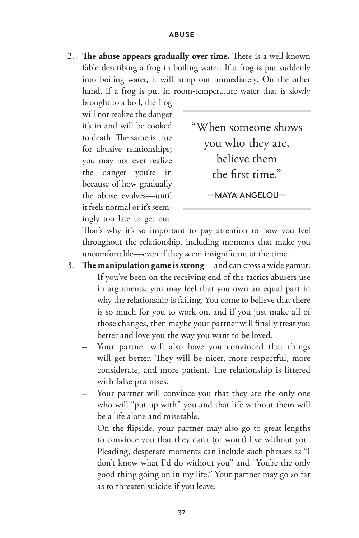2. **The abuse appears gradually over time.** There is a well-known fable describing a frog in boiling water. If a frog is put suddenly into boiling water, it will jump out immediately. On the other hand, if a frog is put in room-temperature water that is slowly

brought to a boil, the frog will not realize the danger it's in and will be cooked to death. The same is true for abusive relationships; you may not ever realize the danger you're in because of how gradually the abuse evolves—until it feels normal or it's seemingly too late to get out.

"When someone shows you who they are, believe them the first time."

—Maya Angelou—

That's why it's so important to pay attention to how you feel throughout the relationship, including moments that make you uncomfortable—even if they seem insignificant at the time.

- 3. **The manipulation game is strong**—and can cross a wide gamut:
	- If you've been on the receiving end of the tactics abusers use in arguments, you may feel that you own an equal part in why the relationship is failing. You come to believe that there is so much for you to work on, and if you just make all of those changes, then maybe your partner will finally treat you better and love you the way you want to be loved.
	- Your partner will also have you convinced that things will get better. They will be nicer, more respectful, more considerate, and more patient. The relationship is littered with false promises.
	- Your partner will convince you that they are the only one who will "put up with" you and that life without them will be a life alone and miserable.
	- On the flipside, your partner may also go to great lengths to convince you that they can't (or won't) live without you. Pleading, desperate moments can include such phrases as "I don't know what I'd do without you" and "You're the only good thing going on in my life." Your partner may go so far as to threaten suicide if you leave.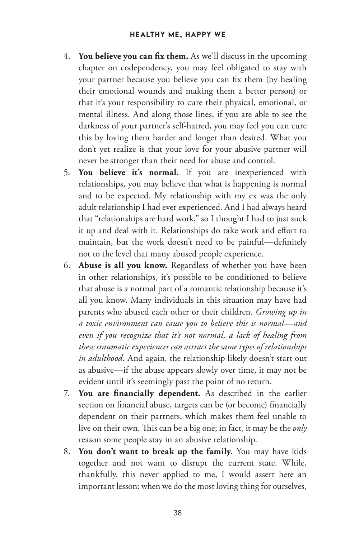- 4. **You believe you can fix them.** As we'll discuss in the upcoming chapter on codependency, you may feel obligated to stay with your partner because you believe you can fix them (by healing their emotional wounds and making them a better person) or that it's your responsibility to cure their physical, emotional, or mental illness. And along those lines, if you are able to see the darkness of your partner's self-hatred, you may feel you can cure this by loving them harder and longer than desired. What you don't yet realize is that your love for your abusive partner will never be stronger than their need for abuse and control.
- 5. **You believe it's normal.** If you are inexperienced with relationships, you may believe that what is happening is normal and to be expected. My relationship with my ex was the only adult relationship I had ever experienced. And I had always heard that "relationships are hard work," so I thought I had to just suck it up and deal with it. Relationships do take work and effort to maintain, but the work doesn't need to be painful—definitely not to the level that many abused people experience.
- 6. **Abuse is all you know.** Regardless of whether you have been in other relationships, it's possible to be conditioned to believe that abuse is a normal part of a romantic relationship because it's all you know. Many individuals in this situation may have had parents who abused each other or their children. *Growing up in a toxic environment can cause you to believe this is normal—and even if you recognize that it's not normal, a lack of healing from these traumatic experiences can attract the same types of relationships in adulthood.* And again, the relationship likely doesn't start out as abusive—if the abuse appears slowly over time, it may not be evident until it's seemingly past the point of no return.
- 7. **You are financially dependent.** As described in the earlier section on financial abuse, targets can be (or become) financially dependent on their partners, which makes them feel unable to live on their own. This can be a big one; in fact, it may be the *only* reason some people stay in an abusive relationship.
- 8. **You don't want to break up the family.** You may have kids together and not want to disrupt the current state. While, thankfully, this never applied to me, I would assert here an important lesson: when we do the most loving thing for ourselves,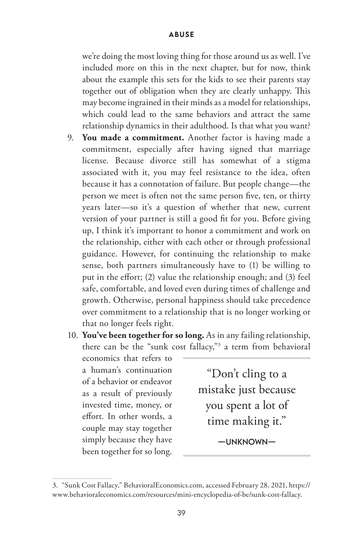we're doing the most loving thing for those around us as well. I've included more on this in the next chapter, but for now, think about the example this sets for the kids to see their parents stay together out of obligation when they are clearly unhappy. This may become ingrained in their minds as a model for relationships, which could lead to the same behaviors and attract the same relationship dynamics in their adulthood. Is that what you want?

- 9. **You made a commitment.** Another factor is having made a commitment, especially after having signed that marriage license. Because divorce still has somewhat of a stigma associated with it, you may feel resistance to the idea, often because it has a connotation of failure. But people change—the person we meet is often not the same person five, ten, or thirty years later—so it's a question of whether that new, current version of your partner is still a good fit for you. Before giving up, I think it's important to honor a commitment and work on the relationship, either with each other or through professional guidance. However, for continuing the relationship to make sense, both partners simultaneously have to (1) be willing to put in the effort; (2) value the relationship enough; and (3) feel safe, comfortable, and loved even during times of challenge and growth. Otherwise, personal happiness should take precedence over commitment to a relationship that is no longer working or that no longer feels right.
- 10. **You've been together for so long.** As in any failing relationship, there can be the "sunk cost fallacy,"3 a term from behavioral

economics that refers to a human's continuation of a behavior or endeavor as a result of previously invested time, money, or effort. In other words, a couple may stay together simply because they have been together for so long.

"Don't cling to a mistake just because you spent a lot of time making it."

—Unknown—

<sup>3.</sup> "Sunk Cost Fallacy," BehavioralEconomics.com, accessed February 28, 2021, https:// www.behavioraleconomics.com/resources/mini-encyclopedia-of-be/sunk-cost-fallacy.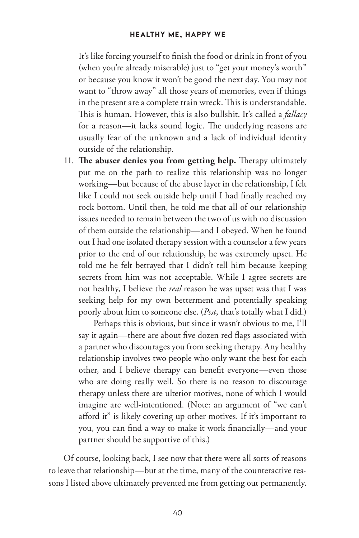It's like forcing yourself to finish the food or drink in front of you (when you're already miserable) just to "get your money's worth" or because you know it won't be good the next day. You may not want to "throw away" all those years of memories, even if things in the present are a complete train wreck. This is understandable. This is human. However, this is also bullshit. It's called a *fallacy* for a reason—it lacks sound logic. The underlying reasons are usually fear of the unknown and a lack of individual identity outside of the relationship.

11. **The abuser denies you from getting help.** Therapy ultimately put me on the path to realize this relationship was no longer working—but because of the abuse layer in the relationship, I felt like I could not seek outside help until I had finally reached my rock bottom. Until then, he told me that all of our relationship issues needed to remain between the two of us with no discussion of them outside the relationship—and I obeyed. When he found out I had one isolated therapy session with a counselor a few years prior to the end of our relationship, he was extremely upset. He told me he felt betrayed that I didn't tell him because keeping secrets from him was not acceptable. While I agree secrets are not healthy, I believe the *real* reason he was upset was that I was seeking help for my own betterment and potentially speaking poorly about him to someone else. (*Psst*, that's totally what I did.)

Perhaps this is obvious, but since it wasn't obvious to me, I'll say it again—there are about five dozen red flags associated with a partner who discourages you from seeking therapy. Any healthy relationship involves two people who only want the best for each other, and I believe therapy can benefit everyone—even those who are doing really well. So there is no reason to discourage therapy unless there are ulterior motives, none of which I would imagine are well-intentioned. (Note: an argument of "we can't afford it" is likely covering up other motives. If it's important to you, you can find a way to make it work financially—and your partner should be supportive of this.)

Of course, looking back, I see now that there were all sorts of reasons to leave that relationship—but at the time, many of the counteractive reasons I listed above ultimately prevented me from getting out permanently.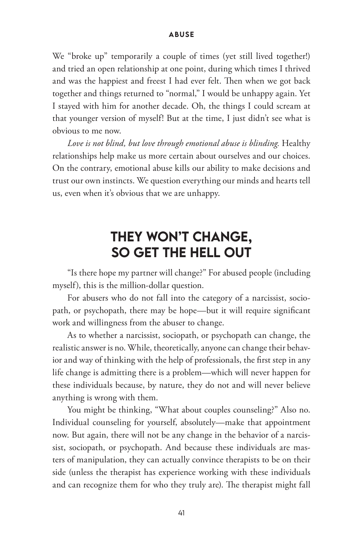We "broke up" temporarily a couple of times (yet still lived together!) and tried an open relationship at one point, during which times I thrived and was the happiest and freest I had ever felt. Then when we got back together and things returned to "normal," I would be unhappy again. Yet I stayed with him for another decade. Oh, the things I could scream at that younger version of myself! But at the time, I just didn't see what is obvious to me now.

*Love is not blind, but love through emotional abuse is blinding.* Healthy relationships help make us more certain about ourselves and our choices. On the contrary, emotional abuse kills our ability to make decisions and trust our own instincts. We question everything our minds and hearts tell us, even when it's obvious that we are unhappy.

# They Won't Change, so Get the Hell Out

"Is there hope my partner will change?" For abused people (including myself), this is the million-dollar question.

For abusers who do not fall into the category of a narcissist, sociopath, or psychopath, there may be hope—but it will require significant work and willingness from the abuser to change.

As to whether a narcissist, sociopath, or psychopath can change, the realistic answer is no. While, theoretically, anyone can change their behavior and way of thinking with the help of professionals, the first step in any life change is admitting there is a problem—which will never happen for these individuals because, by nature, they do not and will never believe anything is wrong with them.

You might be thinking, "What about couples counseling?" Also no. Individual counseling for yourself, absolutely—make that appointment now. But again, there will not be any change in the behavior of a narcissist, sociopath, or psychopath. And because these individuals are masters of manipulation, they can actually convince therapists to be on their side (unless the therapist has experience working with these individuals and can recognize them for who they truly are). The therapist might fall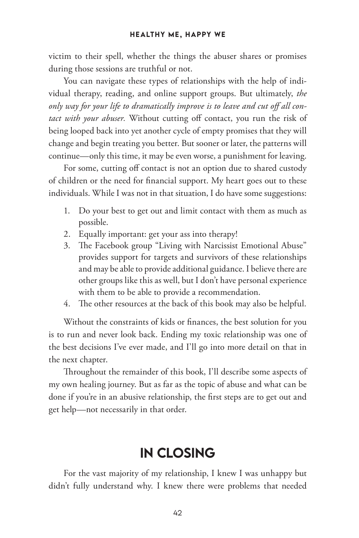victim to their spell, whether the things the abuser shares or promises during those sessions are truthful or not.

You can navigate these types of relationships with the help of individual therapy, reading, and online support groups. But ultimately, *the only way for your life to dramatically improve is to leave and cut off all contact with your abuser.* Without cutting off contact, you run the risk of being looped back into yet another cycle of empty promises that they will change and begin treating you better. But sooner or later, the patterns will continue—only this time, it may be even worse, a punishment for leaving.

For some, cutting off contact is not an option due to shared custody of children or the need for financial support. My heart goes out to these individuals. While I was not in that situation, I do have some suggestions:

- 1. Do your best to get out and limit contact with them as much as possible.
- 2. Equally important: get your ass into therapy!
- 3. The Facebook group "Living with Narcissist Emotional Abuse" provides support for targets and survivors of these relationships and may be able to provide additional guidance. I believe there are other groups like this as well, but I don't have personal experience with them to be able to provide a recommendation.
- 4. The other resources at the back of this book may also be helpful.

Without the constraints of kids or finances, the best solution for you is to run and never look back. Ending my toxic relationship was one of the best decisions I've ever made, and I'll go into more detail on that in the next chapter.

Throughout the remainder of this book, I'll describe some aspects of my own healing journey. But as far as the topic of abuse and what can be done if you're in an abusive relationship, the first steps are to get out and get help—not necessarily in that order.

# In Closing

For the vast majority of my relationship, I knew I was unhappy but didn't fully understand why. I knew there were problems that needed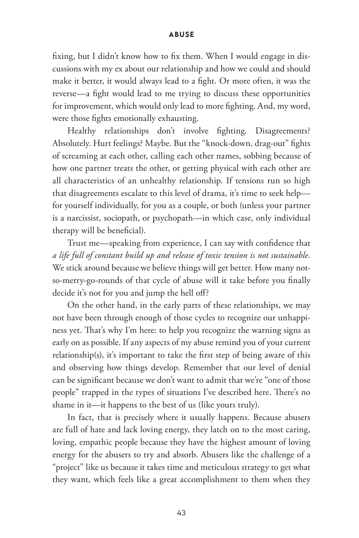fixing, but I didn't know how to fix them. When I would engage in discussions with my ex about our relationship and how we could and should make it better, it would always lead to a fight. Or more often, it was the reverse—a fight would lead to me trying to discuss these opportunities for improvement, which would only lead to more fighting. And, my word, were those fights emotionally exhausting.

Healthy relationships don't involve fighting. Disagreements? Absolutely. Hurt feelings? Maybe. But the "knock-down, drag-out" fights of screaming at each other, calling each other names, sobbing because of how one partner treats the other, or getting physical with each other are all characteristics of an unhealthy relationship. If tensions run so high that disagreements escalate to this level of drama, it's time to seek help for yourself individually, for you as a couple, or both (unless your partner is a narcissist, sociopath, or psychopath—in which case, only individual therapy will be beneficial).

Trust me—speaking from experience, I can say with confidence that *a life full of constant build up and release of toxic tension is not sustainable.*  We stick around because we believe things will get better. How many notso-merry-go-rounds of that cycle of abuse will it take before you finally decide it's not for you and jump the hell off?

On the other hand, in the early parts of these relationships, we may not have been through enough of those cycles to recognize our unhappiness yet. That's why I'm here: to help you recognize the warning signs as early on as possible. If any aspects of my abuse remind you of your current relationship(s), it's important to take the first step of being aware of this and observing how things develop. Remember that our level of denial can be significant because we don't want to admit that we're "one of those people" trapped in the types of situations I've described here. There's no shame in it—it happens to the best of us (like yours truly).

In fact, that is precisely where it usually happens. Because abusers are full of hate and lack loving energy, they latch on to the most caring, loving, empathic people because they have the highest amount of loving energy for the abusers to try and absorb. Abusers like the challenge of a "project" like us because it takes time and meticulous strategy to get what they want, which feels like a great accomplishment to them when they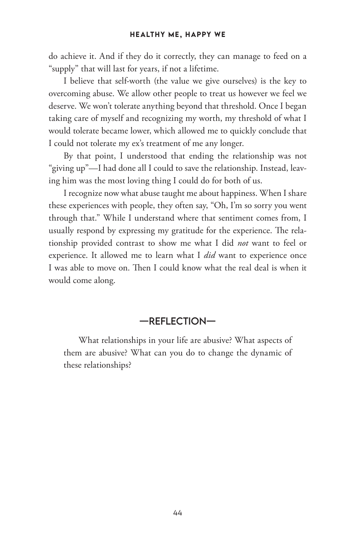do achieve it. And if they do it correctly, they can manage to feed on a "supply" that will last for years, if not a lifetime.

I believe that self-worth (the value we give ourselves) is the key to overcoming abuse. We allow other people to treat us however we feel we deserve. We won't tolerate anything beyond that threshold. Once I began taking care of myself and recognizing my worth, my threshold of what I would tolerate became lower, which allowed me to quickly conclude that I could not tolerate my ex's treatment of me any longer.

By that point, I understood that ending the relationship was not "giving up"—I had done all I could to save the relationship. Instead, leaving him was the most loving thing I could do for both of us.

I recognize now what abuse taught me about happiness. When I share these experiences with people, they often say, "Oh, I'm so sorry you went through that." While I understand where that sentiment comes from, I usually respond by expressing my gratitude for the experience. The relationship provided contrast to show me what I did *not* want to feel or experience. It allowed me to learn what I *did* want to experience once I was able to move on. Then I could know what the real deal is when it would come along.

# —REFLECTION—

What relationships in your life are abusive? What aspects of them are abusive? What can you do to change the dynamic of these relationships?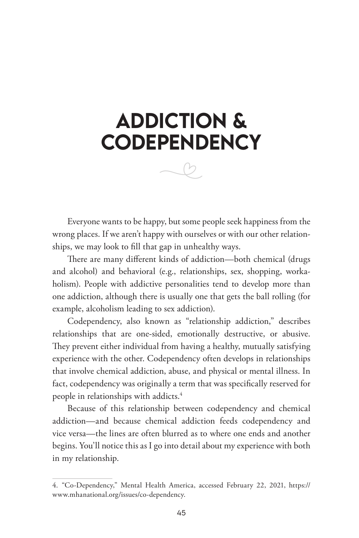# ADDICTION & **CODEPENDENCY**  $\overline{\mathcal{L}}$

Everyone wants to be happy, but some people seek happiness from the wrong places. If we aren't happy with ourselves or with our other relationships, we may look to fill that gap in unhealthy ways.

There are many different kinds of addiction—both chemical (drugs and alcohol) and behavioral (e.g., relationships, sex, shopping, workaholism). People with addictive personalities tend to develop more than one addiction, although there is usually one that gets the ball rolling (for example, alcoholism leading to sex addiction).

Codependency, also known as "relationship addiction," describes relationships that are one-sided, emotionally destructive, or abusive. They prevent either individual from having a healthy, mutually satisfying experience with the other. Codependency often develops in relationships that involve chemical addiction, abuse, and physical or mental illness. In fact, codependency was originally a term that was specifically reserved for people in relationships with addicts.<sup>4</sup>

Because of this relationship between codependency and chemical addiction—and because chemical addiction feeds codependency and vice versa—the lines are often blurred as to where one ends and another begins. You'll notice this as I go into detail about my experience with both in my relationship.

<sup>4.</sup> "Co-Dependency," Mental Health America, accessed February 22, 2021, https:// www.mhanational.org/issues/co-dependency.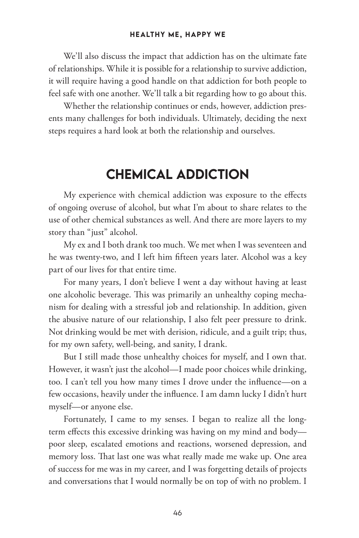## Healthy Me, Happy We

We'll also discuss the impact that addiction has on the ultimate fate of relationships. While it is possible for a relationship to survive addiction, it will require having a good handle on that addiction for both people to feel safe with one another. We'll talk a bit regarding how to go about this.

Whether the relationship continues or ends, however, addiction presents many challenges for both individuals. Ultimately, deciding the next steps requires a hard look at both the relationship and ourselves.

# Chemical Addiction

My experience with chemical addiction was exposure to the effects of ongoing overuse of alcohol, but what I'm about to share relates to the use of other chemical substances as well. And there are more layers to my story than "just" alcohol.

My ex and I both drank too much. We met when I was seventeen and he was twenty-two, and I left him fifteen years later. Alcohol was a key part of our lives for that entire time.

For many years, I don't believe I went a day without having at least one alcoholic beverage. This was primarily an unhealthy coping mechanism for dealing with a stressful job and relationship. In addition, given the abusive nature of our relationship, I also felt peer pressure to drink. Not drinking would be met with derision, ridicule, and a guilt trip; thus, for my own safety, well-being, and sanity, I drank.

But I still made those unhealthy choices for myself, and I own that. However, it wasn't just the alcohol—I made poor choices while drinking, too. I can't tell you how many times I drove under the influence—on a few occasions, heavily under the influence. I am damn lucky I didn't hurt myself—or anyone else.

Fortunately, I came to my senses. I began to realize all the longterm effects this excessive drinking was having on my mind and body poor sleep, escalated emotions and reactions, worsened depression, and memory loss. That last one was what really made me wake up. One area of success for me was in my career, and I was forgetting details of projects and conversations that I would normally be on top of with no problem. I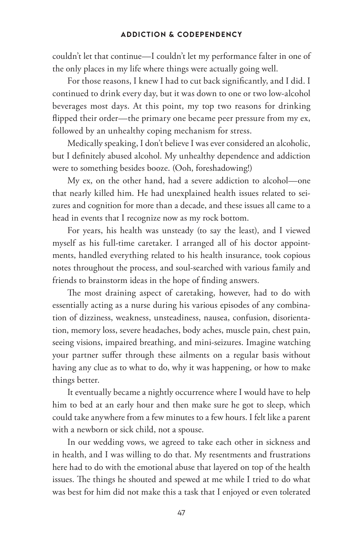couldn't let that continue—I couldn't let my performance falter in one of the only places in my life where things were actually going well.

For those reasons, I knew I had to cut back significantly, and I did. I continued to drink every day, but it was down to one or two low-alcohol beverages most days. At this point, my top two reasons for drinking flipped their order—the primary one became peer pressure from my ex, followed by an unhealthy coping mechanism for stress.

Medically speaking, I don't believe I was ever considered an alcoholic, but I definitely abused alcohol. My unhealthy dependence and addiction were to something besides booze. (Ooh, foreshadowing!)

My ex, on the other hand, had a severe addiction to alcohol—one that nearly killed him. He had unexplained health issues related to seizures and cognition for more than a decade, and these issues all came to a head in events that I recognize now as my rock bottom.

For years, his health was unsteady (to say the least), and I viewed myself as his full-time caretaker. I arranged all of his doctor appointments, handled everything related to his health insurance, took copious notes throughout the process, and soul-searched with various family and friends to brainstorm ideas in the hope of finding answers.

The most draining aspect of caretaking, however, had to do with essentially acting as a nurse during his various episodes of any combination of dizziness, weakness, unsteadiness, nausea, confusion, disorientation, memory loss, severe headaches, body aches, muscle pain, chest pain, seeing visions, impaired breathing, and mini-seizures. Imagine watching your partner suffer through these ailments on a regular basis without having any clue as to what to do, why it was happening, or how to make things better.

It eventually became a nightly occurrence where I would have to help him to bed at an early hour and then make sure he got to sleep, which could take anywhere from a few minutes to a few hours. I felt like a parent with a newborn or sick child, not a spouse.

In our wedding vows, we agreed to take each other in sickness and in health, and I was willing to do that. My resentments and frustrations here had to do with the emotional abuse that layered on top of the health issues. The things he shouted and spewed at me while I tried to do what was best for him did not make this a task that I enjoyed or even tolerated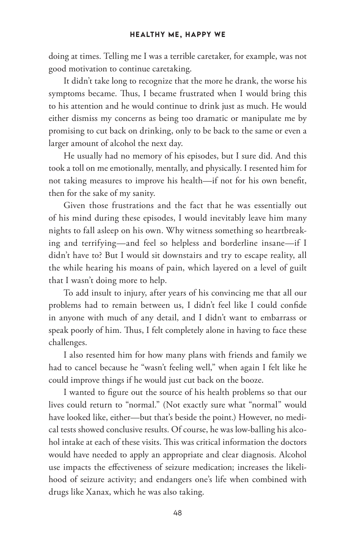doing at times. Telling me I was a terrible caretaker, for example, was not good motivation to continue caretaking.

It didn't take long to recognize that the more he drank, the worse his symptoms became. Thus, I became frustrated when I would bring this to his attention and he would continue to drink just as much. He would either dismiss my concerns as being too dramatic or manipulate me by promising to cut back on drinking, only to be back to the same or even a larger amount of alcohol the next day.

He usually had no memory of his episodes, but I sure did. And this took a toll on me emotionally, mentally, and physically. I resented him for not taking measures to improve his health—if not for his own benefit, then for the sake of my sanity.

Given those frustrations and the fact that he was essentially out of his mind during these episodes, I would inevitably leave him many nights to fall asleep on his own. Why witness something so heartbreaking and terrifying—and feel so helpless and borderline insane—if I didn't have to? But I would sit downstairs and try to escape reality, all the while hearing his moans of pain, which layered on a level of guilt that I wasn't doing more to help.

To add insult to injury, after years of his convincing me that all our problems had to remain between us, I didn't feel like I could confide in anyone with much of any detail, and I didn't want to embarrass or speak poorly of him. Thus, I felt completely alone in having to face these challenges.

I also resented him for how many plans with friends and family we had to cancel because he "wasn't feeling well," when again I felt like he could improve things if he would just cut back on the booze.

I wanted to figure out the source of his health problems so that our lives could return to "normal." (Not exactly sure what "normal" would have looked like, either—but that's beside the point.) However, no medical tests showed conclusive results. Of course, he was low-balling his alcohol intake at each of these visits. This was critical information the doctors would have needed to apply an appropriate and clear diagnosis. Alcohol use impacts the effectiveness of seizure medication; increases the likelihood of seizure activity; and endangers one's life when combined with drugs like Xanax, which he was also taking.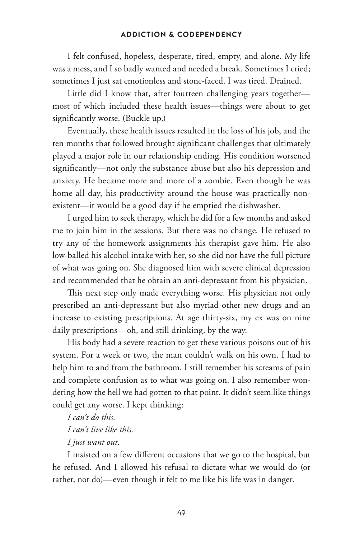I felt confused, hopeless, desperate, tired, empty, and alone. My life was a mess, and I so badly wanted and needed a break. Sometimes I cried; sometimes I just sat emotionless and stone-faced. I was tired. Drained.

Little did I know that, after fourteen challenging years together most of which included these health issues—things were about to get significantly worse. (Buckle up.)

Eventually, these health issues resulted in the loss of his job, and the ten months that followed brought significant challenges that ultimately played a major role in our relationship ending. His condition worsened significantly—not only the substance abuse but also his depression and anxiety. He became more and more of a zombie. Even though he was home all day, his productivity around the house was practically nonexistent—it would be a good day if he emptied the dishwasher.

I urged him to seek therapy, which he did for a few months and asked me to join him in the sessions. But there was no change. He refused to try any of the homework assignments his therapist gave him. He also low-balled his alcohol intake with her, so she did not have the full picture of what was going on. She diagnosed him with severe clinical depression and recommended that he obtain an anti-depressant from his physician.

This next step only made everything worse. His physician not only prescribed an anti-depressant but also myriad other new drugs and an increase to existing prescriptions. At age thirty-six, my ex was on nine daily prescriptions—oh, and still drinking, by the way.

His body had a severe reaction to get these various poisons out of his system. For a week or two, the man couldn't walk on his own. I had to help him to and from the bathroom. I still remember his screams of pain and complete confusion as to what was going on. I also remember wondering how the hell we had gotten to that point. It didn't seem like things could get any worse. I kept thinking:

*I can't do this. I can't live like this. I just want out.*

I insisted on a few different occasions that we go to the hospital, but he refused. And I allowed his refusal to dictate what we would do (or rather, not do)—even though it felt to me like his life was in danger.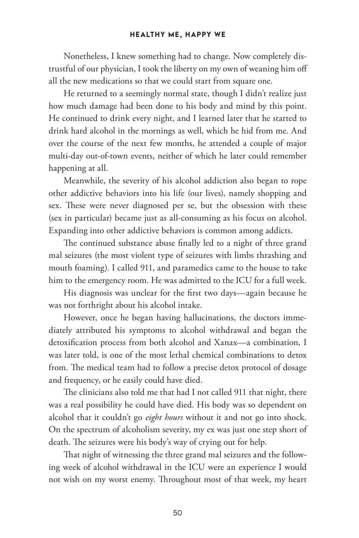Nonetheless, I knew something had to change. Now completely distrustful of our physician, I took the liberty on my own of weaning him off all the new medications so that we could start from square one.

He returned to a seemingly normal state, though I didn't realize just how much damage had been done to his body and mind by this point. He continued to drink every night, and I learned later that he started to drink hard alcohol in the mornings as well, which he hid from me. And over the course of the next few months, he attended a couple of major multi-day out-of-town events, neither of which he later could remember happening at all.

Meanwhile, the severity of his alcohol addiction also began to rope other addictive behaviors into his life (our lives), namely shopping and sex. These were never diagnosed per se, but the obsession with these (sex in particular) became just as all-consuming as his focus on alcohol. Expanding into other addictive behaviors is common among addicts.

The continued substance abuse finally led to a night of three grand mal seizures (the most violent type of seizures with limbs thrashing and mouth foaming). I called 911, and paramedics came to the house to take him to the emergency room. He was admitted to the ICU for a full week.

His diagnosis was unclear for the first two days—again because he was not forthright about his alcohol intake.

However, once he began having hallucinations, the doctors immediately attributed his symptoms to alcohol withdrawal and began the detoxification process from both alcohol and Xanax—a combination, I was later told, is one of the most lethal chemical combinations to detox from. The medical team had to follow a precise detox protocol of dosage and frequency, or he easily could have died.

The clinicians also told me that had I not called 911 that night, there was a real possibility he could have died. His body was so dependent on alcohol that it couldn't go *eight hours* without it and not go into shock. On the spectrum of alcoholism severity, my ex was just one step short of death. The seizures were his body's way of crying out for help.

That night of witnessing the three grand mal seizures and the following week of alcohol withdrawal in the ICU were an experience I would not wish on my worst enemy. Throughout most of that week, my heart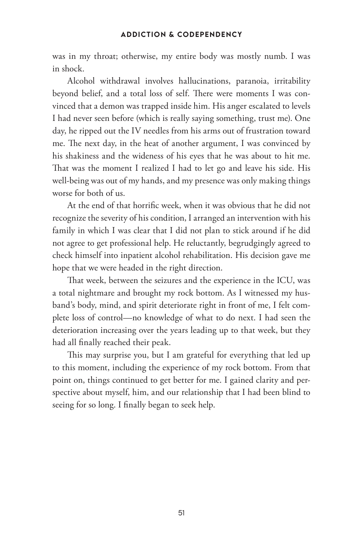was in my throat; otherwise, my entire body was mostly numb. I was in shock.

Alcohol withdrawal involves hallucinations, paranoia, irritability beyond belief, and a total loss of self. There were moments I was convinced that a demon was trapped inside him. His anger escalated to levels I had never seen before (which is really saying something, trust me). One day, he ripped out the IV needles from his arms out of frustration toward me. The next day, in the heat of another argument, I was convinced by his shakiness and the wideness of his eyes that he was about to hit me. That was the moment I realized I had to let go and leave his side. His well-being was out of my hands, and my presence was only making things worse for both of us.

At the end of that horrific week, when it was obvious that he did not recognize the severity of his condition, I arranged an intervention with his family in which I was clear that I did not plan to stick around if he did not agree to get professional help. He reluctantly, begrudgingly agreed to check himself into inpatient alcohol rehabilitation. His decision gave me hope that we were headed in the right direction.

That week, between the seizures and the experience in the ICU, was a total nightmare and brought my rock bottom. As I witnessed my husband's body, mind, and spirit deteriorate right in front of me, I felt complete loss of control—no knowledge of what to do next. I had seen the deterioration increasing over the years leading up to that week, but they had all finally reached their peak.

This may surprise you, but I am grateful for everything that led up to this moment, including the experience of my rock bottom. From that point on, things continued to get better for me. I gained clarity and perspective about myself, him, and our relationship that I had been blind to seeing for so long. I finally began to seek help.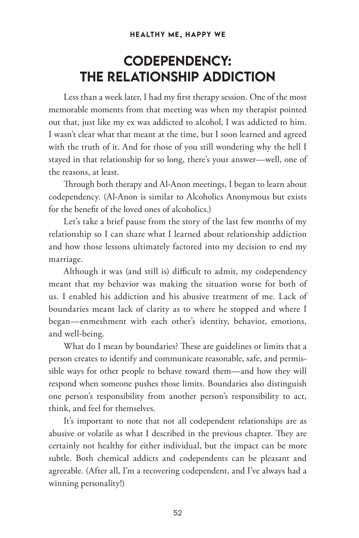# Codependency: The Relationship Addiction

Less than a week later, I had my first therapy session. One of the most memorable moments from that meeting was when my therapist pointed out that, just like my ex was addicted to alcohol, I was addicted to him. I wasn't clear what that meant at the time, but I soon learned and agreed with the truth of it. And for those of you still wondering why the hell I stayed in that relationship for so long, there's your answer—well, one of the reasons, at least.

Through both therapy and Al-Anon meetings, I began to learn about codependency. (Al-Anon is similar to Alcoholics Anonymous but exists for the benefit of the loved ones of alcoholics.)

Let's take a brief pause from the story of the last few months of my relationship so I can share what I learned about relationship addiction and how those lessons ultimately factored into my decision to end my marriage.

Although it was (and still is) difficult to admit, my codependency meant that my behavior was making the situation worse for both of us. I enabled his addiction and his abusive treatment of me. Lack of boundaries meant lack of clarity as to where he stopped and where I began—enmeshment with each other's identity, behavior, emotions, and well-being.

What do I mean by boundaries? These are guidelines or limits that a person creates to identify and communicate reasonable, safe, and permissible ways for other people to behave toward them—and how they will respond when someone pushes those limits. Boundaries also distinguish one person's responsibility from another person's responsibility to act, think, and feel for themselves.

It's important to note that not all codependent relationships are as abusive or volatile as what I described in the previous chapter. They are certainly not healthy for either individual, but the impact can be more subtle. Both chemical addicts and codependents can be pleasant and agreeable. (After all, I'm a recovering codependent, and I've always had a winning personality!)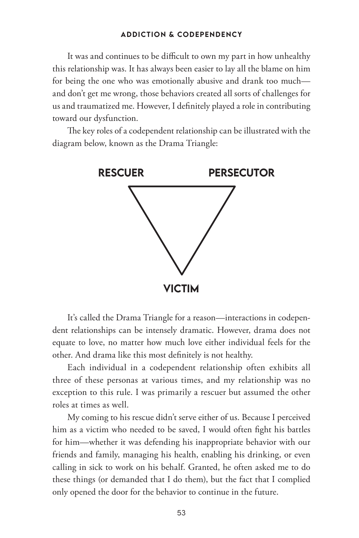It was and continues to be difficult to own my part in how unhealthy this relationship was. It has always been easier to lay all the blame on him for being the one who was emotionally abusive and drank too much and don't get me wrong, those behaviors created all sorts of challenges for us and traumatized me. However, I definitely played a role in contributing toward our dysfunction.

The key roles of a codependent relationship can be illustrated with the diagram below, known as the Drama Triangle:



It's called the Drama Triangle for a reason—interactions in codependent relationships can be intensely dramatic. However, drama does not equate to love, no matter how much love either individual feels for the other. And drama like this most definitely is not healthy.

Each individual in a codependent relationship often exhibits all three of these personas at various times, and my relationship was no exception to this rule. I was primarily a rescuer but assumed the other roles at times as well.

My coming to his rescue didn't serve either of us. Because I perceived him as a victim who needed to be saved, I would often fight his battles for him—whether it was defending his inappropriate behavior with our friends and family, managing his health, enabling his drinking, or even calling in sick to work on his behalf. Granted, he often asked me to do these things (or demanded that I do them), but the fact that I complied only opened the door for the behavior to continue in the future.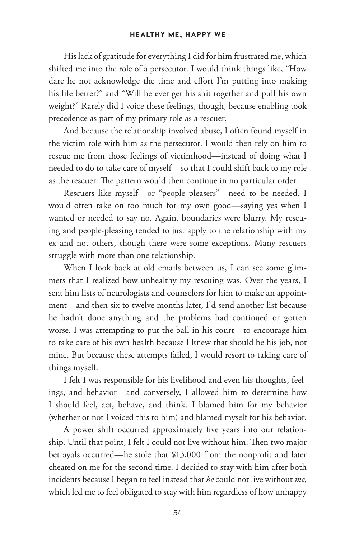## Healthy Me, Happy We

His lack of gratitude for everything I did for him frustrated me, which shifted me into the role of a persecutor. I would think things like, "How dare he not acknowledge the time and effort I'm putting into making his life better?" and "Will he ever get his shit together and pull his own weight?" Rarely did I voice these feelings, though, because enabling took precedence as part of my primary role as a rescuer.

And because the relationship involved abuse, I often found myself in the victim role with him as the persecutor. I would then rely on him to rescue me from those feelings of victimhood—instead of doing what I needed to do to take care of myself—so that I could shift back to my role as the rescuer. The pattern would then continue in no particular order.

Rescuers like myself—or "people pleasers"—need to be needed. I would often take on too much for my own good—saying yes when I wanted or needed to say no. Again, boundaries were blurry. My rescuing and people-pleasing tended to just apply to the relationship with my ex and not others, though there were some exceptions. Many rescuers struggle with more than one relationship.

When I look back at old emails between us, I can see some glimmers that I realized how unhealthy my rescuing was. Over the years, I sent him lists of neurologists and counselors for him to make an appointment—and then six to twelve months later, I'd send another list because he hadn't done anything and the problems had continued or gotten worse. I was attempting to put the ball in his court—to encourage him to take care of his own health because I knew that should be his job, not mine. But because these attempts failed, I would resort to taking care of things myself.

I felt I was responsible for his livelihood and even his thoughts, feelings, and behavior—and conversely, I allowed him to determine how I should feel, act, behave, and think. I blamed him for my behavior (whether or not I voiced this to him) and blamed myself for his behavior.

A power shift occurred approximately five years into our relationship. Until that point, I felt I could not live without him. Then two major betrayals occurred—he stole that \$13,000 from the nonprofit and later cheated on me for the second time. I decided to stay with him after both incidents because I began to feel instead that *he* could not live without *me*, which led me to feel obligated to stay with him regardless of how unhappy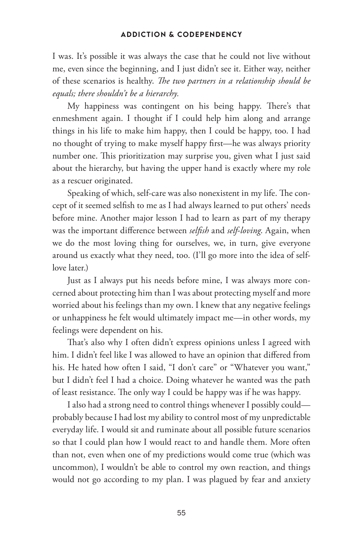I was. It's possible it was always the case that he could not live without me, even since the beginning, and I just didn't see it. Either way, neither of these scenarios is healthy. *The two partners in a relationship should be equals; there shouldn't be a hierarchy.*

My happiness was contingent on his being happy. There's that enmeshment again. I thought if I could help him along and arrange things in his life to make him happy, then I could be happy, too. I had no thought of trying to make myself happy first—he was always priority number one. This prioritization may surprise you, given what I just said about the hierarchy, but having the upper hand is exactly where my role as a rescuer originated.

Speaking of which, self-care was also nonexistent in my life. The concept of it seemed selfish to me as I had always learned to put others' needs before mine. Another major lesson I had to learn as part of my therapy was the important difference between *selfish* and *self-loving*. Again, when we do the most loving thing for ourselves, we, in turn, give everyone around us exactly what they need, too. (I'll go more into the idea of selflove later.)

Just as I always put his needs before mine, I was always more concerned about protecting him than I was about protecting myself and more worried about his feelings than my own. I knew that any negative feelings or unhappiness he felt would ultimately impact me—in other words, my feelings were dependent on his.

That's also why I often didn't express opinions unless I agreed with him. I didn't feel like I was allowed to have an opinion that differed from his. He hated how often I said, "I don't care" or "Whatever you want," but I didn't feel I had a choice. Doing whatever he wanted was the path of least resistance. The only way I could be happy was if he was happy.

I also had a strong need to control things whenever I possibly could probably because I had lost my ability to control most of my unpredictable everyday life. I would sit and ruminate about all possible future scenarios so that I could plan how I would react to and handle them. More often than not, even when one of my predictions would come true (which was uncommon), I wouldn't be able to control my own reaction, and things would not go according to my plan. I was plagued by fear and anxiety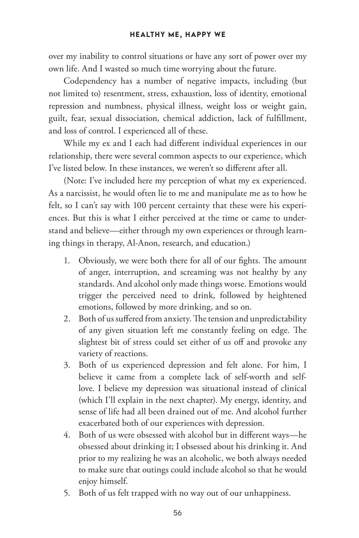over my inability to control situations or have any sort of power over my own life. And I wasted so much time worrying about the future.

Codependency has a number of negative impacts, including (but not limited to) resentment, stress, exhaustion, loss of identity, emotional repression and numbness, physical illness, weight loss or weight gain, guilt, fear, sexual dissociation, chemical addiction, lack of fulfillment, and loss of control. I experienced all of these.

While my ex and I each had different individual experiences in our relationship, there were several common aspects to our experience, which I've listed below. In these instances, we weren't so different after all.

(Note: I've included here my perception of what my ex experienced. As a narcissist, he would often lie to me and manipulate me as to how he felt, so I can't say with 100 percent certainty that these were his experiences. But this is what I either perceived at the time or came to understand and believe—either through my own experiences or through learning things in therapy, Al-Anon, research, and education.)

- 1. Obviously, we were both there for all of our fights. The amount of anger, interruption, and screaming was not healthy by any standards. And alcohol only made things worse. Emotions would trigger the perceived need to drink, followed by heightened emotions, followed by more drinking, and so on.
- 2. Both of us suffered from anxiety. The tension and unpredictability of any given situation left me constantly feeling on edge. The slightest bit of stress could set either of us off and provoke any variety of reactions.
- 3. Both of us experienced depression and felt alone. For him, I believe it came from a complete lack of self-worth and selflove. I believe my depression was situational instead of clinical (which I'll explain in the next chapter). My energy, identity, and sense of life had all been drained out of me. And alcohol further exacerbated both of our experiences with depression.
- 4. Both of us were obsessed with alcohol but in different ways—he obsessed about drinking it; I obsessed about his drinking it. And prior to my realizing he was an alcoholic, we both always needed to make sure that outings could include alcohol so that he would enjoy himself.
- 5. Both of us felt trapped with no way out of our unhappiness.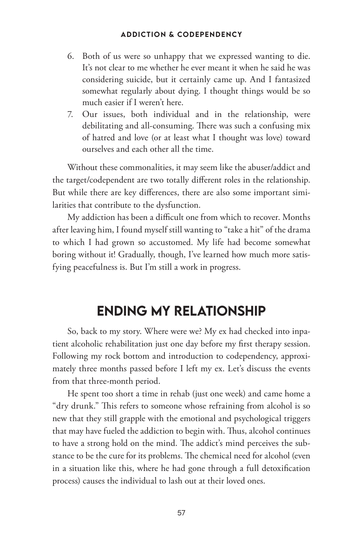- 6. Both of us were so unhappy that we expressed wanting to die. It's not clear to me whether he ever meant it when he said he was considering suicide, but it certainly came up. And I fantasized somewhat regularly about dying. I thought things would be so much easier if I weren't here.
- 7. Our issues, both individual and in the relationship, were debilitating and all-consuming. There was such a confusing mix of hatred and love (or at least what I thought was love) toward ourselves and each other all the time.

Without these commonalities, it may seem like the abuser/addict and the target/codependent are two totally different roles in the relationship. But while there are key differences, there are also some important similarities that contribute to the dysfunction.

My addiction has been a difficult one from which to recover. Months after leaving him, I found myself still wanting to "take a hit" of the drama to which I had grown so accustomed. My life had become somewhat boring without it! Gradually, though, I've learned how much more satisfying peacefulness is. But I'm still a work in progress.

# Ending My Relationship

So, back to my story. Where were we? My ex had checked into inpatient alcoholic rehabilitation just one day before my first therapy session. Following my rock bottom and introduction to codependency, approximately three months passed before I left my ex. Let's discuss the events from that three-month period.

He spent too short a time in rehab (just one week) and came home a "dry drunk." This refers to someone whose refraining from alcohol is so new that they still grapple with the emotional and psychological triggers that may have fueled the addiction to begin with. Thus, alcohol continues to have a strong hold on the mind. The addict's mind perceives the substance to be the cure for its problems. The chemical need for alcohol (even in a situation like this, where he had gone through a full detoxification process) causes the individual to lash out at their loved ones.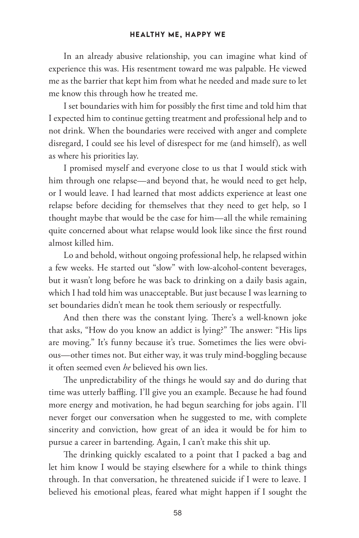## Healthy Me, Happy We

In an already abusive relationship, you can imagine what kind of experience this was. His resentment toward me was palpable. He viewed me as the barrier that kept him from what he needed and made sure to let me know this through how he treated me.

I set boundaries with him for possibly the first time and told him that I expected him to continue getting treatment and professional help and to not drink. When the boundaries were received with anger and complete disregard, I could see his level of disrespect for me (and himself), as well as where his priorities lay.

I promised myself and everyone close to us that I would stick with him through one relapse—and beyond that, he would need to get help, or I would leave. I had learned that most addicts experience at least one relapse before deciding for themselves that they need to get help, so I thought maybe that would be the case for him—all the while remaining quite concerned about what relapse would look like since the first round almost killed him.

Lo and behold, without ongoing professional help, he relapsed within a few weeks. He started out "slow" with low-alcohol-content beverages, but it wasn't long before he was back to drinking on a daily basis again, which I had told him was unacceptable. But just because I was learning to set boundaries didn't mean he took them seriously or respectfully.

And then there was the constant lying. There's a well-known joke that asks, "How do you know an addict is lying?" The answer: "His lips are moving." It's funny because it's true. Sometimes the lies were obvious—other times not. But either way, it was truly mind-boggling because it often seemed even *he* believed his own lies.

The unpredictability of the things he would say and do during that time was utterly baffling. I'll give you an example. Because he had found more energy and motivation, he had begun searching for jobs again. I'll never forget our conversation when he suggested to me, with complete sincerity and conviction, how great of an idea it would be for him to pursue a career in bartending. Again, I can't make this shit up.

The drinking quickly escalated to a point that I packed a bag and let him know I would be staying elsewhere for a while to think things through. In that conversation, he threatened suicide if I were to leave. I believed his emotional pleas, feared what might happen if I sought the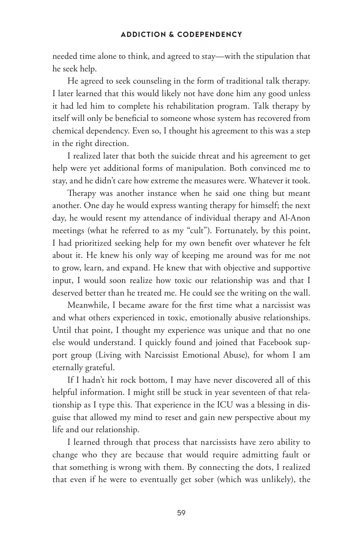needed time alone to think, and agreed to stay—with the stipulation that he seek help.

He agreed to seek counseling in the form of traditional talk therapy. I later learned that this would likely not have done him any good unless it had led him to complete his rehabilitation program. Talk therapy by itself will only be beneficial to someone whose system has recovered from chemical dependency. Even so, I thought his agreement to this was a step in the right direction.

I realized later that both the suicide threat and his agreement to get help were yet additional forms of manipulation. Both convinced me to stay, and he didn't care how extreme the measures were. Whatever it took.

Therapy was another instance when he said one thing but meant another. One day he would express wanting therapy for himself; the next day, he would resent my attendance of individual therapy and Al-Anon meetings (what he referred to as my "cult"). Fortunately, by this point, I had prioritized seeking help for my own benefit over whatever he felt about it. He knew his only way of keeping me around was for me not to grow, learn, and expand. He knew that with objective and supportive input, I would soon realize how toxic our relationship was and that I deserved better than he treated me. He could see the writing on the wall.

Meanwhile, I became aware for the first time what a narcissist was and what others experienced in toxic, emotionally abusive relationships. Until that point, I thought my experience was unique and that no one else would understand. I quickly found and joined that Facebook support group (Living with Narcissist Emotional Abuse), for whom I am eternally grateful.

If I hadn't hit rock bottom, I may have never discovered all of this helpful information. I might still be stuck in year seventeen of that relationship as I type this. That experience in the ICU was a blessing in disguise that allowed my mind to reset and gain new perspective about my life and our relationship.

I learned through that process that narcissists have zero ability to change who they are because that would require admitting fault or that something is wrong with them. By connecting the dots, I realized that even if he were to eventually get sober (which was unlikely), the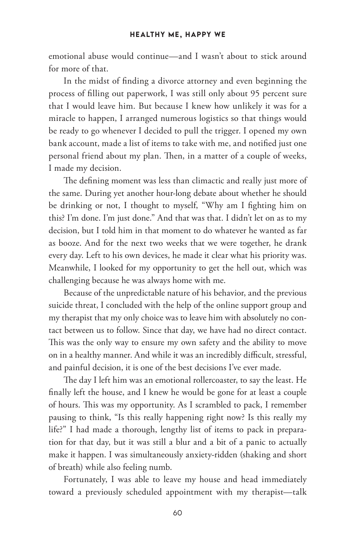emotional abuse would continue—and I wasn't about to stick around for more of that.

In the midst of finding a divorce attorney and even beginning the process of filling out paperwork, I was still only about 95 percent sure that I would leave him. But because I knew how unlikely it was for a miracle to happen, I arranged numerous logistics so that things would be ready to go whenever I decided to pull the trigger. I opened my own bank account, made a list of items to take with me, and notified just one personal friend about my plan. Then, in a matter of a couple of weeks, I made my decision.

The defining moment was less than climactic and really just more of the same. During yet another hour-long debate about whether he should be drinking or not, I thought to myself, "Why am I fighting him on this? I'm done. I'm just done." And that was that. I didn't let on as to my decision, but I told him in that moment to do whatever he wanted as far as booze. And for the next two weeks that we were together, he drank every day. Left to his own devices, he made it clear what his priority was. Meanwhile, I looked for my opportunity to get the hell out, which was challenging because he was always home with me.

Because of the unpredictable nature of his behavior, and the previous suicide threat, I concluded with the help of the online support group and my therapist that my only choice was to leave him with absolutely no contact between us to follow. Since that day, we have had no direct contact. This was the only way to ensure my own safety and the ability to move on in a healthy manner. And while it was an incredibly difficult, stressful, and painful decision, it is one of the best decisions I've ever made.

The day I left him was an emotional rollercoaster, to say the least. He finally left the house, and I knew he would be gone for at least a couple of hours. This was my opportunity. As I scrambled to pack, I remember pausing to think, "Is this really happening right now? Is this really my life?" I had made a thorough, lengthy list of items to pack in preparation for that day, but it was still a blur and a bit of a panic to actually make it happen. I was simultaneously anxiety-ridden (shaking and short of breath) while also feeling numb.

Fortunately, I was able to leave my house and head immediately toward a previously scheduled appointment with my therapist—talk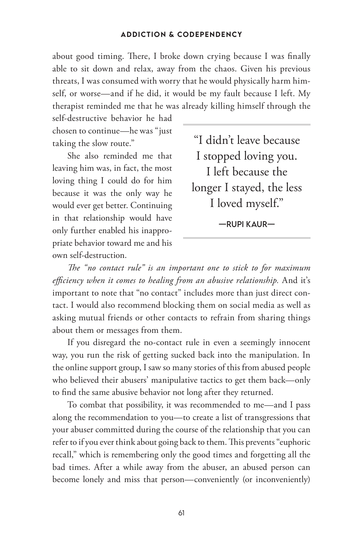about good timing. There, I broke down crying because I was finally able to sit down and relax, away from the chaos. Given his previous threats, I was consumed with worry that he would physically harm himself, or worse—and if he did, it would be my fault because I left. My therapist reminded me that he was already killing himself through the

self-destructive behavior he had chosen to continue—he was "just taking the slow route."

She also reminded me that leaving him was, in fact, the most loving thing I could do for him because it was the only way he would ever get better. Continuing in that relationship would have only further enabled his inappropriate behavior toward me and his own self-destruction.

"I didn't leave because I stopped loving you. I left because the longer I stayed, the less I loved myself."

—Rupi Kaur—

*The "no contact rule" is an important one to stick to for maximum efficiency when it comes to healing from an abusive relationship.* And it's important to note that "no contact" includes more than just direct contact. I would also recommend blocking them on social media as well as asking mutual friends or other contacts to refrain from sharing things about them or messages from them.

If you disregard the no-contact rule in even a seemingly innocent way, you run the risk of getting sucked back into the manipulation. In the online support group, I saw so many stories of this from abused people who believed their abusers' manipulative tactics to get them back—only to find the same abusive behavior not long after they returned.

To combat that possibility, it was recommended to me—and I pass along the recommendation to you—to create a list of transgressions that your abuser committed during the course of the relationship that you can refer to if you ever think about going back to them. This prevents "euphoric recall," which is remembering only the good times and forgetting all the bad times. After a while away from the abuser, an abused person can become lonely and miss that person—conveniently (or inconveniently)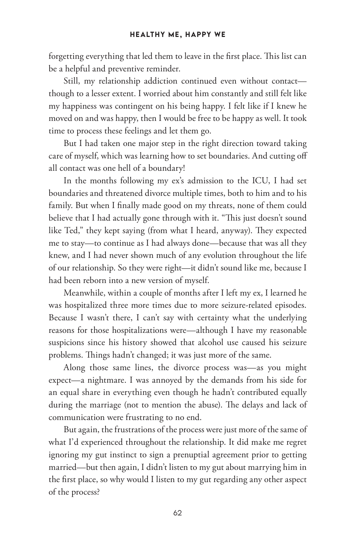forgetting everything that led them to leave in the first place. This list can be a helpful and preventive reminder.

Still, my relationship addiction continued even without contact though to a lesser extent. I worried about him constantly and still felt like my happiness was contingent on his being happy. I felt like if I knew he moved on and was happy, then I would be free to be happy as well. It took time to process these feelings and let them go.

But I had taken one major step in the right direction toward taking care of myself, which was learning how to set boundaries. And cutting off all contact was one hell of a boundary!

In the months following my ex's admission to the ICU, I had set boundaries and threatened divorce multiple times, both to him and to his family. But when I finally made good on my threats, none of them could believe that I had actually gone through with it. "This just doesn't sound like Ted," they kept saying (from what I heard, anyway). They expected me to stay—to continue as I had always done—because that was all they knew, and I had never shown much of any evolution throughout the life of our relationship. So they were right—it didn't sound like me, because I had been reborn into a new version of myself.

Meanwhile, within a couple of months after I left my ex, I learned he was hospitalized three more times due to more seizure-related episodes. Because I wasn't there, I can't say with certainty what the underlying reasons for those hospitalizations were—although I have my reasonable suspicions since his history showed that alcohol use caused his seizure problems. Things hadn't changed; it was just more of the same.

Along those same lines, the divorce process was—as you might expect—a nightmare. I was annoyed by the demands from his side for an equal share in everything even though he hadn't contributed equally during the marriage (not to mention the abuse). The delays and lack of communication were frustrating to no end.

But again, the frustrations of the process were just more of the same of what I'd experienced throughout the relationship. It did make me regret ignoring my gut instinct to sign a prenuptial agreement prior to getting married—but then again, I didn't listen to my gut about marrying him in the first place, so why would I listen to my gut regarding any other aspect of the process?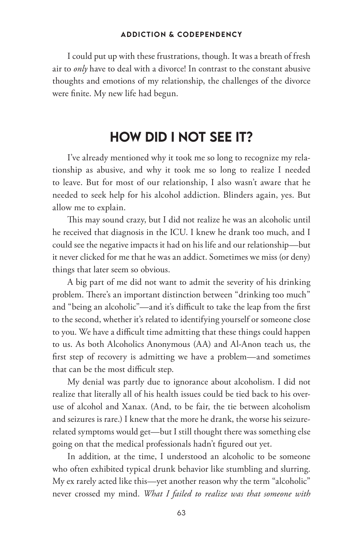#### ADDICTION & CODEPENDENCY

I could put up with these frustrations, though. It was a breath of fresh air to *only* have to deal with a divorce! In contrast to the constant abusive thoughts and emotions of my relationship, the challenges of the divorce were finite. My new life had begun.

# HOW DID I NOT SEE IT?

I've already mentioned why it took me so long to recognize my relationship as abusive, and why it took me so long to realize I needed to leave. But for most of our relationship, I also wasn't aware that he needed to seek help for his alcohol addiction. Blinders again, yes. But allow me to explain.

This may sound crazy, but I did not realize he was an alcoholic until he received that diagnosis in the ICU. I knew he drank too much, and I could see the negative impacts it had on his life and our relationship—but it never clicked for me that he was an addict. Sometimes we miss (or deny) things that later seem so obvious.

A big part of me did not want to admit the severity of his drinking problem. There's an important distinction between "drinking too much" and "being an alcoholic"—and it's difficult to take the leap from the first to the second, whether it's related to identifying yourself or someone close to you. We have a difficult time admitting that these things could happen to us. As both Alcoholics Anonymous (AA) and Al-Anon teach us, the first step of recovery is admitting we have a problem—and sometimes that can be the most difficult step.

My denial was partly due to ignorance about alcoholism. I did not realize that literally all of his health issues could be tied back to his overuse of alcohol and Xanax. (And, to be fair, the tie between alcoholism and seizures is rare.) I knew that the more he drank, the worse his seizurerelated symptoms would get—but I still thought there was something else going on that the medical professionals hadn't figured out yet.

In addition, at the time, I understood an alcoholic to be someone who often exhibited typical drunk behavior like stumbling and slurring. My ex rarely acted like this—yet another reason why the term "alcoholic" never crossed my mind. *What I failed to realize was that someone with*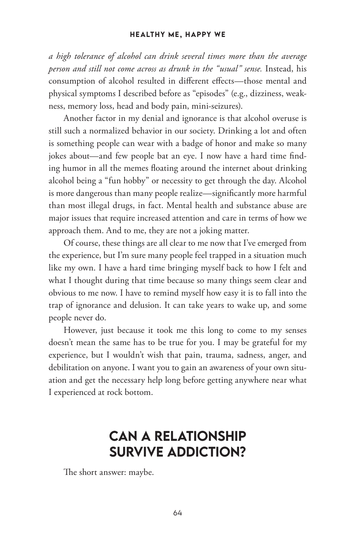#### Healthy Me, Happy We

*a high tolerance of alcohol can drink several times more than the average person and still not come across as drunk in the "usual" sense.* Instead, his consumption of alcohol resulted in different effects—those mental and physical symptoms I described before as "episodes" (e.g., dizziness, weakness, memory loss, head and body pain, mini-seizures).

Another factor in my denial and ignorance is that alcohol overuse is still such a normalized behavior in our society. Drinking a lot and often is something people can wear with a badge of honor and make so many jokes about—and few people bat an eye. I now have a hard time finding humor in all the memes floating around the internet about drinking alcohol being a "fun hobby" or necessity to get through the day. Alcohol is more dangerous than many people realize—significantly more harmful than most illegal drugs, in fact. Mental health and substance abuse are major issues that require increased attention and care in terms of how we approach them. And to me, they are not a joking matter.

Of course, these things are all clear to me now that I've emerged from the experience, but I'm sure many people feel trapped in a situation much like my own. I have a hard time bringing myself back to how I felt and what I thought during that time because so many things seem clear and obvious to me now. I have to remind myself how easy it is to fall into the trap of ignorance and delusion. It can take years to wake up, and some people never do.

However, just because it took me this long to come to my senses doesn't mean the same has to be true for you. I may be grateful for my experience, but I wouldn't wish that pain, trauma, sadness, anger, and debilitation on anyone. I want you to gain an awareness of your own situation and get the necessary help long before getting anywhere near what I experienced at rock bottom.

# Can a Relationship Survive Addiction?

The short answer: maybe.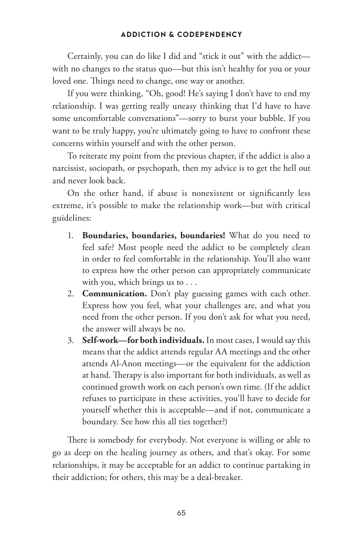#### ADDICTION & CODEPENDENCY

Certainly, you can do like I did and "stick it out" with the addict with no changes to the status quo—but this isn't healthy for you or your loved one. Things need to change, one way or another.

If you were thinking, "Oh, good! He's saying I don't have to end my relationship. I was getting really uneasy thinking that I'd have to have some uncomfortable conversations"—sorry to burst your bubble. If you want to be truly happy, you're ultimately going to have to confront these concerns within yourself and with the other person.

To reiterate my point from the previous chapter, if the addict is also a narcissist, sociopath, or psychopath, then my advice is to get the hell out and never look back.

On the other hand, if abuse is nonexistent or significantly less extreme, it's possible to make the relationship work—but with critical guidelines:

- 1. **Boundaries, boundaries, boundaries!** What do you need to feel safe? Most people need the addict to be completely clean in order to feel comfortable in the relationship. You'll also want to express how the other person can appropriately communicate with you, which brings us to . . .
- 2. **Communication.** Don't play guessing games with each other. Express how you feel, what your challenges are, and what you need from the other person. If you don't ask for what you need, the answer will always be no.
- 3. **Self-work—for both individuals.** In most cases, I would say this means that the addict attends regular AA meetings and the other attends Al-Anon meetings—or the equivalent for the addiction at hand. Therapy is also important for both individuals, as well as continued growth work on each person's own time. (If the addict refuses to participate in these activities, you'll have to decide for yourself whether this is acceptable—and if not, communicate a boundary. See how this all ties together?)

There is somebody for everybody. Not everyone is willing or able to go as deep on the healing journey as others, and that's okay. For some relationships, it may be acceptable for an addict to continue partaking in their addiction; for others, this may be a deal-breaker.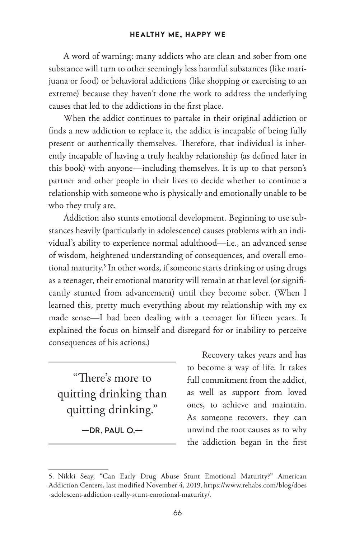#### Healthy Me, Happy We

A word of warning: many addicts who are clean and sober from one substance will turn to other seemingly less harmful substances (like marijuana or food) or behavioral addictions (like shopping or exercising to an extreme) because they haven't done the work to address the underlying causes that led to the addictions in the first place.

When the addict continues to partake in their original addiction or finds a new addiction to replace it, the addict is incapable of being fully present or authentically themselves. Therefore, that individual is inherently incapable of having a truly healthy relationship (as defined later in this book) with anyone—including themselves. It is up to that person's partner and other people in their lives to decide whether to continue a relationship with someone who is physically and emotionally unable to be who they truly are.

Addiction also stunts emotional development. Beginning to use substances heavily (particularly in adolescence) causes problems with an individual's ability to experience normal adulthood—i.e., an advanced sense of wisdom, heightened understanding of consequences, and overall emotional maturity.5 In other words, if someone starts drinking or using drugs as a teenager, their emotional maturity will remain at that level (or significantly stunted from advancement) until they become sober. (When I learned this, pretty much everything about my relationship with my ex made sense—I had been dealing with a teenager for fifteen years. It explained the focus on himself and disregard for or inability to perceive consequences of his actions.)

"There's more to quitting drinking than quitting drinking."

—Dr. Paul O.—

Recovery takes years and has to become a way of life. It takes full commitment from the addict, as well as support from loved ones, to achieve and maintain. As someone recovers, they can unwind the root causes as to why the addiction began in the first

<sup>5.</sup> Nikki Seay, "Can Early Drug Abuse Stunt Emotional Maturity?" American Addiction Centers, last modified November 4, 2019, https://www.rehabs.com/blog/does -adolescent-addiction-really-stunt-emotional-maturity/.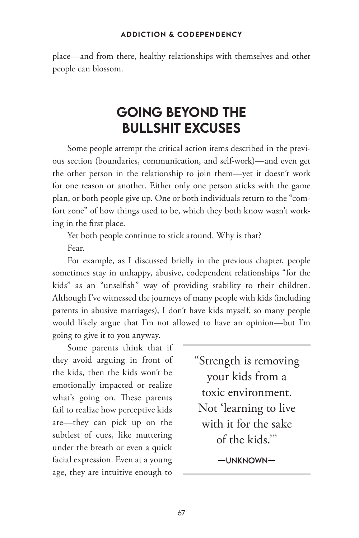#### ADDICTION & CODEPENDENCY

place—and from there, healthy relationships with themselves and other people can blossom.

# Going Beyond the Bullshit Excuses

Some people attempt the critical action items described in the previous section (boundaries, communication, and self-work)—and even get the other person in the relationship to join them—yet it doesn't work for one reason or another. Either only one person sticks with the game plan, or both people give up. One or both individuals return to the "comfort zone" of how things used to be, which they both know wasn't working in the first place.

Yet both people continue to stick around. Why is that? Fear.

For example, as I discussed briefly in the previous chapter, people sometimes stay in unhappy, abusive, codependent relationships "for the kids" as an "unselfish" way of providing stability to their children. Although I've witnessed the journeys of many people with kids (including parents in abusive marriages), I don't have kids myself, so many people would likely argue that I'm not allowed to have an opinion—but I'm going to give it to you anyway.

Some parents think that if they avoid arguing in front of the kids, then the kids won't be emotionally impacted or realize what's going on. These parents fail to realize how perceptive kids are—they can pick up on the subtlest of cues, like muttering under the breath or even a quick facial expression. Even at a young age, they are intuitive enough to

"Strength is removing your kids from a toxic environment. Not 'learning to live with it for the sake of the kids.'"

—Unknown—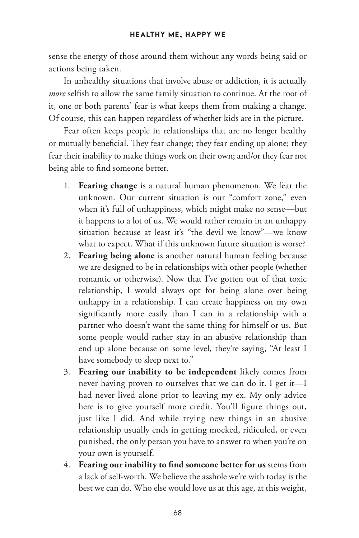sense the energy of those around them without any words being said or actions being taken.

In unhealthy situations that involve abuse or addiction, it is actually *more* selfish to allow the same family situation to continue. At the root of it, one or both parents' fear is what keeps them from making a change. Of course, this can happen regardless of whether kids are in the picture.

Fear often keeps people in relationships that are no longer healthy or mutually beneficial. They fear change; they fear ending up alone; they fear their inability to make things work on their own; and/or they fear not being able to find someone better.

- 1. **Fearing change** is a natural human phenomenon. We fear the unknown. Our current situation is our "comfort zone," even when it's full of unhappiness, which might make no sense—but it happens to a lot of us. We would rather remain in an unhappy situation because at least it's "the devil we know"—we know what to expect. What if this unknown future situation is worse?
- 2. **Fearing being alone** is another natural human feeling because we are designed to be in relationships with other people (whether romantic or otherwise). Now that I've gotten out of that toxic relationship, I would always opt for being alone over being unhappy in a relationship. I can create happiness on my own significantly more easily than I can in a relationship with a partner who doesn't want the same thing for himself or us. But some people would rather stay in an abusive relationship than end up alone because on some level, they're saying, "At least I have somebody to sleep next to."
- 3. **Fearing our inability to be independent** likely comes from never having proven to ourselves that we can do it. I get it—I had never lived alone prior to leaving my ex. My only advice here is to give yourself more credit. You'll figure things out, just like I did. And while trying new things in an abusive relationship usually ends in getting mocked, ridiculed, or even punished, the only person you have to answer to when you're on your own is yourself.
- 4. **Fearing our inability to find someone better for us** stems from a lack of self-worth. We believe the asshole we're with today is the best we can do. Who else would love us at this age, at this weight,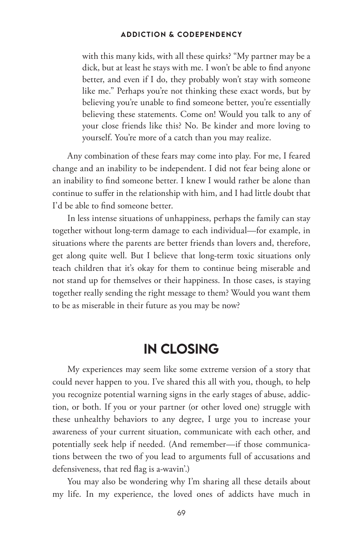#### ADDICTION & CODEPENDENCY

with this many kids, with all these quirks? "My partner may be a dick, but at least he stays with me. I won't be able to find anyone better, and even if I do, they probably won't stay with someone like me." Perhaps you're not thinking these exact words, but by believing you're unable to find someone better, you're essentially believing these statements. Come on! Would you talk to any of your close friends like this? No. Be kinder and more loving to yourself. You're more of a catch than you may realize.

Any combination of these fears may come into play. For me, I feared change and an inability to be independent. I did not fear being alone or an inability to find someone better. I knew I would rather be alone than continue to suffer in the relationship with him, and I had little doubt that I'd be able to find someone better.

In less intense situations of unhappiness, perhaps the family can stay together without long-term damage to each individual—for example, in situations where the parents are better friends than lovers and, therefore, get along quite well. But I believe that long-term toxic situations only teach children that it's okay for them to continue being miserable and not stand up for themselves or their happiness. In those cases, is staying together really sending the right message to them? Would you want them to be as miserable in their future as you may be now?

## In Closing

My experiences may seem like some extreme version of a story that could never happen to you. I've shared this all with you, though, to help you recognize potential warning signs in the early stages of abuse, addiction, or both. If you or your partner (or other loved one) struggle with these unhealthy behaviors to any degree, I urge you to increase your awareness of your current situation, communicate with each other, and potentially seek help if needed. (And remember—if those communications between the two of you lead to arguments full of accusations and defensiveness, that red flag is a-wavin'.)

You may also be wondering why I'm sharing all these details about my life. In my experience, the loved ones of addicts have much in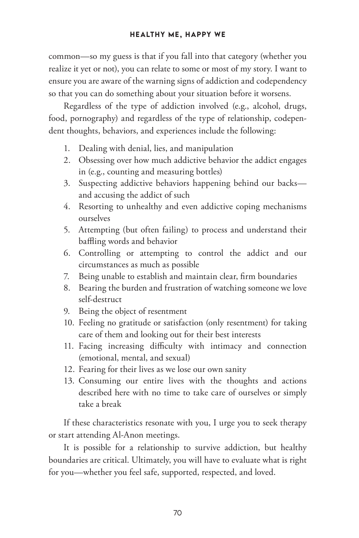common—so my guess is that if you fall into that category (whether you realize it yet or not), you can relate to some or most of my story. I want to ensure you are aware of the warning signs of addiction and codependency so that you can do something about your situation before it worsens.

Regardless of the type of addiction involved (e.g., alcohol, drugs, food, pornography) and regardless of the type of relationship, codependent thoughts, behaviors, and experiences include the following:

- 1. Dealing with denial, lies, and manipulation
- 2. Obsessing over how much addictive behavior the addict engages in (e.g., counting and measuring bottles)
- 3. Suspecting addictive behaviors happening behind our backs and accusing the addict of such
- 4. Resorting to unhealthy and even addictive coping mechanisms ourselves
- 5. Attempting (but often failing) to process and understand their baffling words and behavior
- 6. Controlling or attempting to control the addict and our circumstances as much as possible
- 7. Being unable to establish and maintain clear, firm boundaries
- 8. Bearing the burden and frustration of watching someone we love self-destruct
- 9. Being the object of resentment
- 10. Feeling no gratitude or satisfaction (only resentment) for taking care of them and looking out for their best interests
- 11. Facing increasing difficulty with intimacy and connection (emotional, mental, and sexual)
- 12. Fearing for their lives as we lose our own sanity
- 13. Consuming our entire lives with the thoughts and actions described here with no time to take care of ourselves or simply take a break

If these characteristics resonate with you, I urge you to seek therapy or start attending Al-Anon meetings.

It is possible for a relationship to survive addiction, but healthy boundaries are critical. Ultimately, you will have to evaluate what is right for you—whether you feel safe, supported, respected, and loved.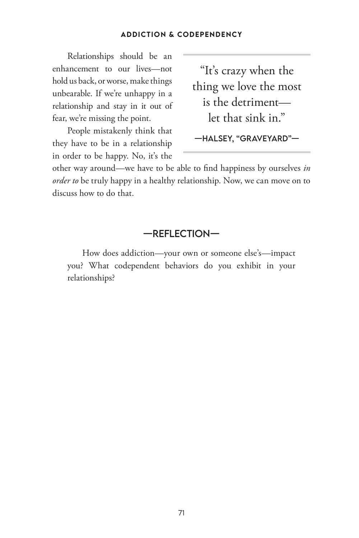Relationships should be an enhancement to our lives—not hold us back, or worse, make things unbearable. If we're unhappy in a relationship and stay in it out of fear, we're missing the point.

People mistakenly think that they have to be in a relationship in order to be happy. No, it's the

"It's crazy when the thing we love the most is the detriment let that sink in."

—Halsey, "Graveyard"—

other way around—we have to be able to find happiness by ourselves *in order to* be truly happy in a healthy relationship. Now, we can move on to discuss how to do that.

## —REFLECTION—

How does addiction—your own or someone else's—impact you? What codependent behaviors do you exhibit in your relationships?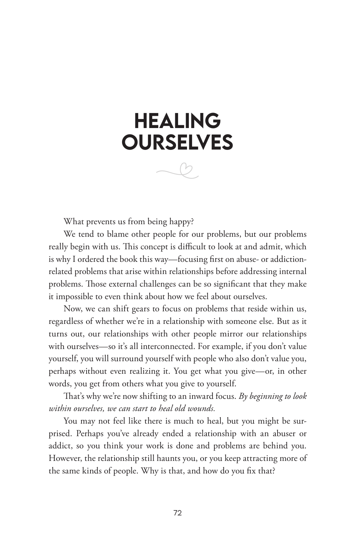# HEALING **OURSELVES**  $\overline{\mathcal{L}}$

What prevents us from being happy?

We tend to blame other people for our problems, but our problems really begin with us. This concept is difficult to look at and admit, which is why I ordered the book this way—focusing first on abuse- or addictionrelated problems that arise within relationships before addressing internal problems. Those external challenges can be so significant that they make it impossible to even think about how we feel about ourselves.

Now, we can shift gears to focus on problems that reside within us, regardless of whether we're in a relationship with someone else. But as it turns out, our relationships with other people mirror our relationships with ourselves—so it's all interconnected. For example, if you don't value yourself, you will surround yourself with people who also don't value you, perhaps without even realizing it. You get what you give—or, in other words, you get from others what you give to yourself.

That's why we're now shifting to an inward focus. *By beginning to look within ourselves, we can start to heal old wounds.* 

You may not feel like there is much to heal, but you might be surprised. Perhaps you've already ended a relationship with an abuser or addict, so you think your work is done and problems are behind you. However, the relationship still haunts you, or you keep attracting more of the same kinds of people. Why is that, and how do you fix that?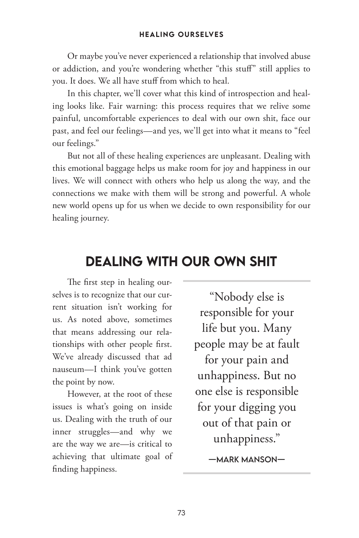Or maybe you've never experienced a relationship that involved abuse or addiction, and you're wondering whether "this stuff" still applies to you. It does. We all have stuff from which to heal.

In this chapter, we'll cover what this kind of introspection and healing looks like. Fair warning: this process requires that we relive some painful, uncomfortable experiences to deal with our own shit, face our past, and feel our feelings—and yes, we'll get into what it means to "feel our feelings."

But not all of these healing experiences are unpleasant. Dealing with this emotional baggage helps us make room for joy and happiness in our lives. We will connect with others who help us along the way, and the connections we make with them will be strong and powerful. A whole new world opens up for us when we decide to own responsibility for our healing journey.

# Dealing with Our Own Shit

The first step in healing ourselves is to recognize that our current situation isn't working for us. As noted above, sometimes that means addressing our relationships with other people first. We've already discussed that ad nauseum—I think you've gotten the point by now.

However, at the root of these issues is what's going on inside us. Dealing with the truth of our inner struggles—and why we are the way we are—is critical to achieving that ultimate goal of finding happiness.

"Nobody else is responsible for your life but you. Many people may be at fault for your pain and unhappiness. But no one else is responsible for your digging you out of that pain or unhappiness."

—Mark Manson—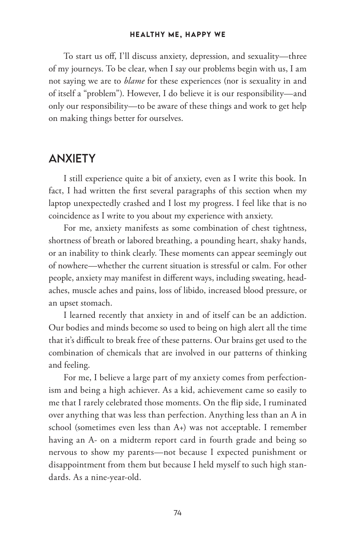#### Healthy Me, Happy We

To start us off, I'll discuss anxiety, depression, and sexuality—three of my journeys. To be clear, when I say our problems begin with us, I am not saying we are to *blame* for these experiences (nor is sexuality in and of itself a "problem"). However, I do believe it is our responsibility—and only our responsibility—to be aware of these things and work to get help on making things better for ourselves.

## **ANXIETY**

I still experience quite a bit of anxiety, even as I write this book. In fact, I had written the first several paragraphs of this section when my laptop unexpectedly crashed and I lost my progress. I feel like that is no coincidence as I write to you about my experience with anxiety.

For me, anxiety manifests as some combination of chest tightness, shortness of breath or labored breathing, a pounding heart, shaky hands, or an inability to think clearly. These moments can appear seemingly out of nowhere—whether the current situation is stressful or calm. For other people, anxiety may manifest in different ways, including sweating, headaches, muscle aches and pains, loss of libido, increased blood pressure, or an upset stomach.

I learned recently that anxiety in and of itself can be an addiction. Our bodies and minds become so used to being on high alert all the time that it's difficult to break free of these patterns. Our brains get used to the combination of chemicals that are involved in our patterns of thinking and feeling.

For me, I believe a large part of my anxiety comes from perfectionism and being a high achiever. As a kid, achievement came so easily to me that I rarely celebrated those moments. On the flip side, I ruminated over anything that was less than perfection. Anything less than an A in school (sometimes even less than A+) was not acceptable. I remember having an A- on a midterm report card in fourth grade and being so nervous to show my parents—not because I expected punishment or disappointment from them but because I held myself to such high standards. As a nine-year-old.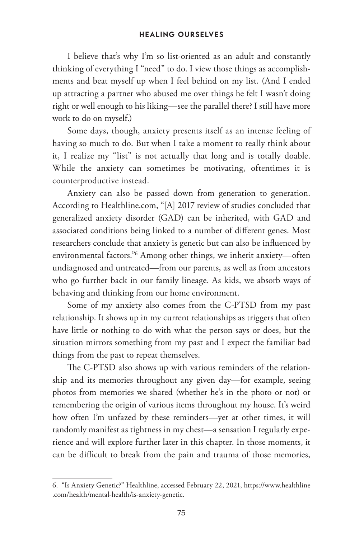I believe that's why I'm so list-oriented as an adult and constantly thinking of everything I "need" to do. I view those things as accomplishments and beat myself up when I feel behind on my list. (And I ended up attracting a partner who abused me over things he felt I wasn't doing right or well enough to his liking—see the parallel there? I still have more work to do on myself.)

Some days, though, anxiety presents itself as an intense feeling of having so much to do. But when I take a moment to really think about it, I realize my "list" is not actually that long and is totally doable. While the anxiety can sometimes be motivating, oftentimes it is counterproductive instead.

Anxiety can also be passed down from generation to generation. According to Healthline.com, "[A] 2017 review of studies concluded that generalized anxiety disorder (GAD) can be inherited, with GAD and associated conditions being linked to a number of different genes. Most researchers conclude that anxiety is genetic but can also be influenced by environmental factors."6 Among other things, we inherit anxiety—often undiagnosed and untreated—from our parents, as well as from ancestors who go further back in our family lineage. As kids, we absorb ways of behaving and thinking from our home environment.

Some of my anxiety also comes from the C-PTSD from my past relationship. It shows up in my current relationships as triggers that often have little or nothing to do with what the person says or does, but the situation mirrors something from my past and I expect the familiar bad things from the past to repeat themselves.

The C-PTSD also shows up with various reminders of the relationship and its memories throughout any given day—for example, seeing photos from memories we shared (whether he's in the photo or not) or remembering the origin of various items throughout my house. It's weird how often I'm unfazed by these reminders—yet at other times, it will randomly manifest as tightness in my chest—a sensation I regularly experience and will explore further later in this chapter. In those moments, it can be difficult to break from the pain and trauma of those memories,

<sup>6.</sup> "Is Anxiety Genetic?" Healthline, accessed February 22, 2021, https://www.healthline .com/health/mental-health/is-anxiety-genetic.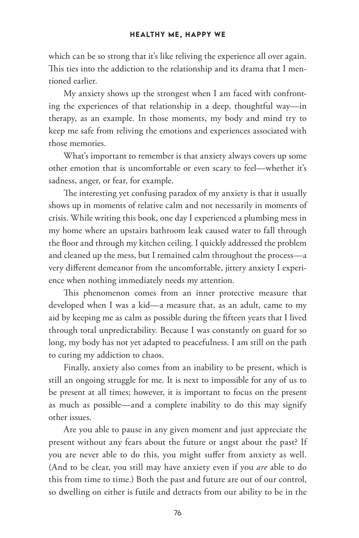#### Healthy Me, Happy We

which can be so strong that it's like reliving the experience all over again. This ties into the addiction to the relationship and its drama that I mentioned earlier.

My anxiety shows up the strongest when I am faced with confronting the experiences of that relationship in a deep, thoughtful way—in therapy, as an example. In those moments, my body and mind try to keep me safe from reliving the emotions and experiences associated with those memories.

What's important to remember is that anxiety always covers up some other emotion that is uncomfortable or even scary to feel—whether it's sadness, anger, or fear, for example.

The interesting yet confusing paradox of my anxiety is that it usually shows up in moments of relative calm and not necessarily in moments of crisis. While writing this book, one day I experienced a plumbing mess in my home where an upstairs bathroom leak caused water to fall through the floor and through my kitchen ceiling. I quickly addressed the problem and cleaned up the mess, but I remained calm throughout the process—a very different demeanor from the uncomfortable, jittery anxiety I experience when nothing immediately needs my attention.

This phenomenon comes from an inner protective measure that developed when I was a kid—a measure that, as an adult, came to my aid by keeping me as calm as possible during the fifteen years that I lived through total unpredictability. Because I was constantly on guard for so long, my body has not yet adapted to peacefulness. I am still on the path to curing my addiction to chaos.

Finally, anxiety also comes from an inability to be present, which is still an ongoing struggle for me. It is next to impossible for any of us to be present at all times; however, it is important to focus on the present as much as possible—and a complete inability to do this may signify other issues.

Are you able to pause in any given moment and just appreciate the present without any fears about the future or angst about the past? If you are never able to do this, you might suffer from anxiety as well. (And to be clear, you still may have anxiety even if you *are* able to do this from time to time.) Both the past and future are out of our control, so dwelling on either is futile and detracts from our ability to be in the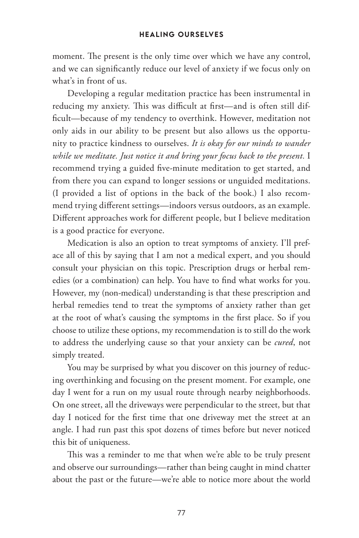moment. The present is the only time over which we have any control, and we can significantly reduce our level of anxiety if we focus only on what's in front of us.

Developing a regular meditation practice has been instrumental in reducing my anxiety. This was difficult at first—and is often still difficult—because of my tendency to overthink. However, meditation not only aids in our ability to be present but also allows us the opportunity to practice kindness to ourselves. *It is okay for our minds to wander while we meditate. Just notice it and bring your focus back to the present.* I recommend trying a guided five-minute meditation to get started, and from there you can expand to longer sessions or unguided meditations. (I provided a list of options in the back of the book.) I also recommend trying different settings—indoors versus outdoors, as an example. Different approaches work for different people, but I believe meditation is a good practice for everyone.

Medication is also an option to treat symptoms of anxiety. I'll preface all of this by saying that I am not a medical expert, and you should consult your physician on this topic. Prescription drugs or herbal remedies (or a combination) can help. You have to find what works for you. However, my (non-medical) understanding is that these prescription and herbal remedies tend to treat the symptoms of anxiety rather than get at the root of what's causing the symptoms in the first place. So if you choose to utilize these options, my recommendation is to still do the work to address the underlying cause so that your anxiety can be *cured*, not simply treated.

You may be surprised by what you discover on this journey of reducing overthinking and focusing on the present moment. For example, one day I went for a run on my usual route through nearby neighborhoods. On one street, all the driveways were perpendicular to the street, but that day I noticed for the first time that one driveway met the street at an angle. I had run past this spot dozens of times before but never noticed this bit of uniqueness.

This was a reminder to me that when we're able to be truly present and observe our surroundings—rather than being caught in mind chatter about the past or the future—we're able to notice more about the world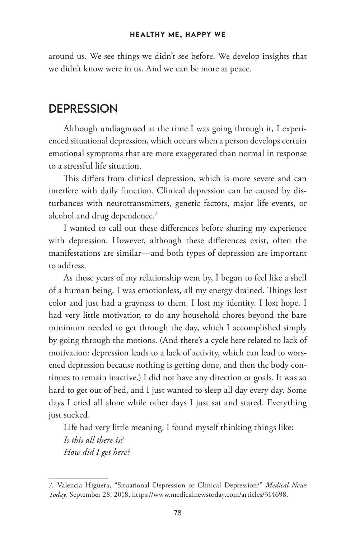around us. We see things we didn't see before. We develop insights that we didn't know were in us. And we can be more at peace.

## **DEPRESSION**

Although undiagnosed at the time I was going through it, I experienced situational depression, which occurs when a person develops certain emotional symptoms that are more exaggerated than normal in response to a stressful life situation.

This differs from clinical depression, which is more severe and can interfere with daily function. Clinical depression can be caused by disturbances with neurotransmitters, genetic factors, major life events, or alcohol and drug dependence.7

I wanted to call out these differences before sharing my experience with depression. However, although these differences exist, often the manifestations are similar—and both types of depression are important to address.

As those years of my relationship went by, I began to feel like a shell of a human being. I was emotionless, all my energy drained. Things lost color and just had a grayness to them. I lost my identity. I lost hope. I had very little motivation to do any household chores beyond the bare minimum needed to get through the day, which I accomplished simply by going through the motions. (And there's a cycle here related to lack of motivation: depression leads to a lack of activity, which can lead to worsened depression because nothing is getting done, and then the body continues to remain inactive.) I did not have any direction or goals. It was so hard to get out of bed, and I just wanted to sleep all day every day. Some days I cried all alone while other days I just sat and stared. Everything just sucked.

Life had very little meaning. I found myself thinking things like: *Is this all there is? How did I get here?*

<sup>7.</sup> Valencia Higuera, "Situational Depression or Clinical Depression?" *Medical News Today*, September 28, 2018, https://www.medicalnewstoday.com/articles/314698.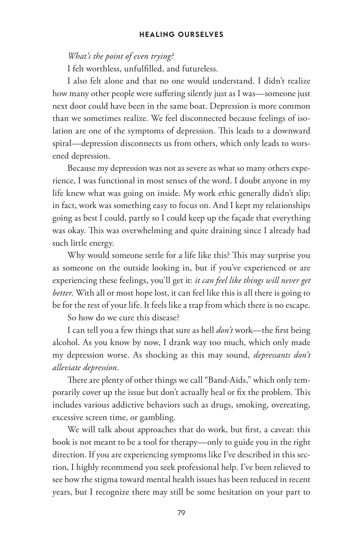#### *What's the point of even trying?*

I felt worthless, unfulfilled, and futureless.

I also felt alone and that no one would understand. I didn't realize how many other people were suffering silently just as I was—someone just next door could have been in the same boat. Depression is more common than we sometimes realize. We feel disconnected because feelings of isolation are one of the symptoms of depression. This leads to a downward spiral—depression disconnects us from others, which only leads to worsened depression.

Because my depression was not as severe as what so many others experience, I was functional in most senses of the word. I doubt anyone in my life knew what was going on inside. My work ethic generally didn't slip; in fact, work was something easy to focus on. And I kept my relationships going as best I could, partly so I could keep up the façade that everything was okay. This was overwhelming and quite draining since I already had such little energy.

Why would someone settle for a life like this? This may surprise you as someone on the outside looking in, but if you've experienced or are experiencing these feelings, you'll get it: *it can feel like things will never get better.* With all or most hope lost, it can feel like this is all there is going to be for the rest of your life. It feels like a trap from which there is no escape.

So how do we cure this disease?

I can tell you a few things that sure as hell *don't* work—the first being alcohol. As you know by now, I drank way too much, which only made my depression worse. As shocking as this may sound, *depressants don't alleviate depression*.

There are plenty of other things we call "Band-Aids," which only temporarily cover up the issue but don't actually heal or fix the problem. This includes various addictive behaviors such as drugs, smoking, overeating, excessive screen time, or gambling.

We will talk about approaches that do work, but first, a caveat: this book is not meant to be a tool for therapy—only to guide you in the right direction. If you are experiencing symptoms like I've described in this section, I highly recommend you seek professional help. I've been relieved to see how the stigma toward mental health issues has been reduced in recent years, but I recognize there may still be some hesitation on your part to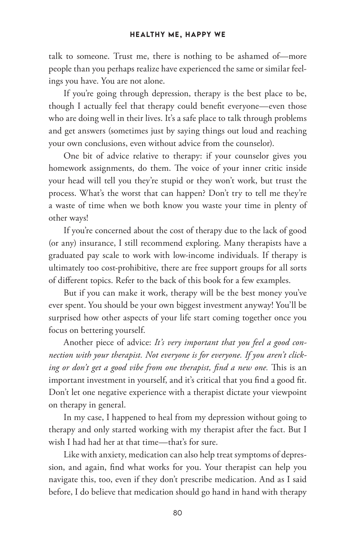talk to someone. Trust me, there is nothing to be ashamed of—more people than you perhaps realize have experienced the same or similar feelings you have. You are not alone.

If you're going through depression, therapy is the best place to be, though I actually feel that therapy could benefit everyone—even those who are doing well in their lives. It's a safe place to talk through problems and get answers (sometimes just by saying things out loud and reaching your own conclusions, even without advice from the counselor).

One bit of advice relative to therapy: if your counselor gives you homework assignments, do them. The voice of your inner critic inside your head will tell you they're stupid or they won't work, but trust the process. What's the worst that can happen? Don't try to tell me they're a waste of time when we both know you waste your time in plenty of other ways!

If you're concerned about the cost of therapy due to the lack of good (or any) insurance, I still recommend exploring. Many therapists have a graduated pay scale to work with low-income individuals. If therapy is ultimately too cost-prohibitive, there are free support groups for all sorts of different topics. Refer to the back of this book for a few examples.

But if you can make it work, therapy will be the best money you've ever spent. You should be your own biggest investment anyway! You'll be surprised how other aspects of your life start coming together once you focus on bettering yourself.

Another piece of advice: *It's very important that you feel a good connection with your therapist. Not everyone is for everyone. If you aren't clicking or don't get a good vibe from one therapist, find a new one.* This is an important investment in yourself, and it's critical that you find a good fit. Don't let one negative experience with a therapist dictate your viewpoint on therapy in general.

In my case, I happened to heal from my depression without going to therapy and only started working with my therapist after the fact. But I wish I had had her at that time—that's for sure.

Like with anxiety, medication can also help treat symptoms of depression, and again, find what works for you. Your therapist can help you navigate this, too, even if they don't prescribe medication. And as I said before, I do believe that medication should go hand in hand with therapy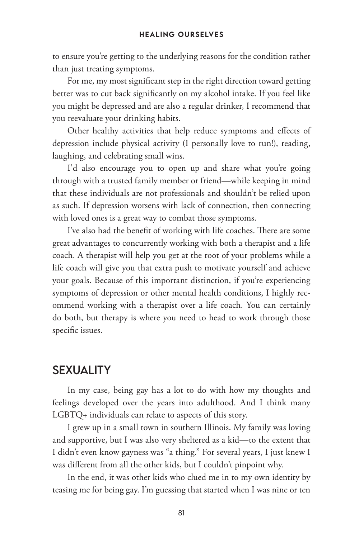to ensure you're getting to the underlying reasons for the condition rather than just treating symptoms.

For me, my most significant step in the right direction toward getting better was to cut back significantly on my alcohol intake. If you feel like you might be depressed and are also a regular drinker, I recommend that you reevaluate your drinking habits.

Other healthy activities that help reduce symptoms and effects of depression include physical activity (I personally love to run!), reading, laughing, and celebrating small wins.

I'd also encourage you to open up and share what you're going through with a trusted family member or friend—while keeping in mind that these individuals are not professionals and shouldn't be relied upon as such. If depression worsens with lack of connection, then connecting with loved ones is a great way to combat those symptoms.

I've also had the benefit of working with life coaches. There are some great advantages to concurrently working with both a therapist and a life coach. A therapist will help you get at the root of your problems while a life coach will give you that extra push to motivate yourself and achieve your goals. Because of this important distinction, if you're experiencing symptoms of depression or other mental health conditions, I highly recommend working with a therapist over a life coach. You can certainly do both, but therapy is where you need to head to work through those specific issues.

## **SEXUALITY**

In my case, being gay has a lot to do with how my thoughts and feelings developed over the years into adulthood. And I think many LGBTQ+ individuals can relate to aspects of this story.

I grew up in a small town in southern Illinois. My family was loving and supportive, but I was also very sheltered as a kid—to the extent that I didn't even know gayness was "a thing." For several years, I just knew I was different from all the other kids, but I couldn't pinpoint why.

In the end, it was other kids who clued me in to my own identity by teasing me for being gay. I'm guessing that started when I was nine or ten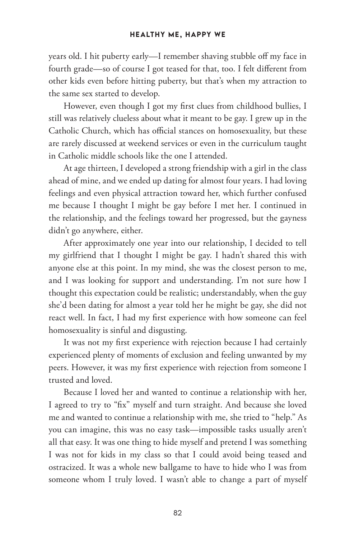#### Healthy Me, Happy We

years old. I hit puberty early—I remember shaving stubble off my face in fourth grade—so of course I got teased for that, too. I felt different from other kids even before hitting puberty, but that's when my attraction to the same sex started to develop.

However, even though I got my first clues from childhood bullies, I still was relatively clueless about what it meant to be gay. I grew up in the Catholic Church, which has official stances on homosexuality, but these are rarely discussed at weekend services or even in the curriculum taught in Catholic middle schools like the one I attended.

At age thirteen, I developed a strong friendship with a girl in the class ahead of mine, and we ended up dating for almost four years. I had loving feelings and even physical attraction toward her, which further confused me because I thought I might be gay before I met her. I continued in the relationship, and the feelings toward her progressed, but the gayness didn't go anywhere, either.

After approximately one year into our relationship, I decided to tell my girlfriend that I thought I might be gay. I hadn't shared this with anyone else at this point. In my mind, she was the closest person to me, and I was looking for support and understanding. I'm not sure how I thought this expectation could be realistic; understandably, when the guy she'd been dating for almost a year told her he might be gay, she did not react well. In fact, I had my first experience with how someone can feel homosexuality is sinful and disgusting.

It was not my first experience with rejection because I had certainly experienced plenty of moments of exclusion and feeling unwanted by my peers. However, it was my first experience with rejection from someone I trusted and loved.

Because I loved her and wanted to continue a relationship with her, I agreed to try to "fix" myself and turn straight. And because she loved me and wanted to continue a relationship with me, she tried to "help." As you can imagine, this was no easy task—impossible tasks usually aren't all that easy. It was one thing to hide myself and pretend I was something I was not for kids in my class so that I could avoid being teased and ostracized. It was a whole new ballgame to have to hide who I was from someone whom I truly loved. I wasn't able to change a part of myself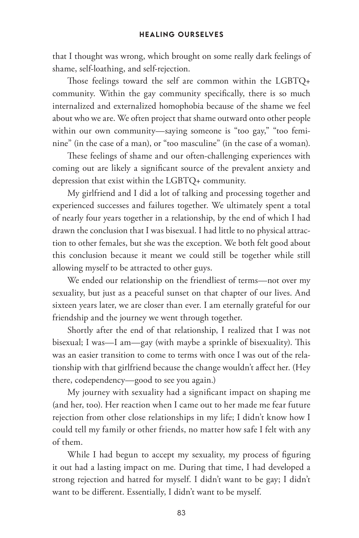that I thought was wrong, which brought on some really dark feelings of shame, self-loathing, and self-rejection.

Those feelings toward the self are common within the LGBTQ+ community. Within the gay community specifically, there is so much internalized and externalized homophobia because of the shame we feel about who we are. We often project that shame outward onto other people within our own community—saying someone is "too gay," "too feminine" (in the case of a man), or "too masculine" (in the case of a woman).

These feelings of shame and our often-challenging experiences with coming out are likely a significant source of the prevalent anxiety and depression that exist within the LGBTQ+ community.

My girlfriend and I did a lot of talking and processing together and experienced successes and failures together. We ultimately spent a total of nearly four years together in a relationship, by the end of which I had drawn the conclusion that I was bisexual. I had little to no physical attraction to other females, but she was the exception. We both felt good about this conclusion because it meant we could still be together while still allowing myself to be attracted to other guys.

We ended our relationship on the friendliest of terms—not over my sexuality, but just as a peaceful sunset on that chapter of our lives. And sixteen years later, we are closer than ever. I am eternally grateful for our friendship and the journey we went through together.

Shortly after the end of that relationship, I realized that I was not bisexual; I was—I am—gay (with maybe a sprinkle of bisexuality). This was an easier transition to come to terms with once I was out of the relationship with that girlfriend because the change wouldn't affect her. (Hey there, codependency—good to see you again.)

My journey with sexuality had a significant impact on shaping me (and her, too). Her reaction when I came out to her made me fear future rejection from other close relationships in my life; I didn't know how I could tell my family or other friends, no matter how safe I felt with any of them.

While I had begun to accept my sexuality, my process of figuring it out had a lasting impact on me. During that time, I had developed a strong rejection and hatred for myself. I didn't want to be gay; I didn't want to be different. Essentially, I didn't want to be myself.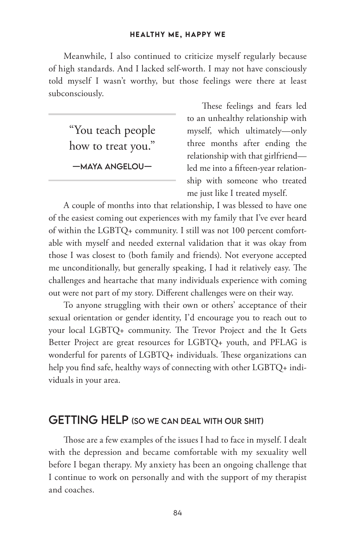Meanwhile, I also continued to criticize myself regularly because of high standards. And I lacked self-worth. I may not have consciously told myself I wasn't worthy, but those feelings were there at least subconsciously.

"You teach people how to treat you." —Maya Angelou—

These feelings and fears led to an unhealthy relationship with myself, which ultimately—only three months after ending the relationship with that girlfriend led me into a fifteen-year relationship with someone who treated me just like I treated myself.

A couple of months into that relationship, I was blessed to have one of the easiest coming out experiences with my family that I've ever heard of within the LGBTQ+ community. I still was not 100 percent comfortable with myself and needed external validation that it was okay from those I was closest to (both family and friends). Not everyone accepted me unconditionally, but generally speaking, I had it relatively easy. The challenges and heartache that many individuals experience with coming out were not part of my story. Different challenges were on their way.

To anyone struggling with their own or others' acceptance of their sexual orientation or gender identity, I'd encourage you to reach out to your local LGBTQ+ community. The Trevor Project and the It Gets Better Project are great resources for LGBTQ+ youth, and PFLAG is wonderful for parents of LGBTQ+ individuals. These organizations can help you find safe, healthy ways of connecting with other LGBTQ+ individuals in your area.

## **GETTING HELP (SO WE CAN DEAL WITH OUR SHIT)**

Those are a few examples of the issues I had to face in myself. I dealt with the depression and became comfortable with my sexuality well before I began therapy. My anxiety has been an ongoing challenge that I continue to work on personally and with the support of my therapist and coaches.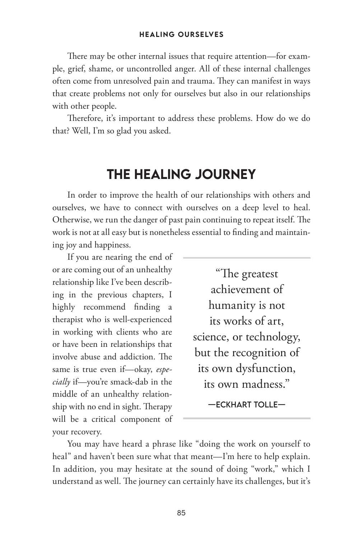There may be other internal issues that require attention—for example, grief, shame, or uncontrolled anger. All of these internal challenges often come from unresolved pain and trauma. They can manifest in ways that create problems not only for ourselves but also in our relationships with other people.

Therefore, it's important to address these problems. How do we do that? Well, I'm so glad you asked.

# The Healing Journey

In order to improve the health of our relationships with others and ourselves, we have to connect with ourselves on a deep level to heal. Otherwise, we run the danger of past pain continuing to repeat itself. The work is not at all easy but is nonetheless essential to finding and maintaining joy and happiness.

If you are nearing the end of or are coming out of an unhealthy relationship like I've been describing in the previous chapters, I highly recommend finding a therapist who is well-experienced in working with clients who are or have been in relationships that involve abuse and addiction. The same is true even if—okay, *especially* if—you're smack-dab in the middle of an unhealthy relationship with no end in sight. Therapy will be a critical component of your recovery.

"The greatest achievement of humanity is not its works of art, science, or technology, but the recognition of its own dysfunction, its own madness."

—Eckhart Tolle—

You may have heard a phrase like "doing the work on yourself to heal" and haven't been sure what that meant—I'm here to help explain. In addition, you may hesitate at the sound of doing "work," which I understand as well. The journey can certainly have its challenges, but it's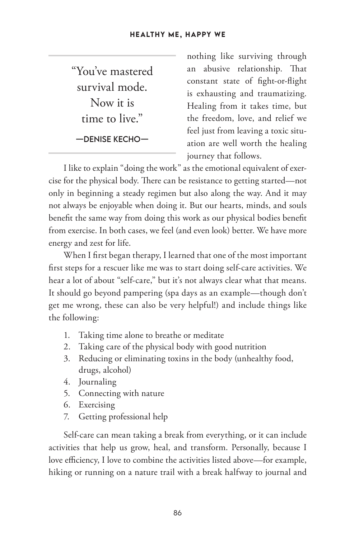"You've mastered survival mode. Now it is time to live." —Denise Kechonothing like surviving through an abusive relationship. That constant state of fight-or-flight is exhausting and traumatizing. Healing from it takes time, but the freedom, love, and relief we feel just from leaving a toxic situation are well worth the healing journey that follows.

I like to explain "doing the work" as the emotional equivalent of exercise for the physical body. There can be resistance to getting started—not only in beginning a steady regimen but also along the way. And it may not always be enjoyable when doing it. But our hearts, minds, and souls benefit the same way from doing this work as our physical bodies benefit from exercise. In both cases, we feel (and even look) better. We have more energy and zest for life.

When I first began therapy, I learned that one of the most important first steps for a rescuer like me was to start doing self-care activities. We hear a lot of about "self-care," but it's not always clear what that means. It should go beyond pampering (spa days as an example—though don't get me wrong, these can also be very helpful!) and include things like the following:

- 1. Taking time alone to breathe or meditate
- 2. Taking care of the physical body with good nutrition
- 3. Reducing or eliminating toxins in the body (unhealthy food, drugs, alcohol)
- 4. Journaling
- 5. Connecting with nature
- 6. Exercising
- 7. Getting professional help

Self-care can mean taking a break from everything, or it can include activities that help us grow, heal, and transform. Personally, because I love efficiency, I love to combine the activities listed above—for example, hiking or running on a nature trail with a break halfway to journal and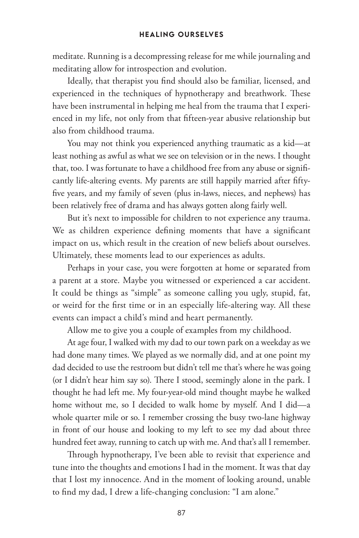meditate. Running is a decompressing release for me while journaling and meditating allow for introspection and evolution.

Ideally, that therapist you find should also be familiar, licensed, and experienced in the techniques of hypnotherapy and breathwork. These have been instrumental in helping me heal from the trauma that I experienced in my life, not only from that fifteen-year abusive relationship but also from childhood trauma.

You may not think you experienced anything traumatic as a kid—at least nothing as awful as what we see on television or in the news. I thought that, too. I was fortunate to have a childhood free from any abuse or significantly life-altering events. My parents are still happily married after fiftyfive years, and my family of seven (plus in-laws, nieces, and nephews) has been relatively free of drama and has always gotten along fairly well.

But it's next to impossible for children to not experience any trauma. We as children experience defining moments that have a significant impact on us, which result in the creation of new beliefs about ourselves. Ultimately, these moments lead to our experiences as adults.

Perhaps in your case, you were forgotten at home or separated from a parent at a store. Maybe you witnessed or experienced a car accident. It could be things as "simple" as someone calling you ugly, stupid, fat, or weird for the first time or in an especially life-altering way. All these events can impact a child's mind and heart permanently.

Allow me to give you a couple of examples from my childhood.

At age four, I walked with my dad to our town park on a weekday as we had done many times. We played as we normally did, and at one point my dad decided to use the restroom but didn't tell me that's where he was going (or I didn't hear him say so). There I stood, seemingly alone in the park. I thought he had left me. My four-year-old mind thought maybe he walked home without me, so I decided to walk home by myself. And I did—a whole quarter mile or so. I remember crossing the busy two-lane highway in front of our house and looking to my left to see my dad about three hundred feet away, running to catch up with me. And that's all I remember.

Through hypnotherapy, I've been able to revisit that experience and tune into the thoughts and emotions I had in the moment. It was that day that I lost my innocence. And in the moment of looking around, unable to find my dad, I drew a life-changing conclusion: "I am alone."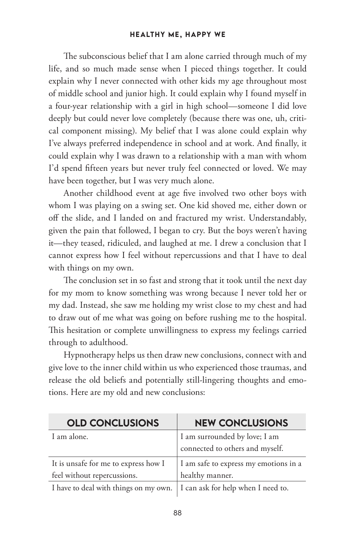#### Healthy Me, Happy We

The subconscious belief that I am alone carried through much of my life, and so much made sense when I pieced things together. It could explain why I never connected with other kids my age throughout most of middle school and junior high. It could explain why I found myself in a four-year relationship with a girl in high school—someone I did love deeply but could never love completely (because there was one, uh, critical component missing). My belief that I was alone could explain why I've always preferred independence in school and at work. And finally, it could explain why I was drawn to a relationship with a man with whom I'd spend fifteen years but never truly feel connected or loved. We may have been together, but I was very much alone.

Another childhood event at age five involved two other boys with whom I was playing on a swing set. One kid shoved me, either down or off the slide, and I landed on and fractured my wrist. Understandably, given the pain that followed, I began to cry. But the boys weren't having it—they teased, ridiculed, and laughed at me. I drew a conclusion that I cannot express how I feel without repercussions and that I have to deal with things on my own.

The conclusion set in so fast and strong that it took until the next day for my mom to know something was wrong because I never told her or my dad. Instead, she saw me holding my wrist close to my chest and had to draw out of me what was going on before rushing me to the hospital. This hesitation or complete unwillingness to express my feelings carried through to adulthood.

Hypnotherapy helps us then draw new conclusions, connect with and give love to the inner child within us who experienced those traumas, and release the old beliefs and potentially still-lingering thoughts and emotions. Here are my old and new conclusions:

| <b>OLD CONCLUSIONS</b>                                                   | <b>NEW CONCLUSIONS</b>                                           |
|--------------------------------------------------------------------------|------------------------------------------------------------------|
| I am alone.                                                              | I am surrounded by love; I am<br>connected to others and myself. |
| It is unsafe for me to express how I                                     | I am safe to express my emotions in a                            |
| feel without repercussions.                                              | healthy manner.                                                  |
| I have to deal with things on my own. I can ask for help when I need to. |                                                                  |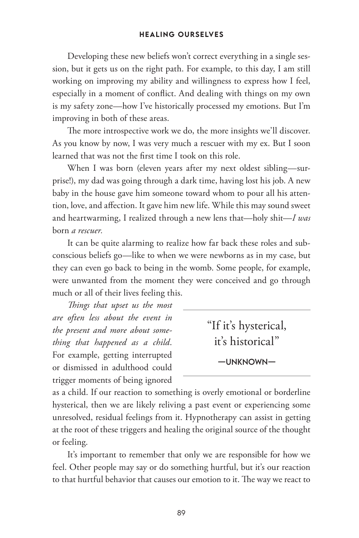Developing these new beliefs won't correct everything in a single session, but it gets us on the right path. For example, to this day, I am still working on improving my ability and willingness to express how I feel, especially in a moment of conflict. And dealing with things on my own is my safety zone—how I've historically processed my emotions. But I'm improving in both of these areas.

The more introspective work we do, the more insights we'll discover. As you know by now, I was very much a rescuer with my ex. But I soon learned that was not the first time I took on this role.

When I was born (eleven years after my next oldest sibling—surprise!), my dad was going through a dark time, having lost his job. A new baby in the house gave him someone toward whom to pour all his attention, love, and affection. It gave him new life. While this may sound sweet and heartwarming, I realized through a new lens that—holy shit—*I was*  born *a rescuer.*

It can be quite alarming to realize how far back these roles and subconscious beliefs go—like to when we were newborns as in my case, but they can even go back to being in the womb. Some people, for example, were unwanted from the moment they were conceived and go through much or all of their lives feeling this.

*Things that upset us the most are often less about the event in the present and more about something that happened as a child*. For example, getting interrupted or dismissed in adulthood could trigger moments of being ignored

"If it's hysterical, it's historical" —Unknown—

as a child. If our reaction to something is overly emotional or borderline hysterical, then we are likely reliving a past event or experiencing some unresolved, residual feelings from it. Hypnotherapy can assist in getting at the root of these triggers and healing the original source of the thought or feeling.

It's important to remember that only we are responsible for how we feel. Other people may say or do something hurtful, but it's our reaction to that hurtful behavior that causes our emotion to it. The way we react to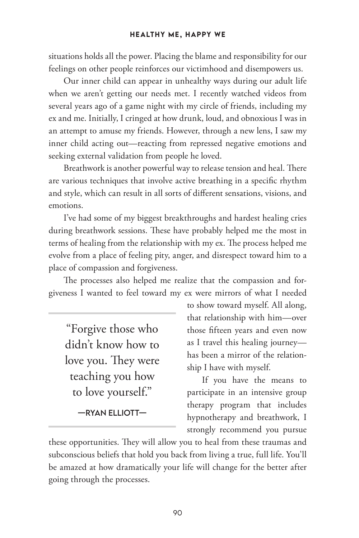situations holds all the power. Placing the blame and responsibility for our feelings on other people reinforces our victimhood and disempowers us.

Our inner child can appear in unhealthy ways during our adult life when we aren't getting our needs met. I recently watched videos from several years ago of a game night with my circle of friends, including my ex and me. Initially, I cringed at how drunk, loud, and obnoxious I was in an attempt to amuse my friends. However, through a new lens, I saw my inner child acting out—reacting from repressed negative emotions and seeking external validation from people he loved.

Breathwork is another powerful way to release tension and heal. There are various techniques that involve active breathing in a specific rhythm and style, which can result in all sorts of different sensations, visions, and emotions.

I've had some of my biggest breakthroughs and hardest healing cries during breathwork sessions. These have probably helped me the most in terms of healing from the relationship with my ex. The process helped me evolve from a place of feeling pity, anger, and disrespect toward him to a place of compassion and forgiveness.

The processes also helped me realize that the compassion and forgiveness I wanted to feel toward my ex were mirrors of what I needed

"Forgive those who didn't know how to love you. They were teaching you how to love yourself."

—Ryan Elliott—

to show toward myself. All along, that relationship with him—over those fifteen years and even now as I travel this healing journey has been a mirror of the relationship I have with myself.

If you have the means to participate in an intensive group therapy program that includes hypnotherapy and breathwork, I strongly recommend you pursue

these opportunities. They will allow you to heal from these traumas and subconscious beliefs that hold you back from living a true, full life. You'll be amazed at how dramatically your life will change for the better after going through the processes.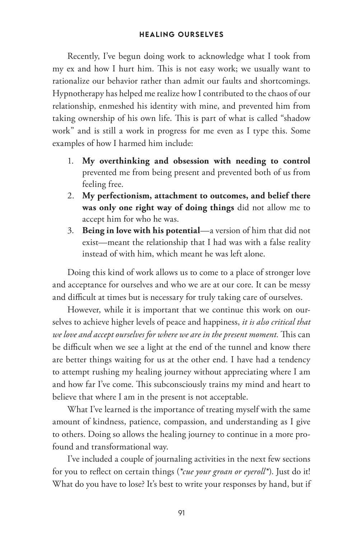Recently, I've begun doing work to acknowledge what I took from my ex and how I hurt him. This is not easy work; we usually want to rationalize our behavior rather than admit our faults and shortcomings. Hypnotherapy has helped me realize how I contributed to the chaos of our relationship, enmeshed his identity with mine, and prevented him from taking ownership of his own life. This is part of what is called "shadow work" and is still a work in progress for me even as I type this. Some examples of how I harmed him include:

- 1. **My overthinking and obsession with needing to control** prevented me from being present and prevented both of us from feeling free.
- 2. **My perfectionism, attachment to outcomes, and belief there was only one right way of doing things** did not allow me to accept him for who he was.
- 3. **Being in love with his potential**—a version of him that did not exist—meant the relationship that I had was with a false reality instead of with him, which meant he was left alone.

Doing this kind of work allows us to come to a place of stronger love and acceptance for ourselves and who we are at our core. It can be messy and difficult at times but is necessary for truly taking care of ourselves.

However, while it is important that we continue this work on ourselves to achieve higher levels of peace and happiness, *it is also critical that we love and accept ourselves for where we are in the present moment.* This can be difficult when we see a light at the end of the tunnel and know there are better things waiting for us at the other end. I have had a tendency to attempt rushing my healing journey without appreciating where I am and how far I've come. This subconsciously trains my mind and heart to believe that where I am in the present is not acceptable.

What I've learned is the importance of treating myself with the same amount of kindness, patience, compassion, and understanding as I give to others. Doing so allows the healing journey to continue in a more profound and transformational way.

I've included a couple of journaling activities in the next few sections for you to reflect on certain things (*\*cue your groan or eyeroll\**). Just do it! What do you have to lose? It's best to write your responses by hand, but if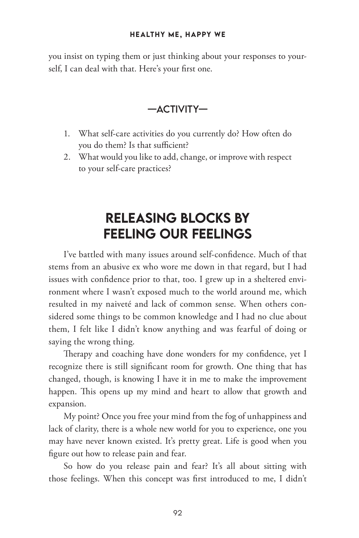#### Healthy Me, Happy We

you insist on typing them or just thinking about your responses to yourself, I can deal with that. Here's your first one.

—ACTIVITY—

- 1. What self-care activities do you currently do? How often do you do them? Is that sufficient?
- 2. What would you like to add, change, or improve with respect to your self-care practices?

# Releasing Blocks by Feeling Our Feelings

I've battled with many issues around self-confidence. Much of that stems from an abusive ex who wore me down in that regard, but I had issues with confidence prior to that, too. I grew up in a sheltered environment where I wasn't exposed much to the world around me, which resulted in my naiveté and lack of common sense. When others considered some things to be common knowledge and I had no clue about them, I felt like I didn't know anything and was fearful of doing or saying the wrong thing.

Therapy and coaching have done wonders for my confidence, yet I recognize there is still significant room for growth. One thing that has changed, though, is knowing I have it in me to make the improvement happen. This opens up my mind and heart to allow that growth and expansion.

My point? Once you free your mind from the fog of unhappiness and lack of clarity, there is a whole new world for you to experience, one you may have never known existed. It's pretty great. Life is good when you figure out how to release pain and fear.

So how do you release pain and fear? It's all about sitting with those feelings. When this concept was first introduced to me, I didn't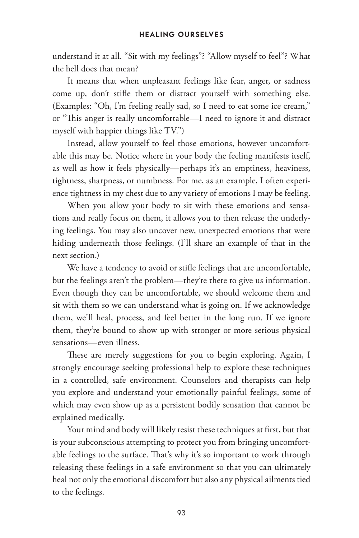understand it at all. "Sit with my feelings"? "Allow myself to feel"? What the hell does that mean?

It means that when unpleasant feelings like fear, anger, or sadness come up, don't stifle them or distract yourself with something else. (Examples: "Oh, I'm feeling really sad, so I need to eat some ice cream," or "This anger is really uncomfortable—I need to ignore it and distract myself with happier things like TV.")

Instead, allow yourself to feel those emotions, however uncomfortable this may be. Notice where in your body the feeling manifests itself, as well as how it feels physically—perhaps it's an emptiness, heaviness, tightness, sharpness, or numbness. For me, as an example, I often experience tightness in my chest due to any variety of emotions I may be feeling.

When you allow your body to sit with these emotions and sensations and really focus on them, it allows you to then release the underlying feelings. You may also uncover new, unexpected emotions that were hiding underneath those feelings. (I'll share an example of that in the next section.)

We have a tendency to avoid or stifle feelings that are uncomfortable, but the feelings aren't the problem—they're there to give us information. Even though they can be uncomfortable, we should welcome them and sit with them so we can understand what is going on. If we acknowledge them, we'll heal, process, and feel better in the long run. If we ignore them, they're bound to show up with stronger or more serious physical sensations—even illness.

These are merely suggestions for you to begin exploring. Again, I strongly encourage seeking professional help to explore these techniques in a controlled, safe environment. Counselors and therapists can help you explore and understand your emotionally painful feelings, some of which may even show up as a persistent bodily sensation that cannot be explained medically.

Your mind and body will likely resist these techniques at first, but that is your subconscious attempting to protect you from bringing uncomfortable feelings to the surface. That's why it's so important to work through releasing these feelings in a safe environment so that you can ultimately heal not only the emotional discomfort but also any physical ailments tied to the feelings.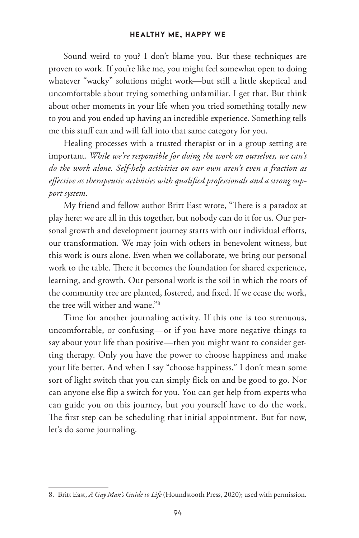Sound weird to you? I don't blame you. But these techniques are proven to work. If you're like me, you might feel somewhat open to doing whatever "wacky" solutions might work—but still a little skeptical and uncomfortable about trying something unfamiliar. I get that. But think about other moments in your life when you tried something totally new to you and you ended up having an incredible experience. Something tells me this stuff can and will fall into that same category for you.

Healing processes with a trusted therapist or in a group setting are important. *While we're responsible for doing the work on ourselves, we can't do the work alone. Self-help activities on our own aren't even a fraction as effective as therapeutic activities with qualified professionals and a strong support system.*

My friend and fellow author Britt East wrote, "There is a paradox at play here: we are all in this together, but nobody can do it for us. Our personal growth and development journey starts with our individual efforts, our transformation. We may join with others in benevolent witness, but this work is ours alone. Even when we collaborate, we bring our personal work to the table. There it becomes the foundation for shared experience, learning, and growth. Our personal work is the soil in which the roots of the community tree are planted, fostered, and fixed. If we cease the work, the tree will wither and wane."8

Time for another journaling activity. If this one is too strenuous, uncomfortable, or confusing—or if you have more negative things to say about your life than positive—then you might want to consider getting therapy. Only you have the power to choose happiness and make your life better. And when I say "choose happiness," I don't mean some sort of light switch that you can simply flick on and be good to go. Nor can anyone else flip a switch for you. You can get help from experts who can guide you on this journey, but you yourself have to do the work. The first step can be scheduling that initial appointment. But for now, let's do some journaling.

<sup>8.</sup> Britt East, *A Gay Man's Guide to Life* (Houndstooth Press, 2020); used with permission.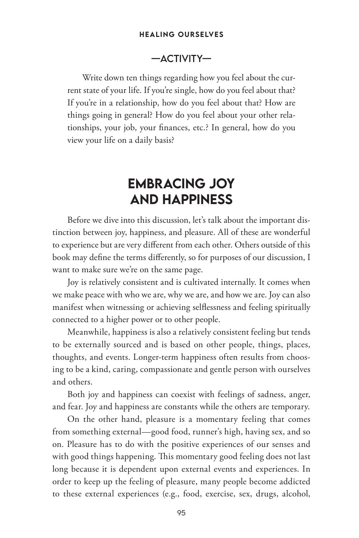## —ACTIVITY—

Write down ten things regarding how you feel about the current state of your life. If you're single, how do you feel about that? If you're in a relationship, how do you feel about that? How are things going in general? How do you feel about your other relationships, your job, your finances, etc.? In general, how do you view your life on a daily basis?

# Embracing Joy and Happiness

Before we dive into this discussion, let's talk about the important distinction between joy, happiness, and pleasure. All of these are wonderful to experience but are very different from each other. Others outside of this book may define the terms differently, so for purposes of our discussion, I want to make sure we're on the same page.

Joy is relatively consistent and is cultivated internally. It comes when we make peace with who we are, why we are, and how we are. Joy can also manifest when witnessing or achieving selflessness and feeling spiritually connected to a higher power or to other people.

Meanwhile, happiness is also a relatively consistent feeling but tends to be externally sourced and is based on other people, things, places, thoughts, and events. Longer-term happiness often results from choosing to be a kind, caring, compassionate and gentle person with ourselves and others.

Both joy and happiness can coexist with feelings of sadness, anger, and fear. Joy and happiness are constants while the others are temporary.

On the other hand, pleasure is a momentary feeling that comes from something external—good food, runner's high, having sex, and so on. Pleasure has to do with the positive experiences of our senses and with good things happening. This momentary good feeling does not last long because it is dependent upon external events and experiences. In order to keep up the feeling of pleasure, many people become addicted to these external experiences (e.g., food, exercise, sex, drugs, alcohol,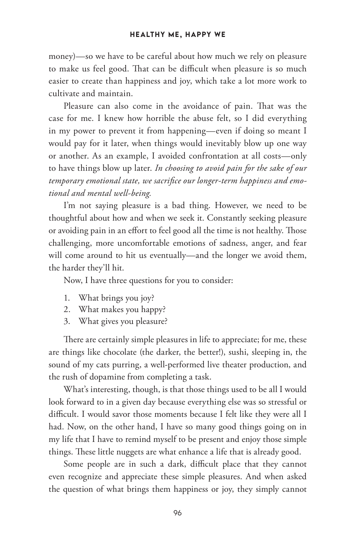money)—so we have to be careful about how much we rely on pleasure to make us feel good. That can be difficult when pleasure is so much easier to create than happiness and joy, which take a lot more work to cultivate and maintain.

Pleasure can also come in the avoidance of pain. That was the case for me. I knew how horrible the abuse felt, so I did everything in my power to prevent it from happening—even if doing so meant I would pay for it later, when things would inevitably blow up one way or another. As an example, I avoided confrontation at all costs—only to have things blow up later. *In choosing to avoid pain for the sake of our temporary emotional state, we sacrifice our longer-term happiness and emotional and mental well-being.*

I'm not saying pleasure is a bad thing. However, we need to be thoughtful about how and when we seek it. Constantly seeking pleasure or avoiding pain in an effort to feel good all the time is not healthy. Those challenging, more uncomfortable emotions of sadness, anger, and fear will come around to hit us eventually—and the longer we avoid them, the harder they'll hit.

Now, I have three questions for you to consider:

- 1. What brings you joy?
- 2. What makes you happy?
- 3. What gives you pleasure?

There are certainly simple pleasures in life to appreciate; for me, these are things like chocolate (the darker, the better!), sushi, sleeping in, the sound of my cats purring, a well-performed live theater production, and the rush of dopamine from completing a task.

What's interesting, though, is that those things used to be all I would look forward to in a given day because everything else was so stressful or difficult. I would savor those moments because I felt like they were all I had. Now, on the other hand, I have so many good things going on in my life that I have to remind myself to be present and enjoy those simple things. These little nuggets are what enhance a life that is already good.

Some people are in such a dark, difficult place that they cannot even recognize and appreciate these simple pleasures. And when asked the question of what brings them happiness or joy, they simply cannot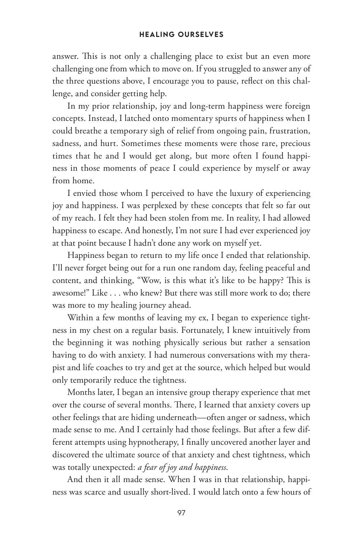answer. This is not only a challenging place to exist but an even more challenging one from which to move on. If you struggled to answer any of the three questions above, I encourage you to pause, reflect on this challenge, and consider getting help.

In my prior relationship, joy and long-term happiness were foreign concepts. Instead, I latched onto momentary spurts of happiness when I could breathe a temporary sigh of relief from ongoing pain, frustration, sadness, and hurt. Sometimes these moments were those rare, precious times that he and I would get along, but more often I found happiness in those moments of peace I could experience by myself or away from home.

I envied those whom I perceived to have the luxury of experiencing joy and happiness. I was perplexed by these concepts that felt so far out of my reach. I felt they had been stolen from me. In reality, I had allowed happiness to escape. And honestly, I'm not sure I had ever experienced joy at that point because I hadn't done any work on myself yet.

Happiness began to return to my life once I ended that relationship. I'll never forget being out for a run one random day, feeling peaceful and content, and thinking, "Wow, is this what it's like to be happy? This is awesome!" Like . . . who knew? But there was still more work to do; there was more to my healing journey ahead.

Within a few months of leaving my ex, I began to experience tightness in my chest on a regular basis. Fortunately, I knew intuitively from the beginning it was nothing physically serious but rather a sensation having to do with anxiety. I had numerous conversations with my therapist and life coaches to try and get at the source, which helped but would only temporarily reduce the tightness.

Months later, I began an intensive group therapy experience that met over the course of several months. There, I learned that anxiety covers up other feelings that are hiding underneath—often anger or sadness, which made sense to me. And I certainly had those feelings. But after a few different attempts using hypnotherapy, I finally uncovered another layer and discovered the ultimate source of that anxiety and chest tightness, which was totally unexpected: *a fear of joy and happiness*.

And then it all made sense. When I was in that relationship, happiness was scarce and usually short-lived. I would latch onto a few hours of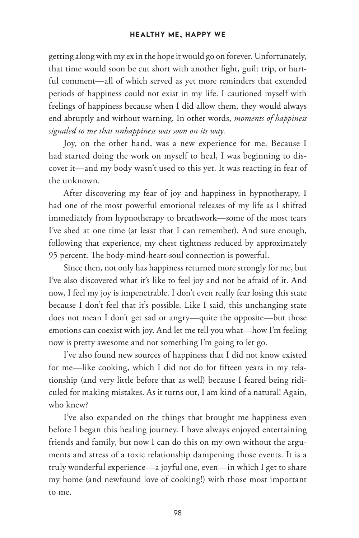getting along with my ex in the hope it would go on forever. Unfortunately, that time would soon be cut short with another fight, guilt trip, or hurtful comment—all of which served as yet more reminders that extended periods of happiness could not exist in my life. I cautioned myself with feelings of happiness because when I did allow them, they would always end abruptly and without warning. In other words, *moments of happiness signaled to me that unhappiness was soon on its way.*

Joy, on the other hand, was a new experience for me. Because I had started doing the work on myself to heal, I was beginning to discover it—and my body wasn't used to this yet. It was reacting in fear of the unknown.

After discovering my fear of joy and happiness in hypnotherapy, I had one of the most powerful emotional releases of my life as I shifted immediately from hypnotherapy to breathwork—some of the most tears I've shed at one time (at least that I can remember). And sure enough, following that experience, my chest tightness reduced by approximately 95 percent. The body-mind-heart-soul connection is powerful.

Since then, not only has happiness returned more strongly for me, but I've also discovered what it's like to feel joy and not be afraid of it. And now, I feel my joy is impenetrable. I don't even really fear losing this state because I don't feel that it's possible. Like I said, this unchanging state does not mean I don't get sad or angry—quite the opposite—but those emotions can coexist with joy. And let me tell you what—how I'm feeling now is pretty awesome and not something I'm going to let go.

I've also found new sources of happiness that I did not know existed for me—like cooking, which I did not do for fifteen years in my relationship (and very little before that as well) because I feared being ridiculed for making mistakes. As it turns out, I am kind of a natural! Again, who knew?

I've also expanded on the things that brought me happiness even before I began this healing journey. I have always enjoyed entertaining friends and family, but now I can do this on my own without the arguments and stress of a toxic relationship dampening those events. It is a truly wonderful experience—a joyful one, even—in which I get to share my home (and newfound love of cooking!) with those most important to me.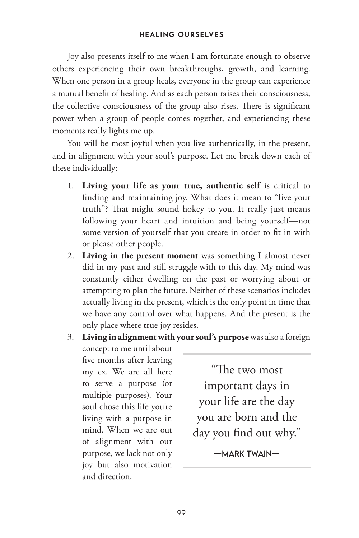#### HEALING OURSELVES

Joy also presents itself to me when I am fortunate enough to observe others experiencing their own breakthroughs, growth, and learning. When one person in a group heals, everyone in the group can experience a mutual benefit of healing. And as each person raises their consciousness, the collective consciousness of the group also rises. There is significant power when a group of people comes together, and experiencing these moments really lights me up.

You will be most joyful when you live authentically, in the present, and in alignment with your soul's purpose. Let me break down each of these individually:

- 1. **Living your life as your true, authentic self** is critical to finding and maintaining joy. What does it mean to "live your truth"? That might sound hokey to you. It really just means following your heart and intuition and being yourself—not some version of yourself that you create in order to fit in with or please other people.
- 2. **Living in the present moment** was something I almost never did in my past and still struggle with to this day. My mind was constantly either dwelling on the past or worrying about or attempting to plan the future. Neither of these scenarios includes actually living in the present, which is the only point in time that we have any control over what happens. And the present is the only place where true joy resides.
- 3. **Living in alignment with your soul's purpose** was also a foreign concept to me until about five months after leaving my ex. We are all here to serve a purpose (or multiple purposes). Your soul chose this life you're living with a purpose in mind. When we are out of alignment with our purpose, we lack not only joy but also motivation "The two most important days in your life are the day you are born and the day you find out why." —Mark Twain—

and direction.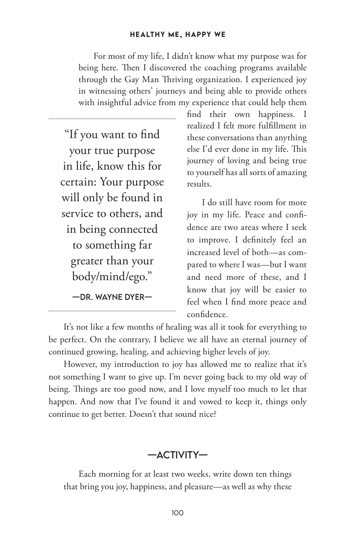For most of my life, I didn't know what my purpose was for being here. Then I discovered the coaching programs available through the Gay Man Thriving organization. I experienced joy in witnessing others' journeys and being able to provide others with insightful advice from my experience that could help them

"If you want to find your true purpose in life, know this for certain: Your purpose will only be found in service to others, and in being connected to something far greater than your body/mind/ego."

—Dr. Wayne Dyer—

find their own happiness. I realized I felt more fulfillment in these conversations than anything else I'd ever done in my life. This journey of loving and being true to yourself has all sorts of amazing results.

I do still have room for more joy in my life. Peace and confidence are two areas where I seek to improve. I definitely feel an increased level of both—as compared to where I was—but I want and need more of these, and I know that joy will be easier to feel when I find more peace and confidence.

It's not like a few months of healing was all it took for everything to be perfect. On the contrary, I believe we all have an eternal journey of continued growing, healing, and achieving higher levels of joy.

However, my introduction to joy has allowed me to realize that it's not something I want to give up. I'm never going back to my old way of being. Things are too good now, and I love myself too much to let that happen. And now that I've found it and vowed to keep it, things only continue to get better. Doesn't that sound nice?

#### —ACTIVITY—

Each morning for at least two weeks, write down ten things that bring you joy, happiness, and pleasure—as well as why these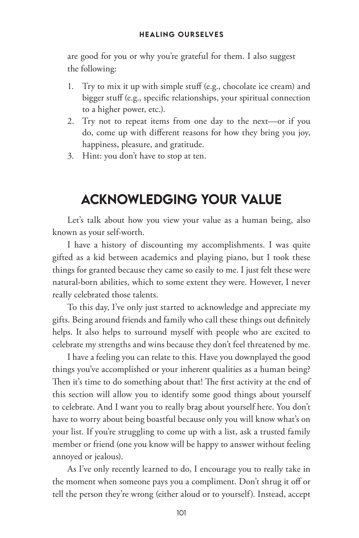are good for you or why you're grateful for them. I also suggest the following:

- 1. Try to mix it up with simple stuff (e.g., chocolate ice cream) and bigger stuff (e.g., specific relationships, your spiritual connection to a higher power, etc.).
- 2. Try not to repeat items from one day to the next—or if you do, come up with different reasons for how they bring you joy, happiness, pleasure, and gratitude.
- 3. Hint: you don't have to stop at ten.

### Acknowledging Your Value

Let's talk about how you view your value as a human being, also known as your self-worth.

I have a history of discounting my accomplishments. I was quite gifted as a kid between academics and playing piano, but I took these things for granted because they came so easily to me. I just felt these were natural-born abilities, which to some extent they were. However, I never really celebrated those talents.

To this day, I've only just started to acknowledge and appreciate my gifts. Being around friends and family who call these things out definitely helps. It also helps to surround myself with people who are excited to celebrate my strengths and wins because they don't feel threatened by me.

I have a feeling you can relate to this. Have you downplayed the good things you've accomplished or your inherent qualities as a human being? Then it's time to do something about that! The first activity at the end of this section will allow you to identify some good things about yourself to celebrate. And I want you to really brag about yourself here. You don't have to worry about being boastful because only you will know what's on your list. If you're struggling to come up with a list, ask a trusted family member or friend (one you know will be happy to answer without feeling annoyed or jealous).

As I've only recently learned to do, I encourage you to really take in the moment when someone pays you a compliment. Don't shrug it off or tell the person they're wrong (either aloud or to yourself). Instead, accept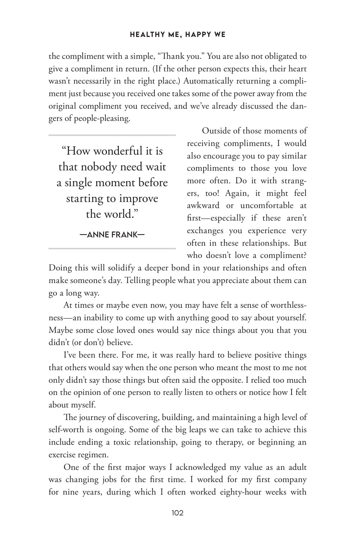the compliment with a simple, "Thank you." You are also not obligated to give a compliment in return. (If the other person expects this, their heart wasn't necessarily in the right place.) Automatically returning a compliment just because you received one takes some of the power away from the original compliment you received, and we've already discussed the dangers of people-pleasing.

"How wonderful it is that nobody need wait a single moment before starting to improve the world."

—Anne Frank—

Outside of those moments of receiving compliments, I would also encourage you to pay similar compliments to those you love more often. Do it with strangers, too! Again, it might feel awkward or uncomfortable at first—especially if these aren't exchanges you experience very often in these relationships. But who doesn't love a compliment?

Doing this will solidify a deeper bond in your relationships and often make someone's day. Telling people what you appreciate about them can go a long way.

At times or maybe even now, you may have felt a sense of worthlessness—an inability to come up with anything good to say about yourself. Maybe some close loved ones would say nice things about you that you didn't (or don't) believe.

I've been there. For me, it was really hard to believe positive things that others would say when the one person who meant the most to me not only didn't say those things but often said the opposite. I relied too much on the opinion of one person to really listen to others or notice how I felt about myself.

The journey of discovering, building, and maintaining a high level of self-worth is ongoing. Some of the big leaps we can take to achieve this include ending a toxic relationship, going to therapy, or beginning an exercise regimen.

One of the first major ways I acknowledged my value as an adult was changing jobs for the first time. I worked for my first company for nine years, during which I often worked eighty-hour weeks with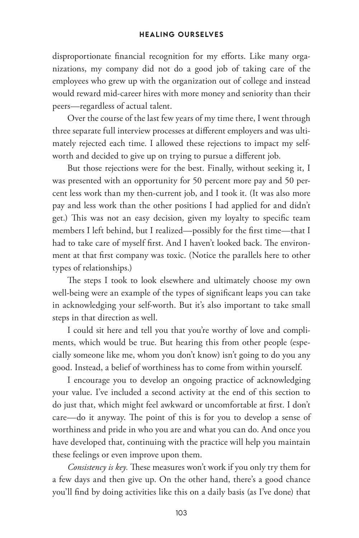#### HEALING OURSELVES

disproportionate financial recognition for my efforts. Like many organizations, my company did not do a good job of taking care of the employees who grew up with the organization out of college and instead would reward mid-career hires with more money and seniority than their peers—regardless of actual talent.

Over the course of the last few years of my time there, I went through three separate full interview processes at different employers and was ultimately rejected each time. I allowed these rejections to impact my selfworth and decided to give up on trying to pursue a different job.

But those rejections were for the best. Finally, without seeking it, I was presented with an opportunity for 50 percent more pay and 50 percent less work than my then-current job, and I took it. (It was also more pay and less work than the other positions I had applied for and didn't get.) This was not an easy decision, given my loyalty to specific team members I left behind, but I realized—possibly for the first time—that I had to take care of myself first. And I haven't looked back. The environment at that first company was toxic. (Notice the parallels here to other types of relationships.)

The steps I took to look elsewhere and ultimately choose my own well-being were an example of the types of significant leaps you can take in acknowledging your self-worth. But it's also important to take small steps in that direction as well.

I could sit here and tell you that you're worthy of love and compliments, which would be true. But hearing this from other people (especially someone like me, whom you don't know) isn't going to do you any good. Instead, a belief of worthiness has to come from within yourself.

I encourage you to develop an ongoing practice of acknowledging your value. I've included a second activity at the end of this section to do just that, which might feel awkward or uncomfortable at first. I don't care—do it anyway. The point of this is for you to develop a sense of worthiness and pride in who you are and what you can do. And once you have developed that, continuing with the practice will help you maintain these feelings or even improve upon them.

*Consistency is key.* These measures won't work if you only try them for a few days and then give up. On the other hand, there's a good chance you'll find by doing activities like this on a daily basis (as I've done) that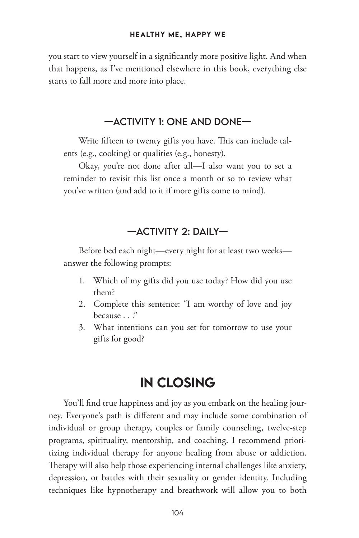you start to view yourself in a significantly more positive light. And when that happens, as I've mentioned elsewhere in this book, everything else starts to fall more and more into place.

#### —ACTIVITY 1: ONE AND DONE—

Write fifteen to twenty gifts you have. This can include talents (e.g., cooking) or qualities (e.g., honesty).

Okay, you're not done after all—I also want you to set a reminder to revisit this list once a month or so to review what you've written (and add to it if more gifts come to mind).

#### —ACTIVITY 2: DAILY—

Before bed each night—every night for at least two weeks answer the following prompts:

- 1. Which of my gifts did you use today? How did you use them?
- 2. Complete this sentence: "I am worthy of love and joy because "
- 3. What intentions can you set for tomorrow to use your gifts for good?

### In Closing

You'll find true happiness and joy as you embark on the healing journey. Everyone's path is different and may include some combination of individual or group therapy, couples or family counseling, twelve-step programs, spirituality, mentorship, and coaching. I recommend prioritizing individual therapy for anyone healing from abuse or addiction. Therapy will also help those experiencing internal challenges like anxiety, depression, or battles with their sexuality or gender identity. Including techniques like hypnotherapy and breathwork will allow you to both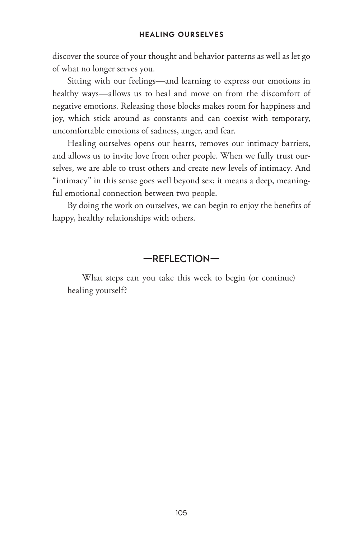#### HEALING OURSELVES

discover the source of your thought and behavior patterns as well as let go of what no longer serves you.

Sitting with our feelings—and learning to express our emotions in healthy ways—allows us to heal and move on from the discomfort of negative emotions. Releasing those blocks makes room for happiness and joy, which stick around as constants and can coexist with temporary, uncomfortable emotions of sadness, anger, and fear.

Healing ourselves opens our hearts, removes our intimacy barriers, and allows us to invite love from other people. When we fully trust ourselves, we are able to trust others and create new levels of intimacy. And "intimacy" in this sense goes well beyond sex; it means a deep, meaningful emotional connection between two people.

By doing the work on ourselves, we can begin to enjoy the benefits of happy, healthy relationships with others.

#### —REFLECTION—

What steps can you take this week to begin (or continue) healing yourself?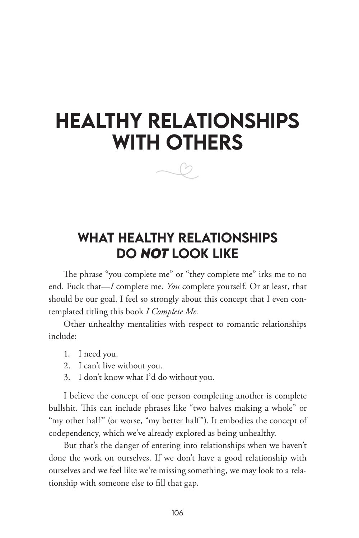

### What Healthy Relationships Do *NOT* Look Like

The phrase "you complete me" or "they complete me" irks me to no end. Fuck that—*I* complete me. *You* complete yourself. Or at least, that should be our goal. I feel so strongly about this concept that I even contemplated titling this book *I Complete Me.*

Other unhealthy mentalities with respect to romantic relationships include:

- 1. I need you.
- 2. I can't live without you.
- 3. I don't know what I'd do without you.

I believe the concept of one person completing another is complete bullshit. This can include phrases like "two halves making a whole" or "my other half" (or worse, "my better half"). It embodies the concept of codependency, which we've already explored as being unhealthy.

But that's the danger of entering into relationships when we haven't done the work on ourselves. If we don't have a good relationship with ourselves and we feel like we're missing something, we may look to a relationship with someone else to fill that gap.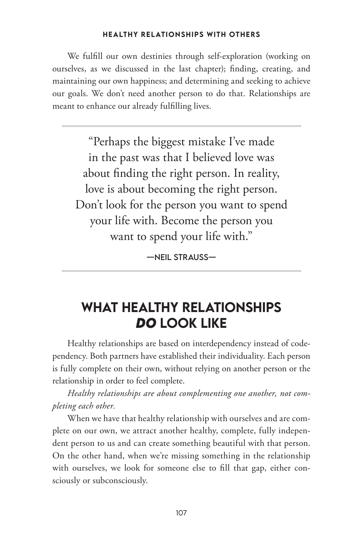We fulfill our own destinies through self-exploration (working on ourselves, as we discussed in the last chapter); finding, creating, and maintaining our own happiness; and determining and seeking to achieve our goals. We don't need another person to do that. Relationships are meant to enhance our already fulfilling lives.

"Perhaps the biggest mistake I've made in the past was that I believed love was about finding the right person. In reality, love is about becoming the right person. Don't look for the person you want to spend your life with. Become the person you want to spend your life with."

—Neil Strauss—

### WHAT HEALTHY RELATIONSHIPS *Do* Look Like

Healthy relationships are based on interdependency instead of codependency. Both partners have established their individuality. Each person is fully complete on their own, without relying on another person or the relationship in order to feel complete.

*Healthy relationships are about complementing one another, not completing each other.*

When we have that healthy relationship with ourselves and are complete on our own, we attract another healthy, complete, fully independent person to us and can create something beautiful with that person. On the other hand, when we're missing something in the relationship with ourselves, we look for someone else to fill that gap, either consciously or subconsciously.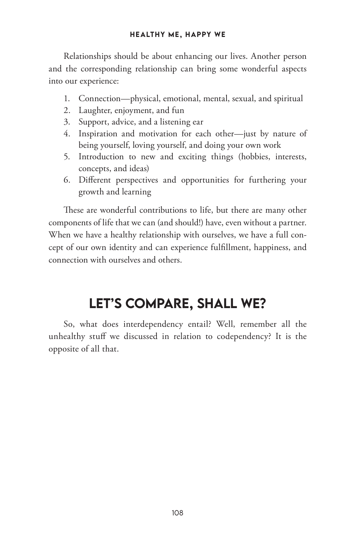Relationships should be about enhancing our lives. Another person and the corresponding relationship can bring some wonderful aspects into our experience:

- 1. Connection—physical, emotional, mental, sexual, and spiritual
- 2. Laughter, enjoyment, and fun
- 3. Support, advice, and a listening ear
- 4. Inspiration and motivation for each other—just by nature of being yourself, loving yourself, and doing your own work
- 5. Introduction to new and exciting things (hobbies, interests, concepts, and ideas)
- 6. Different perspectives and opportunities for furthering your growth and learning

These are wonderful contributions to life, but there are many other components of life that we can (and should!) have, even without a partner. When we have a healthy relationship with ourselves, we have a full concept of our own identity and can experience fulfillment, happiness, and connection with ourselves and others.

### Let's Compare, Shall We?

So, what does interdependency entail? Well, remember all the unhealthy stuff we discussed in relation to codependency? It is the opposite of all that.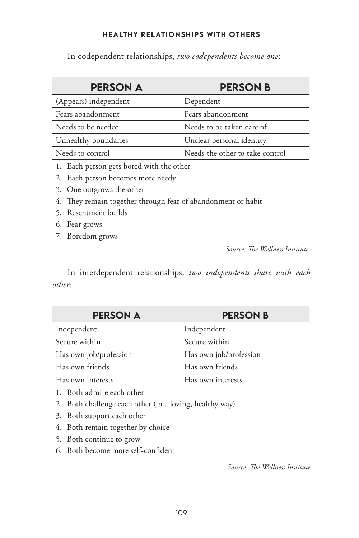In codependent relationships, *two codependents become one*:

| <b>PERSON A</b>       | <b>PERSON B</b>                 |
|-----------------------|---------------------------------|
| (Appears) independent | Dependent                       |
| Fears abandonment     | Fears abandonment               |
| Needs to be needed    | Needs to be taken care of       |
| Unhealthy boundaries  | Unclear personal identity       |
| Needs to control      | Needs the other to take control |

1. Each person gets bored with the other

- 2. Each person becomes more needy
- 3. One outgrows the other
- 4. They remain together through fear of abandonment or habit
- 5. Resentment builds
- 6. Fear grows
- 7. Boredom grows

*Source: The Wellness Institute.*

In interdependent relationships, *two independents share with each other*:

| <b>PERSON A</b>        | <b>PERSON B</b>        |
|------------------------|------------------------|
| Independent            | Independent            |
| Secure within          | Secure within          |
| Has own job/profession | Has own job/profession |
| Has own friends        | Has own friends        |
| Has own interests      | Has own interests      |

- 1. Both admire each other
- 2. Both challenge each other (in a loving, healthy way)
- 3. Both support each other
- 4. Both remain together by choice
- 5. Both continue to grow
- 6. Both become more self-confident

*Source: The Wellness Institute*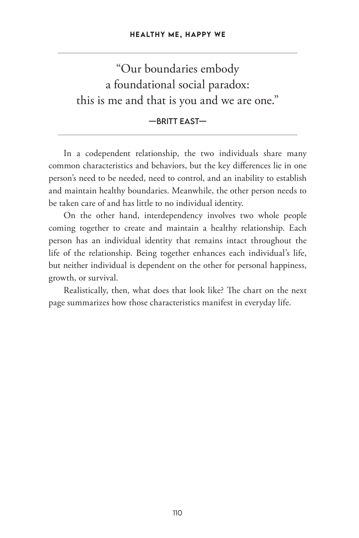"Our boundaries embody a foundational social paradox: this is me and that is you and we are one."

#### —Britt East—

In a codependent relationship, the two individuals share many common characteristics and behaviors, but the key differences lie in one person's need to be needed, need to control, and an inability to establish and maintain healthy boundaries. Meanwhile, the other person needs to be taken care of and has little to no individual identity.

On the other hand, interdependency involves two whole people coming together to create and maintain a healthy relationship. Each person has an individual identity that remains intact throughout the life of the relationship. Being together enhances each individual's life, but neither individual is dependent on the other for personal happiness, growth, or survival.

Realistically, then, what does that look like? The chart on the next page summarizes how those characteristics manifest in everyday life.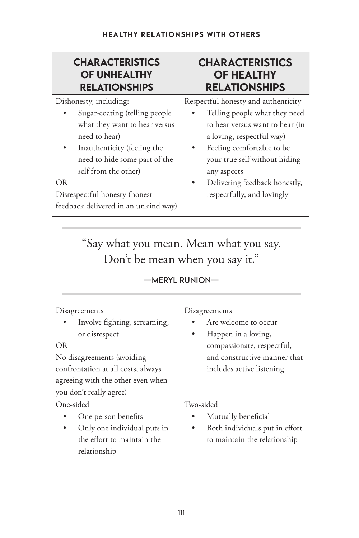#### **CHARACTERISTICS** OF UNHEALTHY **RELATIONSHIPS**

### **CHARACTERISTICS** OF HEALTHY **RELATIONSHIPS**

| Dishonesty, including:                   | Respectful honesty and authenticity        |
|------------------------------------------|--------------------------------------------|
| Sugar-coating (telling people            | Telling people what they need              |
| what they want to hear versus            | to hear versus want to hear (in            |
| need to hear)                            | a loving, respectful way)                  |
| Inauthenticity (feeling the<br>$\bullet$ | Feeling comfortable to be                  |
| need to hide some part of the            | your true self without hiding              |
| self from the other)                     | any aspects                                |
| OR                                       | Delivering feedback honestly,<br>$\bullet$ |
| Disrespectful honesty (honest            | respectfully, and lovingly                 |
| feedback delivered in an unkind way)     |                                            |
|                                          |                                            |

"Say what you mean. Mean what you say. Don't be mean when you say it."

#### —Meryl Runion—

| Disagreements                      | Disagreements                       |
|------------------------------------|-------------------------------------|
| Involve fighting, screaming,       | Are welcome to occur                |
| or disrespect                      | Happen in a loving,<br>$\bullet$    |
| OR                                 | compassionate, respectful,          |
| No disagreements (avoiding         | and constructive manner that        |
| confrontation at all costs, always | includes active listening           |
| agreeing with the other even when  |                                     |
| you don't really agree)            |                                     |
| One-sided                          | Two-sided                           |
| One person benefits                | Mutually beneficial                 |
| Only one individual puts in        | Both individuals put in effort<br>٠ |
| the effort to maintain the         | to maintain the relationship        |
| relationship                       |                                     |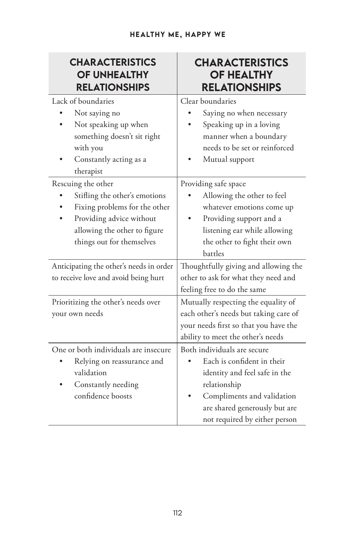#### **CHARACTERISTICS** OF UNHEALTHY **RELATIONSHIPS**

### **CHARACTERISTICS** OF HEALTHY Relationships

| Lack of boundaries                      | Clear boundaries                      |  |
|-----------------------------------------|---------------------------------------|--|
| Not saying no                           | Saying no when necessary              |  |
| Not speaking up when                    | Speaking up in a loving               |  |
| something doesn't sit right             | manner when a boundary                |  |
| with you                                | needs to be set or reinforced         |  |
| Constantly acting as a                  | Mutual support                        |  |
| therapist                               |                                       |  |
| Rescuing the other                      | Providing safe space                  |  |
| Stifling the other's emotions           | Allowing the other to feel            |  |
| Fixing problems for the other           | whatever emotions come up             |  |
| Providing advice without                | Providing support and a               |  |
| allowing the other to figure            | listening ear while allowing          |  |
| things out for themselves               | the other to fight their own          |  |
|                                         | battles                               |  |
| Anticipating the other's needs in order | Thoughtfully giving and allowing the  |  |
| to receive love and avoid being hurt    | other to ask for what they need and   |  |
|                                         | feeling free to do the same           |  |
| Prioritizing the other's needs over     | Mutually respecting the equality of   |  |
| your own needs                          | each other's needs but taking care of |  |
|                                         | your needs first so that you have the |  |
|                                         | ability to meet the other's needs     |  |
| One or both individuals are insecure    | Both individuals are secure           |  |
| Relying on reassurance and              | Each is confident in their            |  |
| validation                              | identity and feel safe in the         |  |
| Constantly needing                      | relationship                          |  |
| confidence boosts                       | Compliments and validation            |  |
|                                         | are shared generously but are         |  |
|                                         | not required by either person         |  |
|                                         |                                       |  |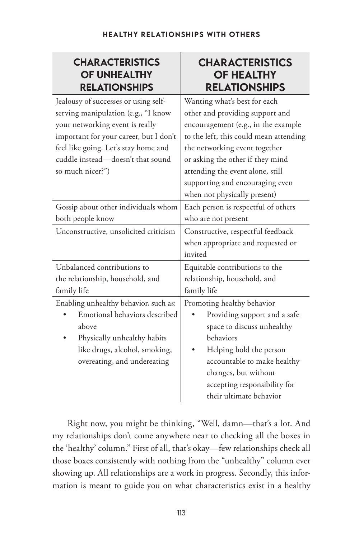| <b>CHARACTERISTICS</b>                                                                                                                                                                                                                                    | <b>CHARACTERISTICS</b>                                                                                                                                                                                                                                                                                                       |  |
|-----------------------------------------------------------------------------------------------------------------------------------------------------------------------------------------------------------------------------------------------------------|------------------------------------------------------------------------------------------------------------------------------------------------------------------------------------------------------------------------------------------------------------------------------------------------------------------------------|--|
| <b>OF UNHEALTHY</b>                                                                                                                                                                                                                                       | <b>OF HEALTHY</b>                                                                                                                                                                                                                                                                                                            |  |
| <b>RELATIONSHIPS</b>                                                                                                                                                                                                                                      | <b>RELATIONSHIPS</b>                                                                                                                                                                                                                                                                                                         |  |
| Jealousy of successes or using self-<br>serving manipulation (e.g., "I know<br>your networking event is really<br>important for your career, but I don't<br>feel like going. Let's stay home and<br>cuddle instead-doesn't that sound<br>so much nicer?") | Wanting what's best for each<br>other and providing support and<br>encouragement (e.g., in the example<br>to the left, this could mean attending<br>the networking event together<br>or asking the other if they mind<br>attending the event alone, still<br>supporting and encouraging even<br>when not physically present) |  |
| Gossip about other individuals whom                                                                                                                                                                                                                       | Each person is respectful of others                                                                                                                                                                                                                                                                                          |  |
| both people know                                                                                                                                                                                                                                          | who are not present                                                                                                                                                                                                                                                                                                          |  |
| Unconstructive, unsolicited criticism                                                                                                                                                                                                                     | Constructive, respectful feedback<br>when appropriate and requested or<br>invited                                                                                                                                                                                                                                            |  |
| Unbalanced contributions to                                                                                                                                                                                                                               | Equitable contributions to the                                                                                                                                                                                                                                                                                               |  |
| the relationship, household, and                                                                                                                                                                                                                          | relationship, household, and                                                                                                                                                                                                                                                                                                 |  |
| family life                                                                                                                                                                                                                                               | family life                                                                                                                                                                                                                                                                                                                  |  |
| Enabling unhealthy behavior, such as:<br>Emotional behaviors described<br>above<br>Physically unhealthy habits<br>like drugs, alcohol, smoking,<br>overeating, and undereating                                                                            | Promoting healthy behavior<br>Providing support and a safe<br>space to discuss unhealthy<br>behaviors<br>Helping hold the person<br>accountable to make healthy<br>changes, but without<br>accepting responsibility for<br>their ultimate behavior                                                                           |  |

Right now, you might be thinking, "Well, damn—that's a lot. And my relationships don't come anywhere near to checking all the boxes in the 'healthy' column." First of all, that's okay—few relationships check all those boxes consistently with nothing from the "unhealthy" column ever showing up. All relationships are a work in progress. Secondly, this information is meant to guide you on what characteristics exist in a healthy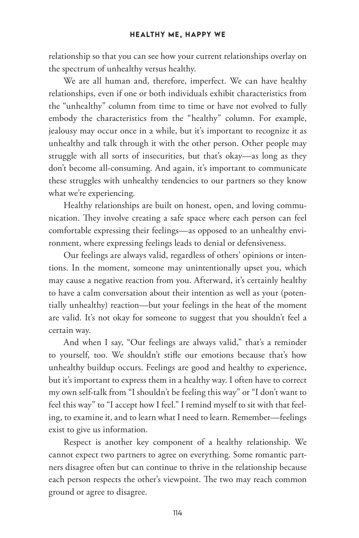relationship so that you can see how your current relationships overlay on the spectrum of unhealthy versus healthy.

We are all human and, therefore, imperfect. We can have healthy relationships, even if one or both individuals exhibit characteristics from the "unhealthy" column from time to time or have not evolved to fully embody the characteristics from the "healthy" column. For example, jealousy may occur once in a while, but it's important to recognize it as unhealthy and talk through it with the other person. Other people may struggle with all sorts of insecurities, but that's okay—as long as they don't become all-consuming. And again, it's important to communicate these struggles with unhealthy tendencies to our partners so they know what we're experiencing.

Healthy relationships are built on honest, open, and loving communication. They involve creating a safe space where each person can feel comfortable expressing their feelings—as opposed to an unhealthy environment, where expressing feelings leads to denial or defensiveness.

Our feelings are always valid, regardless of others' opinions or intentions. In the moment, someone may unintentionally upset you, which may cause a negative reaction from you. Afterward, it's certainly healthy to have a calm conversation about their intention as well as your (potentially unhealthy) reaction—but your feelings in the heat of the moment are valid. It's not okay for someone to suggest that you shouldn't feel a certain way.

And when I say, "Our feelings are always valid," that's a reminder to yourself, too. We shouldn't stifle our emotions because that's how unhealthy buildup occurs. Feelings are good and healthy to experience, but it's important to express them in a healthy way. I often have to correct my own self-talk from "I shouldn't be feeling this way" or "I don't want to feel this way" to "I accept how I feel." I remind myself to sit with that feeling, to examine it, and to learn what I need to learn. Remember—feelings exist to give us information.

Respect is another key component of a healthy relationship. We cannot expect two partners to agree on everything. Some romantic partners disagree often but can continue to thrive in the relationship because each person respects the other's viewpoint. The two may reach common ground or agree to disagree.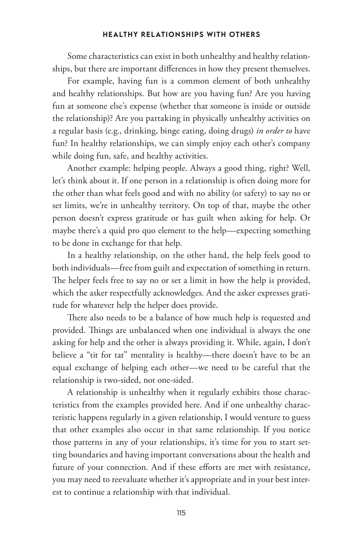Some characteristics can exist in both unhealthy and healthy relationships, but there are important differences in how they present themselves.

For example, having fun is a common element of both unhealthy and healthy relationships. But how are you having fun? Are you having fun at someone else's expense (whether that someone is inside or outside the relationship)? Are you partaking in physically unhealthy activities on a regular basis (e.g., drinking, binge eating, doing drugs) *in order to* have fun? In healthy relationships, we can simply enjoy each other's company while doing fun, safe, and healthy activities.

Another example: helping people. Always a good thing, right? Well, let's think about it. If one person in a relationship is often doing more for the other than what feels good and with no ability (or safety) to say no or set limits, we're in unhealthy territory. On top of that, maybe the other person doesn't express gratitude or has guilt when asking for help. Or maybe there's a quid pro quo element to the help—expecting something to be done in exchange for that help.

In a healthy relationship, on the other hand, the help feels good to both individuals—free from guilt and expectation of something in return. The helper feels free to say no or set a limit in how the help is provided, which the asker respectfully acknowledges. And the asker expresses gratitude for whatever help the helper does provide.

There also needs to be a balance of how much help is requested and provided. Things are unbalanced when one individual is always the one asking for help and the other is always providing it. While, again, I don't believe a "tit for tat" mentality is healthy—there doesn't have to be an equal exchange of helping each other—we need to be careful that the relationship is two-sided, not one-sided.

A relationship is unhealthy when it regularly exhibits those characteristics from the examples provided here. And if one unhealthy characteristic happens regularly in a given relationship, I would venture to guess that other examples also occur in that same relationship. If you notice those patterns in any of your relationships, it's time for you to start setting boundaries and having important conversations about the health and future of your connection. And if these efforts are met with resistance, you may need to reevaluate whether it's appropriate and in your best interest to continue a relationship with that individual.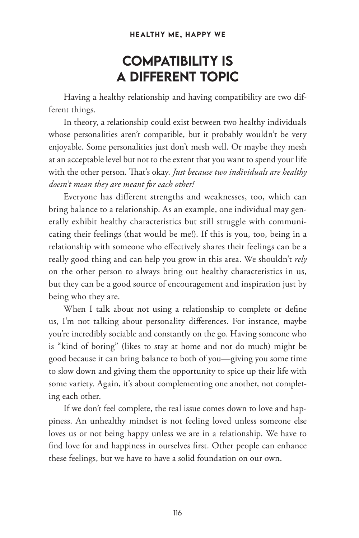### Compatibility Is a Different Topic

Having a healthy relationship and having compatibility are two different things.

In theory, a relationship could exist between two healthy individuals whose personalities aren't compatible, but it probably wouldn't be very enjoyable. Some personalities just don't mesh well. Or maybe they mesh at an acceptable level but not to the extent that you want to spend your life with the other person. That's okay. *Just because two individuals are healthy doesn't mean they are meant for each other!*

Everyone has different strengths and weaknesses, too, which can bring balance to a relationship. As an example, one individual may generally exhibit healthy characteristics but still struggle with communicating their feelings (that would be me!). If this is you, too, being in a relationship with someone who effectively shares their feelings can be a really good thing and can help you grow in this area. We shouldn't *rely* on the other person to always bring out healthy characteristics in us, but they can be a good source of encouragement and inspiration just by being who they are.

When I talk about not using a relationship to complete or define us, I'm not talking about personality differences. For instance, maybe you're incredibly sociable and constantly on the go. Having someone who is "kind of boring" (likes to stay at home and not do much) might be good because it can bring balance to both of you—giving you some time to slow down and giving them the opportunity to spice up their life with some variety. Again, it's about complementing one another, not completing each other.

If we don't feel complete, the real issue comes down to love and happiness. An unhealthy mindset is not feeling loved unless someone else loves us or not being happy unless we are in a relationship. We have to find love for and happiness in ourselves first. Other people can enhance these feelings, but we have to have a solid foundation on our own.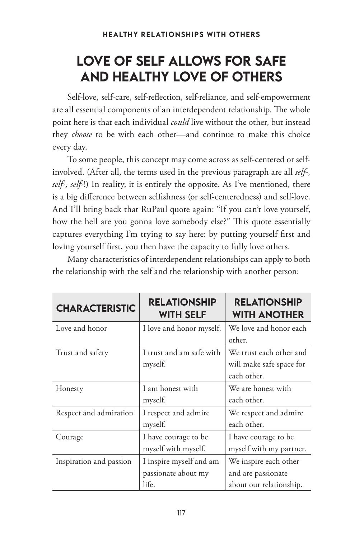### Love of Self Allows for Safe and Healthy Love of Others

Self-love, self-care, self-reflection, self-reliance, and self-empowerment are all essential components of an interdependent relationship. The whole point here is that each individual *could* live without the other, but instead they *choose* to be with each other—and continue to make this choice every day.

To some people, this concept may come across as self-centered or selfinvolved. (After all, the terms used in the previous paragraph are all *self-, self-, self-*!) In reality, it is entirely the opposite. As I've mentioned, there is a big difference between selfishness (or self-centeredness) and self-love. And I'll bring back that RuPaul quote again: "If you can't love yourself, how the hell are you gonna love somebody else?" This quote essentially captures everything I'm trying to say here: by putting yourself first and loving yourself first, you then have the capacity to fully love others.

| <b>CHARACTERISTIC</b>   | <b>RELATIONSHIP</b><br><b>WITH SELF</b> | <b>RELATIONSHIP</b><br><b>WITH ANOTHER</b> |
|-------------------------|-----------------------------------------|--------------------------------------------|
| Love and honor          | I love and honor myself.                | We love and honor each                     |
|                         |                                         | other.                                     |
| Trust and safety        | I trust and am safe with                | We trust each other and                    |
|                         | myself.                                 | will make safe space for                   |
|                         |                                         | each other.                                |
| Honesty                 | I am honest with                        | We are honest with                         |
|                         | myself.                                 | each other.                                |
| Respect and admiration  | I respect and admire                    | We respect and admire                      |
|                         | myself.                                 | each other.                                |
| Courage                 | I have courage to be                    | I have courage to be                       |
|                         | myself with myself.                     | myself with my partner.                    |
| Inspiration and passion | I inspire myself and am                 | We inspire each other                      |
|                         | passionate about my                     | and are passionate                         |
|                         | life.                                   | about our relationship.                    |

Many characteristics of interdependent relationships can apply to both the relationship with the self and the relationship with another person: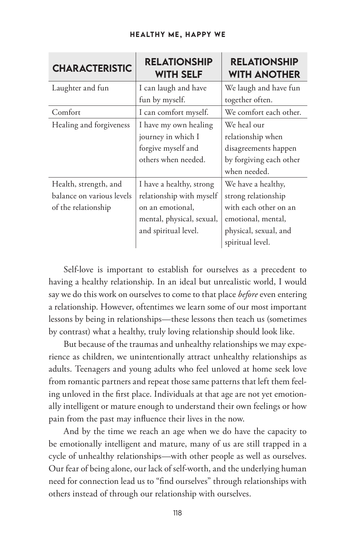| <b>CHARACTERISTIC</b>     | <b>RELATIONSHIP</b><br><b>WITH SELF</b> | <b>RELATIONSHIP</b><br><b>WITH ANOTHER</b> |
|---------------------------|-----------------------------------------|--------------------------------------------|
| Laughter and fun          | I can laugh and have                    | We laugh and have fun                      |
|                           | fun by myself.                          | together often.                            |
| Comfort                   | I can comfort myself.                   | We comfort each other.                     |
| Healing and forgiveness   | I have my own healing                   | We heal our                                |
|                           | journey in which I                      | relationship when                          |
|                           | forgive myself and                      | disagreements happen                       |
|                           | others when needed.                     | by forgiving each other                    |
|                           |                                         | when needed.                               |
| Health, strength, and     | I have a healthy, strong                | We have a healthy,                         |
| balance on various levels | relationship with myself                | strong relationship                        |
| of the relationship       | on an emotional,                        | with each other on an                      |
|                           | mental, physical, sexual,               | emotional, mental,                         |
|                           | and spiritual level.                    | physical, sexual, and                      |
|                           |                                         | spiritual level.                           |

Self-love is important to establish for ourselves as a precedent to having a healthy relationship. In an ideal but unrealistic world, I would say we do this work on ourselves to come to that place *before* even entering a relationship. However, oftentimes we learn some of our most important lessons by being in relationships—these lessons then teach us (sometimes by contrast) what a healthy, truly loving relationship should look like.

But because of the traumas and unhealthy relationships we may experience as children, we unintentionally attract unhealthy relationships as adults. Teenagers and young adults who feel unloved at home seek love from romantic partners and repeat those same patterns that left them feeling unloved in the first place. Individuals at that age are not yet emotionally intelligent or mature enough to understand their own feelings or how pain from the past may influence their lives in the now.

And by the time we reach an age when we do have the capacity to be emotionally intelligent and mature, many of us are still trapped in a cycle of unhealthy relationships—with other people as well as ourselves. Our fear of being alone, our lack of self-worth, and the underlying human need for connection lead us to "find ourselves" through relationships with others instead of through our relationship with ourselves.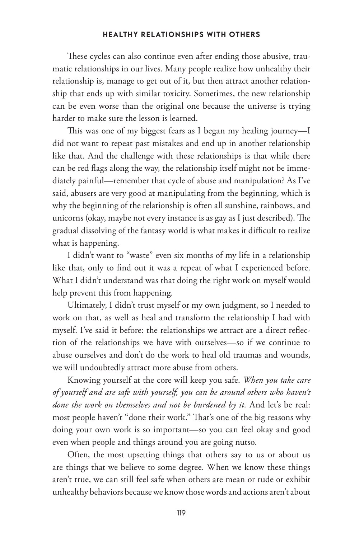These cycles can also continue even after ending those abusive, traumatic relationships in our lives. Many people realize how unhealthy their relationship is, manage to get out of it, but then attract another relationship that ends up with similar toxicity. Sometimes, the new relationship can be even worse than the original one because the universe is trying harder to make sure the lesson is learned.

This was one of my biggest fears as I began my healing journey—I did not want to repeat past mistakes and end up in another relationship like that. And the challenge with these relationships is that while there can be red flags along the way, the relationship itself might not be immediately painful—remember that cycle of abuse and manipulation? As I've said, abusers are very good at manipulating from the beginning, which is why the beginning of the relationship is often all sunshine, rainbows, and unicorns (okay, maybe not every instance is as gay as I just described). The gradual dissolving of the fantasy world is what makes it difficult to realize what is happening.

I didn't want to "waste" even six months of my life in a relationship like that, only to find out it was a repeat of what I experienced before. What I didn't understand was that doing the right work on myself would help prevent this from happening.

Ultimately, I didn't trust myself or my own judgment, so I needed to work on that, as well as heal and transform the relationship I had with myself. I've said it before: the relationships we attract are a direct reflection of the relationships we have with ourselves—so if we continue to abuse ourselves and don't do the work to heal old traumas and wounds, we will undoubtedly attract more abuse from others.

Knowing yourself at the core will keep you safe. *When you take care of yourself and are safe with yourself, you can be around others who haven't done the work on themselves and not be burdened by it.* And let's be real: most people haven't "done their work." That's one of the big reasons why doing your own work is so important—so you can feel okay and good even when people and things around you are going nutso.

Often, the most upsetting things that others say to us or about us are things that we believe to some degree. When we know these things aren't true, we can still feel safe when others are mean or rude or exhibit unhealthy behaviors because we know those words and actions aren't about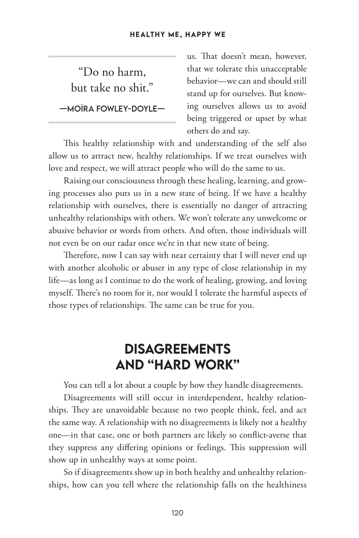"Do no harm, but take no shit."

—Moïra Fowley-Doyle—

us. That doesn't mean, however, that we tolerate this unacceptable behavior—we can and should still stand up for ourselves. But knowing ourselves allows us to avoid being triggered or upset by what others do and say.

This healthy relationship with and understanding of the self also allow us to attract new, healthy relationships. If we treat ourselves with love and respect, we will attract people who will do the same to us.

Raising our consciousness through these healing, learning, and growing processes also puts us in a new state of being. If we have a healthy relationship with ourselves, there is essentially no danger of attracting unhealthy relationships with others. We won't tolerate any unwelcome or abusive behavior or words from others. And often, those individuals will not even be on our radar once we're in that new state of being.

Therefore, now I can say with near certainty that I will never end up with another alcoholic or abuser in any type of close relationship in my life—as long as I continue to do the work of healing, growing, and loving myself. There's no room for it, nor would I tolerate the harmful aspects of those types of relationships. The same can be true for you.

### **DISAGREEMENTS** and "Hard Work"

You can tell a lot about a couple by how they handle disagreements.

Disagreements will still occur in interdependent, healthy relationships. They are unavoidable because no two people think, feel, and act the same way. A relationship with no disagreements is likely not a healthy one—in that case, one or both partners are likely so conflict-averse that they suppress any differing opinions or feelings. This suppression will show up in unhealthy ways at some point.

So if disagreements show up in both healthy and unhealthy relationships, how can you tell where the relationship falls on the healthiness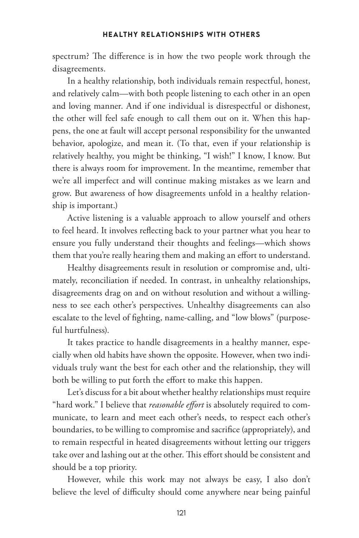spectrum? The difference is in how the two people work through the disagreements.

In a healthy relationship, both individuals remain respectful, honest, and relatively calm—with both people listening to each other in an open and loving manner. And if one individual is disrespectful or dishonest, the other will feel safe enough to call them out on it. When this happens, the one at fault will accept personal responsibility for the unwanted behavior, apologize, and mean it. (To that, even if your relationship is relatively healthy, you might be thinking, "I wish!" I know, I know. But there is always room for improvement. In the meantime, remember that we're all imperfect and will continue making mistakes as we learn and grow. But awareness of how disagreements unfold in a healthy relationship is important.)

Active listening is a valuable approach to allow yourself and others to feel heard. It involves reflecting back to your partner what you hear to ensure you fully understand their thoughts and feelings—which shows them that you're really hearing them and making an effort to understand.

Healthy disagreements result in resolution or compromise and, ultimately, reconciliation if needed. In contrast, in unhealthy relationships, disagreements drag on and on without resolution and without a willingness to see each other's perspectives. Unhealthy disagreements can also escalate to the level of fighting, name-calling, and "low blows" (purposeful hurtfulness).

It takes practice to handle disagreements in a healthy manner, especially when old habits have shown the opposite. However, when two individuals truly want the best for each other and the relationship, they will both be willing to put forth the effort to make this happen.

Let's discuss for a bit about whether healthy relationships must require "hard work." I believe that *reasonable effort* is absolutely required to communicate, to learn and meet each other's needs, to respect each other's boundaries, to be willing to compromise and sacrifice (appropriately), and to remain respectful in heated disagreements without letting our triggers take over and lashing out at the other. This effort should be consistent and should be a top priority.

However, while this work may not always be easy, I also don't believe the level of difficulty should come anywhere near being painful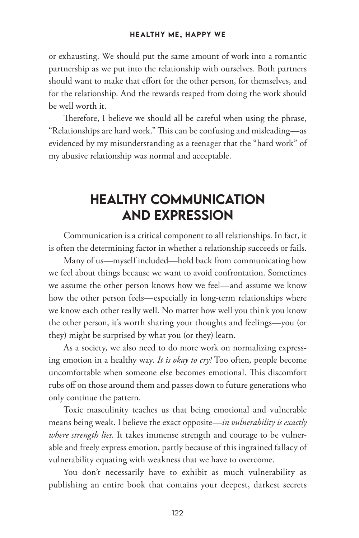or exhausting. We should put the same amount of work into a romantic partnership as we put into the relationship with ourselves. Both partners should want to make that effort for the other person, for themselves, and for the relationship. And the rewards reaped from doing the work should be well worth it.

Therefore, I believe we should all be careful when using the phrase, "Relationships are hard work." This can be confusing and misleading—as evidenced by my misunderstanding as a teenager that the "hard work" of my abusive relationship was normal and acceptable.

### Healthy Communication and Expression

Communication is a critical component to all relationships. In fact, it is often the determining factor in whether a relationship succeeds or fails.

Many of us—myself included—hold back from communicating how we feel about things because we want to avoid confrontation. Sometimes we assume the other person knows how we feel—and assume we know how the other person feels—especially in long-term relationships where we know each other really well. No matter how well you think you know the other person, it's worth sharing your thoughts and feelings—you (or they) might be surprised by what you (or they) learn.

As a society, we also need to do more work on normalizing expressing emotion in a healthy way. *It is okay to cry!* Too often, people become uncomfortable when someone else becomes emotional. This discomfort rubs off on those around them and passes down to future generations who only continue the pattern.

Toxic masculinity teaches us that being emotional and vulnerable means being weak. I believe the exact opposite—*in vulnerability is exactly where strength lies*. It takes immense strength and courage to be vulnerable and freely express emotion, partly because of this ingrained fallacy of vulnerability equating with weakness that we have to overcome.

You don't necessarily have to exhibit as much vulnerability as publishing an entire book that contains your deepest, darkest secrets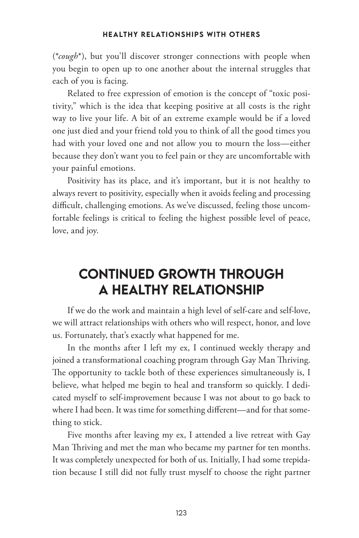(\**cough*\*), but you'll discover stronger connections with people when you begin to open up to one another about the internal struggles that each of you is facing.

Related to free expression of emotion is the concept of "toxic positivity," which is the idea that keeping positive at all costs is the right way to live your life. A bit of an extreme example would be if a loved one just died and your friend told you to think of all the good times you had with your loved one and not allow you to mourn the loss—either because they don't want you to feel pain or they are uncomfortable with your painful emotions.

Positivity has its place, and it's important, but it is not healthy to always revert to positivity, especially when it avoids feeling and processing difficult, challenging emotions. As we've discussed, feeling those uncomfortable feelings is critical to feeling the highest possible level of peace, love, and joy.

### Continued Growth through a Healthy Relationship

If we do the work and maintain a high level of self-care and self-love, we will attract relationships with others who will respect, honor, and love us. Fortunately, that's exactly what happened for me.

In the months after I left my ex, I continued weekly therapy and joined a transformational coaching program through Gay Man Thriving. The opportunity to tackle both of these experiences simultaneously is, I believe, what helped me begin to heal and transform so quickly. I dedicated myself to self-improvement because I was not about to go back to where I had been. It was time for something different—and for that something to stick.

Five months after leaving my ex, I attended a live retreat with Gay Man Thriving and met the man who became my partner for ten months. It was completely unexpected for both of us. Initially, I had some trepidation because I still did not fully trust myself to choose the right partner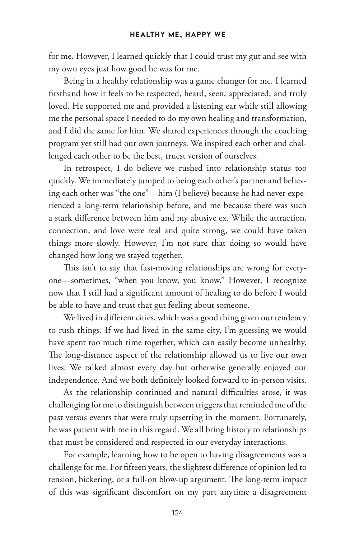for me. However, I learned quickly that I could trust my gut and see with my own eyes just how good he was for me.

Being in a healthy relationship was a game changer for me. I learned firsthand how it feels to be respected, heard, seen, appreciated, and truly loved. He supported me and provided a listening ear while still allowing me the personal space I needed to do my own healing and transformation, and I did the same for him. We shared experiences through the coaching program yet still had our own journeys. We inspired each other and challenged each other to be the best, truest version of ourselves.

In retrospect, I do believe we rushed into relationship status too quickly. We immediately jumped to being each other's partner and believing each other was "the one"—him (I believe) because he had never experienced a long-term relationship before, and me because there was such a stark difference between him and my abusive ex. While the attraction, connection, and love were real and quite strong, we could have taken things more slowly. However, I'm not sure that doing so would have changed how long we stayed together.

This isn't to say that fast-moving relationships are wrong for everyone—sometimes, "when you know, you know." However, I recognize now that I still had a significant amount of healing to do before I would be able to have and trust that gut feeling about someone.

We lived in different cities, which was a good thing given our tendency to rush things. If we had lived in the same city, I'm guessing we would have spent too much time together, which can easily become unhealthy. The long-distance aspect of the relationship allowed us to live our own lives. We talked almost every day but otherwise generally enjoyed our independence. And we both definitely looked forward to in-person visits.

As the relationship continued and natural difficulties arose, it was challenging for me to distinguish between triggers that reminded me of the past versus events that were truly upsetting in the moment. Fortunately, he was patient with me in this regard. We all bring history to relationships that must be considered and respected in our everyday interactions.

For example, learning how to be open to having disagreements was a challenge for me. For fifteen years, the slightest difference of opinion led to tension, bickering, or a full-on blow-up argument. The long-term impact of this was significant discomfort on my part anytime a disagreement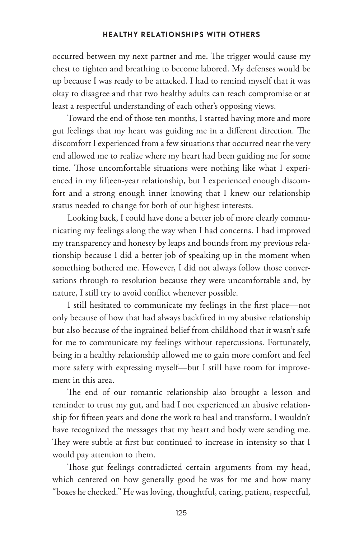occurred between my next partner and me. The trigger would cause my chest to tighten and breathing to become labored. My defenses would be up because I was ready to be attacked. I had to remind myself that it was okay to disagree and that two healthy adults can reach compromise or at least a respectful understanding of each other's opposing views.

Toward the end of those ten months, I started having more and more gut feelings that my heart was guiding me in a different direction. The discomfort I experienced from a few situations that occurred near the very end allowed me to realize where my heart had been guiding me for some time. Those uncomfortable situations were nothing like what I experienced in my fifteen-year relationship, but I experienced enough discomfort and a strong enough inner knowing that I knew our relationship status needed to change for both of our highest interests.

Looking back, I could have done a better job of more clearly communicating my feelings along the way when I had concerns. I had improved my transparency and honesty by leaps and bounds from my previous relationship because I did a better job of speaking up in the moment when something bothered me. However, I did not always follow those conversations through to resolution because they were uncomfortable and, by nature, I still try to avoid conflict whenever possible.

I still hesitated to communicate my feelings in the first place—not only because of how that had always backfired in my abusive relationship but also because of the ingrained belief from childhood that it wasn't safe for me to communicate my feelings without repercussions. Fortunately, being in a healthy relationship allowed me to gain more comfort and feel more safety with expressing myself—but I still have room for improvement in this area.

The end of our romantic relationship also brought a lesson and reminder to trust my gut, and had I not experienced an abusive relationship for fifteen years and done the work to heal and transform, I wouldn't have recognized the messages that my heart and body were sending me. They were subtle at first but continued to increase in intensity so that I would pay attention to them.

Those gut feelings contradicted certain arguments from my head, which centered on how generally good he was for me and how many "boxes he checked." He was loving, thoughtful, caring, patient, respectful,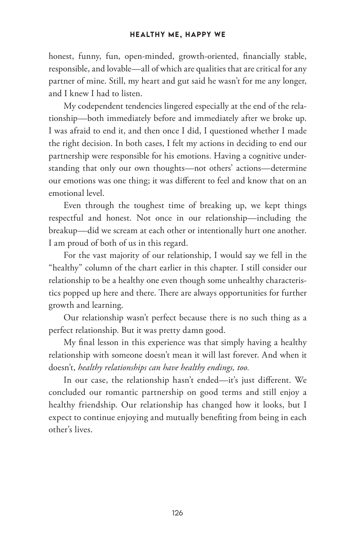honest, funny, fun, open-minded, growth-oriented, financially stable, responsible, and lovable—all of which are qualities that are critical for any partner of mine. Still, my heart and gut said he wasn't for me any longer, and I knew I had to listen.

My codependent tendencies lingered especially at the end of the relationship—both immediately before and immediately after we broke up. I was afraid to end it, and then once I did, I questioned whether I made the right decision. In both cases, I felt my actions in deciding to end our partnership were responsible for his emotions. Having a cognitive understanding that only our own thoughts—not others' actions—determine our emotions was one thing; it was different to feel and know that on an emotional level.

Even through the toughest time of breaking up, we kept things respectful and honest. Not once in our relationship—including the breakup—did we scream at each other or intentionally hurt one another. I am proud of both of us in this regard.

For the vast majority of our relationship, I would say we fell in the "healthy" column of the chart earlier in this chapter. I still consider our relationship to be a healthy one even though some unhealthy characteristics popped up here and there. There are always opportunities for further growth and learning.

Our relationship wasn't perfect because there is no such thing as a perfect relationship. But it was pretty damn good.

My final lesson in this experience was that simply having a healthy relationship with someone doesn't mean it will last forever. And when it doesn't, *healthy relationships can have healthy endings, too.*

In our case, the relationship hasn't ended—it's just different. We concluded our romantic partnership on good terms and still enjoy a healthy friendship. Our relationship has changed how it looks, but I expect to continue enjoying and mutually benefiting from being in each other's lives.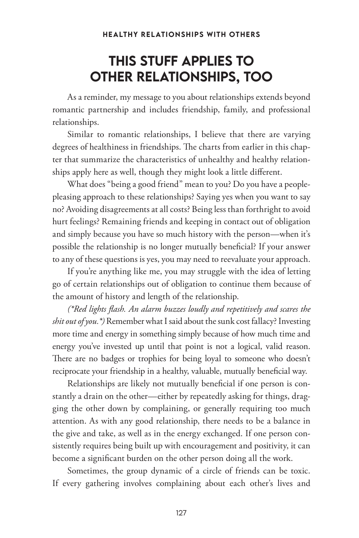### This Stuff Applies to Other Relationships, Too

As a reminder, my message to you about relationships extends beyond romantic partnership and includes friendship, family, and professional relationships.

Similar to romantic relationships, I believe that there are varying degrees of healthiness in friendships. The charts from earlier in this chapter that summarize the characteristics of unhealthy and healthy relationships apply here as well, though they might look a little different.

What does "being a good friend" mean to you? Do you have a peoplepleasing approach to these relationships? Saying yes when you want to say no? Avoiding disagreements at all costs? Being less than forthright to avoid hurt feelings? Remaining friends and keeping in contact out of obligation and simply because you have so much history with the person—when it's possible the relationship is no longer mutually beneficial? If your answer to any of these questions is yes, you may need to reevaluate your approach.

If you're anything like me, you may struggle with the idea of letting go of certain relationships out of obligation to continue them because of the amount of history and length of the relationship.

*(\*Red lights flash. An alarm buzzes loudly and repetitively and scares the shit out of you.\*)* Remember what I said about the sunk cost fallacy? Investing more time and energy in something simply because of how much time and energy you've invested up until that point is not a logical, valid reason. There are no badges or trophies for being loyal to someone who doesn't reciprocate your friendship in a healthy, valuable, mutually beneficial way.

Relationships are likely not mutually beneficial if one person is constantly a drain on the other—either by repeatedly asking for things, dragging the other down by complaining, or generally requiring too much attention. As with any good relationship, there needs to be a balance in the give and take, as well as in the energy exchanged. If one person consistently requires being built up with encouragement and positivity, it can become a significant burden on the other person doing all the work.

Sometimes, the group dynamic of a circle of friends can be toxic. If every gathering involves complaining about each other's lives and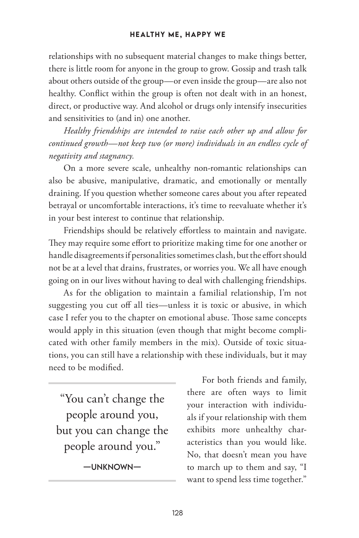relationships with no subsequent material changes to make things better, there is little room for anyone in the group to grow. Gossip and trash talk about others outside of the group—or even inside the group—are also not healthy. Conflict within the group is often not dealt with in an honest, direct, or productive way. And alcohol or drugs only intensify insecurities and sensitivities to (and in) one another.

*Healthy friendships are intended to raise each other up and allow for continued growth—not keep two (or more) individuals in an endless cycle of negativity and stagnancy.* 

On a more severe scale, unhealthy non-romantic relationships can also be abusive, manipulative, dramatic, and emotionally or mentally draining. If you question whether someone cares about you after repeated betrayal or uncomfortable interactions, it's time to reevaluate whether it's in your best interest to continue that relationship.

Friendships should be relatively effortless to maintain and navigate. They may require some effort to prioritize making time for one another or handle disagreements if personalities sometimes clash, but the effort should not be at a level that drains, frustrates, or worries you. We all have enough going on in our lives without having to deal with challenging friendships.

As for the obligation to maintain a familial relationship, I'm not suggesting you cut off all ties—unless it is toxic or abusive, in which case I refer you to the chapter on emotional abuse. Those same concepts would apply in this situation (even though that might become complicated with other family members in the mix). Outside of toxic situations, you can still have a relationship with these individuals, but it may need to be modified.

"You can't change the people around you, but you can change the people around you."

—Unknown—

For both friends and family, there are often ways to limit your interaction with individuals if your relationship with them exhibits more unhealthy characteristics than you would like. No, that doesn't mean you have to march up to them and say, "I want to spend less time together."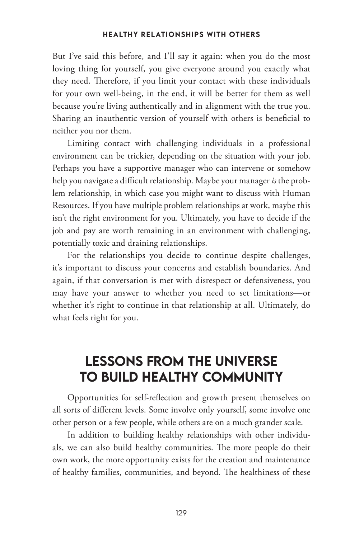But I've said this before, and I'll say it again: when you do the most loving thing for yourself, you give everyone around you exactly what they need. Therefore, if you limit your contact with these individuals for your own well-being, in the end, it will be better for them as well because you're living authentically and in alignment with the true you. Sharing an inauthentic version of yourself with others is beneficial to neither you nor them.

Limiting contact with challenging individuals in a professional environment can be trickier, depending on the situation with your job. Perhaps you have a supportive manager who can intervene or somehow help you navigate a difficult relationship. Maybe your manager *is* the problem relationship, in which case you might want to discuss with Human Resources. If you have multiple problem relationships at work, maybe this isn't the right environment for you. Ultimately, you have to decide if the job and pay are worth remaining in an environment with challenging, potentially toxic and draining relationships.

For the relationships you decide to continue despite challenges, it's important to discuss your concerns and establish boundaries. And again, if that conversation is met with disrespect or defensiveness, you may have your answer to whether you need to set limitations—or whether it's right to continue in that relationship at all. Ultimately, do what feels right for you.

### Lessons from the Universe to Build Healthy Community

Opportunities for self-reflection and growth present themselves on all sorts of different levels. Some involve only yourself, some involve one other person or a few people, while others are on a much grander scale.

In addition to building healthy relationships with other individuals, we can also build healthy communities. The more people do their own work, the more opportunity exists for the creation and maintenance of healthy families, communities, and beyond. The healthiness of these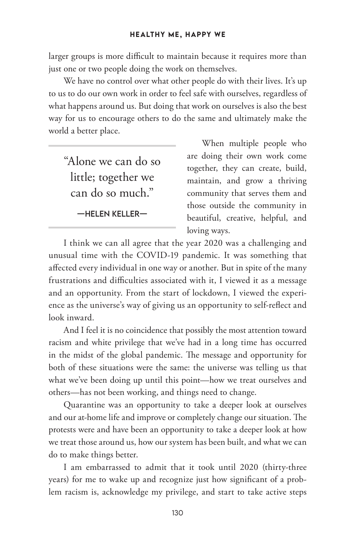larger groups is more difficult to maintain because it requires more than just one or two people doing the work on themselves.

We have no control over what other people do with their lives. It's up to us to do our own work in order to feel safe with ourselves, regardless of what happens around us. But doing that work on ourselves is also the best way for us to encourage others to do the same and ultimately make the world a better place.

"Alone we can do so little; together we can do so much."

—Helen Keller—

When multiple people who are doing their own work come together, they can create, build, maintain, and grow a thriving community that serves them and those outside the community in beautiful, creative, helpful, and loving ways.

I think we can all agree that the year 2020 was a challenging and unusual time with the COVID-19 pandemic. It was something that affected every individual in one way or another. But in spite of the many frustrations and difficulties associated with it, I viewed it as a message and an opportunity. From the start of lockdown, I viewed the experience as the universe's way of giving us an opportunity to self-reflect and look inward.

And I feel it is no coincidence that possibly the most attention toward racism and white privilege that we've had in a long time has occurred in the midst of the global pandemic. The message and opportunity for both of these situations were the same: the universe was telling us that what we've been doing up until this point—how we treat ourselves and others—has not been working, and things need to change.

Quarantine was an opportunity to take a deeper look at ourselves and our at-home life and improve or completely change our situation. The protests were and have been an opportunity to take a deeper look at how we treat those around us, how our system has been built, and what we can do to make things better.

I am embarrassed to admit that it took until 2020 (thirty-three years) for me to wake up and recognize just how significant of a problem racism is, acknowledge my privilege, and start to take active steps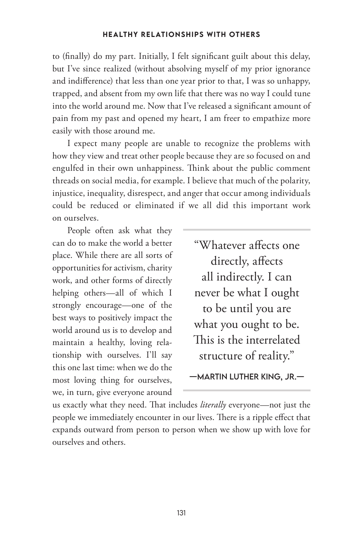to (finally) do my part. Initially, I felt significant guilt about this delay, but I've since realized (without absolving myself of my prior ignorance and indifference) that less than one year prior to that, I was so unhappy, trapped, and absent from my own life that there was no way I could tune into the world around me. Now that I've released a significant amount of pain from my past and opened my heart, I am freer to empathize more easily with those around me.

I expect many people are unable to recognize the problems with how they view and treat other people because they are so focused on and engulfed in their own unhappiness. Think about the public comment threads on social media, for example. I believe that much of the polarity, injustice, inequality, disrespect, and anger that occur among individuals could be reduced or eliminated if we all did this important work on ourselves.

People often ask what they can do to make the world a better place. While there are all sorts of opportunities for activism, charity work, and other forms of directly helping others—all of which I strongly encourage—one of the best ways to positively impact the world around us is to develop and maintain a healthy, loving relationship with ourselves. I'll say this one last time: when we do the most loving thing for ourselves, we, in turn, give everyone around

"Whatever affects one directly, affects all indirectly. I can never be what I ought to be until you are what you ought to be. This is the interrelated structure of reality."

—Martin Luther King, Jr.—

us exactly what they need. That includes *literally* everyone—not just the people we immediately encounter in our lives. There is a ripple effect that expands outward from person to person when we show up with love for ourselves and others.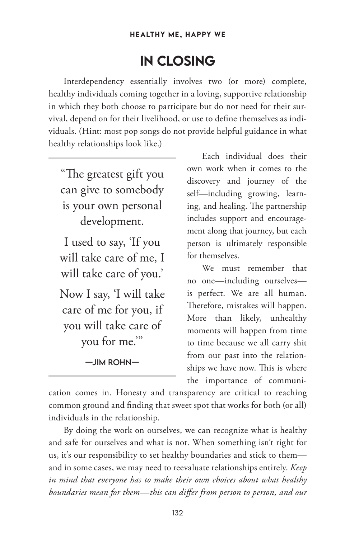### In Closing

Interdependency essentially involves two (or more) complete, healthy individuals coming together in a loving, supportive relationship in which they both choose to participate but do not need for their survival, depend on for their livelihood, or use to define themselves as individuals. (Hint: most pop songs do not provide helpful guidance in what healthy relationships look like.)

"The greatest gift you can give to somebody is your own personal development.

I used to say, 'If you will take care of me, I will take care of you.'

Now I say, 'I will take care of me for you, if you will take care of you for me.'"

—Jim Rohn—

Each individual does their own work when it comes to the discovery and journey of the self—including growing, learning, and healing. The partnership includes support and encouragement along that journey, but each person is ultimately responsible for themselves.

We must remember that no one—including ourselves is perfect. We are all human. Therefore, mistakes will happen. More than likely, unhealthy moments will happen from time to time because we all carry shit from our past into the relationships we have now. This is where the importance of communi-

cation comes in. Honesty and transparency are critical to reaching common ground and finding that sweet spot that works for both (or all) individuals in the relationship.

By doing the work on ourselves, we can recognize what is healthy and safe for ourselves and what is not. When something isn't right for us, it's our responsibility to set healthy boundaries and stick to them and in some cases, we may need to reevaluate relationships entirely. *Keep in mind that everyone has to make their own choices about what healthy boundaries mean for them—this can differ from person to person, and our*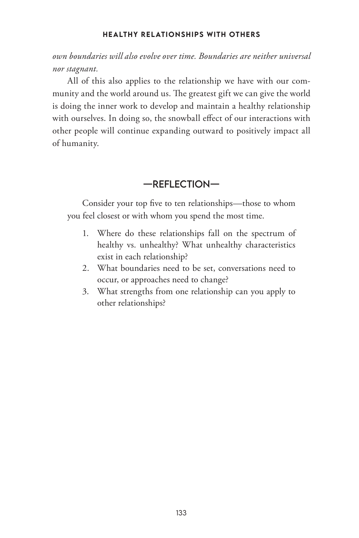*own boundaries will also evolve over time. Boundaries are neither universal nor stagnant.* 

All of this also applies to the relationship we have with our community and the world around us. The greatest gift we can give the world is doing the inner work to develop and maintain a healthy relationship with ourselves. In doing so, the snowball effect of our interactions with other people will continue expanding outward to positively impact all of humanity.

#### —REFLECTION—

Consider your top five to ten relationships—those to whom you feel closest or with whom you spend the most time.

- 1. Where do these relationships fall on the spectrum of healthy vs. unhealthy? What unhealthy characteristics exist in each relationship?
- 2. What boundaries need to be set, conversations need to occur, or approaches need to change?
- 3. What strengths from one relationship can you apply to other relationships?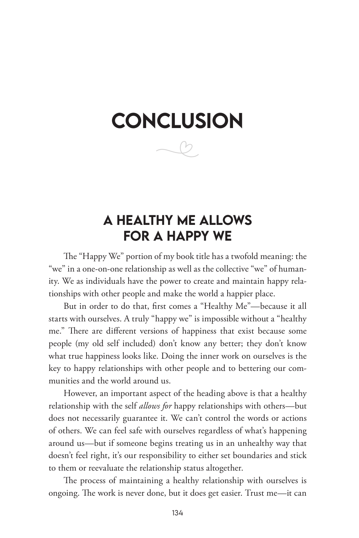# **CONCLUSION**  $\overline{\mathcal{L}}$



The "Happy We" portion of my book title has a twofold meaning: the "we" in a one-on-one relationship as well as the collective "we" of humanity. We as individuals have the power to create and maintain happy relationships with other people and make the world a happier place.

But in order to do that, first comes a "Healthy Me"—because it all starts with ourselves. A truly "happy we" is impossible without a "healthy me." There are different versions of happiness that exist because some people (my old self included) don't know any better; they don't know what true happiness looks like. Doing the inner work on ourselves is the key to happy relationships with other people and to bettering our communities and the world around us.

However, an important aspect of the heading above is that a healthy relationship with the self *allows for* happy relationships with others—but does not necessarily guarantee it. We can't control the words or actions of others. We can feel safe with ourselves regardless of what's happening around us—but if someone begins treating us in an unhealthy way that doesn't feel right, it's our responsibility to either set boundaries and stick to them or reevaluate the relationship status altogether.

The process of maintaining a healthy relationship with ourselves is ongoing. The work is never done, but it does get easier. Trust me—it can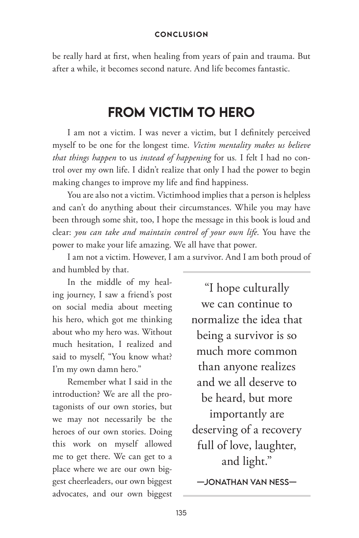be really hard at first, when healing from years of pain and trauma. But after a while, it becomes second nature. And life becomes fantastic.

# FROM VICTIM TO HERO

I am not a victim. I was never a victim, but I definitely perceived myself to be one for the longest time. *Victim mentality makes us believe that things happen* to us *instead of happening* for us*.* I felt I had no control over my own life. I didn't realize that only I had the power to begin making changes to improve my life and find happiness.

You are also not a victim. Victimhood implies that a person is helpless and can't do anything about their circumstances. While you may have been through some shit, too, I hope the message in this book is loud and clear: *you can take and maintain control of your own life*. You have the power to make your life amazing. We all have that power.

I am not a victim. However, I am a survivor. And I am both proud of and humbled by that.

In the middle of my healing journey, I saw a friend's post on social media about meeting his hero, which got me thinking about who my hero was. Without much hesitation, I realized and said to myself, "You know what? I'm my own damn hero."

Remember what I said in the introduction? We are all the protagonists of our own stories, but we may not necessarily be the heroes of our own stories. Doing this work on myself allowed me to get there. We can get to a place where we are our own biggest cheerleaders, our own biggest advocates, and our own biggest

"I hope culturally we can continue to normalize the idea that being a survivor is so much more common than anyone realizes and we all deserve to be heard, but more importantly are deserving of a recovery full of love, laughter, and light."

—Jonathan Van Ness—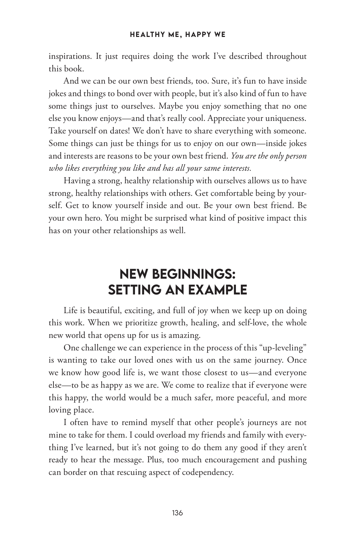inspirations. It just requires doing the work I've described throughout this book.

And we can be our own best friends, too. Sure, it's fun to have inside jokes and things to bond over with people, but it's also kind of fun to have some things just to ourselves. Maybe you enjoy something that no one else you know enjoys—and that's really cool. Appreciate your uniqueness. Take yourself on dates! We don't have to share everything with someone. Some things can just be things for us to enjoy on our own—inside jokes and interests are reasons to be your own best friend. *You are the only person who likes everything you like and has all your same interests.* 

Having a strong, healthy relationship with ourselves allows us to have strong, healthy relationships with others. Get comfortable being by yourself. Get to know yourself inside and out. Be your own best friend. Be your own hero. You might be surprised what kind of positive impact this has on your other relationships as well.

# New Beginnings: Setting an Example

Life is beautiful, exciting, and full of joy when we keep up on doing this work. When we prioritize growth, healing, and self-love, the whole new world that opens up for us is amazing.

One challenge we can experience in the process of this "up-leveling" is wanting to take our loved ones with us on the same journey. Once we know how good life is, we want those closest to us—and everyone else—to be as happy as we are. We come to realize that if everyone were this happy, the world would be a much safer, more peaceful, and more loving place.

I often have to remind myself that other people's journeys are not mine to take for them. I could overload my friends and family with everything I've learned, but it's not going to do them any good if they aren't ready to hear the message. Plus, too much encouragement and pushing can border on that rescuing aspect of codependency.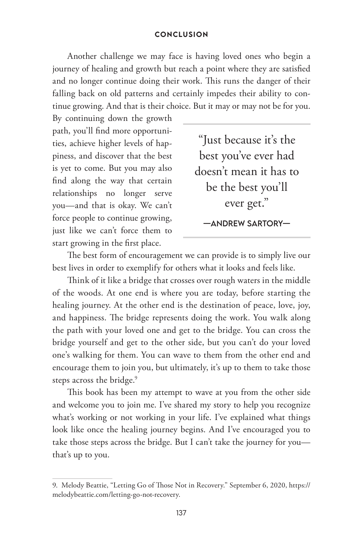Another challenge we may face is having loved ones who begin a journey of healing and growth but reach a point where they are satisfied and no longer continue doing their work. This runs the danger of their falling back on old patterns and certainly impedes their ability to continue growing. And that is their choice. But it may or may not be for you.

By continuing down the growth path, you'll find more opportunities, achieve higher levels of happiness, and discover that the best is yet to come. But you may also find along the way that certain relationships no longer serve you—and that is okay. We can't force people to continue growing, just like we can't force them to start growing in the first place.

"Just because it's the best you've ever had doesn't mean it has to be the best you'll ever get."

—Andrew Sartory—

The best form of encouragement we can provide is to simply live our best lives in order to exemplify for others what it looks and feels like.

Think of it like a bridge that crosses over rough waters in the middle of the woods. At one end is where you are today, before starting the healing journey. At the other end is the destination of peace, love, joy, and happiness. The bridge represents doing the work. You walk along the path with your loved one and get to the bridge. You can cross the bridge yourself and get to the other side, but you can't do your loved one's walking for them. You can wave to them from the other end and encourage them to join you, but ultimately, it's up to them to take those steps across the bridge.<sup>9</sup>

This book has been my attempt to wave at you from the other side and welcome you to join me. I've shared my story to help you recognize what's working or not working in your life. I've explained what things look like once the healing journey begins. And I've encouraged you to take those steps across the bridge. But I can't take the journey for you that's up to you.

<sup>9.</sup> Melody Beattie, "Letting Go of Those Not in Recovery." September 6, 2020, https:// melodybeattie.com/letting-go-not-recovery.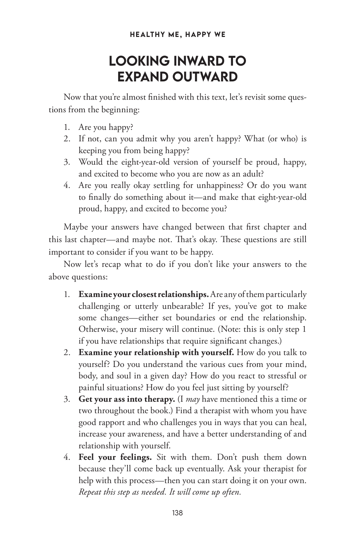# Looking Inward to Expand Outward

Now that you're almost finished with this text, let's revisit some questions from the beginning:

- 1. Are you happy?
- 2. If not, can you admit why you aren't happy? What (or who) is keeping you from being happy?
- 3. Would the eight-year-old version of yourself be proud, happy, and excited to become who you are now as an adult?
- 4. Are you really okay settling for unhappiness? Or do you want to finally do something about it—and make that eight-year-old proud, happy, and excited to become you?

Maybe your answers have changed between that first chapter and this last chapter—and maybe not. That's okay. These questions are still important to consider if you want to be happy.

Now let's recap what to do if you don't like your answers to the above questions:

- 1. **Examine your closest relationships.** Are any of them particularly challenging or utterly unbearable? If yes, you've got to make some changes—either set boundaries or end the relationship. Otherwise, your misery will continue. (Note: this is only step 1 if you have relationships that require significant changes.)
- 2. **Examine your relationship with yourself.** How do you talk to yourself? Do you understand the various cues from your mind, body, and soul in a given day? How do you react to stressful or painful situations? How do you feel just sitting by yourself?
- 3. **Get your ass into therapy.** (I *may* have mentioned this a time or two throughout the book.) Find a therapist with whom you have good rapport and who challenges you in ways that you can heal, increase your awareness, and have a better understanding of and relationship with yourself.
- 4. **Feel your feelings.** Sit with them. Don't push them down because they'll come back up eventually. Ask your therapist for help with this process—then you can start doing it on your own. *Repeat this step as needed. It will come up often.*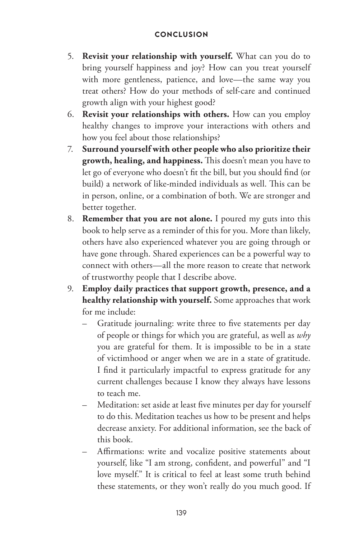- 5. **Revisit your relationship with yourself.** What can you do to bring yourself happiness and joy? How can you treat yourself with more gentleness, patience, and love—the same way you treat others? How do your methods of self-care and continued growth align with your highest good?
- 6. **Revisit your relationships with others.** How can you employ healthy changes to improve your interactions with others and how you feel about those relationships?
- 7. **Surround yourself with other people who also prioritize their growth, healing, and happiness.** This doesn't mean you have to let go of everyone who doesn't fit the bill, but you should find (or build) a network of like-minded individuals as well. This can be in person, online, or a combination of both. We are stronger and better together.
- 8. **Remember that you are not alone.** I poured my guts into this book to help serve as a reminder of this for you. More than likely, others have also experienced whatever you are going through or have gone through. Shared experiences can be a powerful way to connect with others—all the more reason to create that network of trustworthy people that I describe above.
- 9. **Employ daily practices that support growth, presence, and a healthy relationship with yourself.** Some approaches that work for me include:
	- Gratitude journaling: write three to five statements per day of people or things for which you are grateful, as well as *why*  you are grateful for them. It is impossible to be in a state of victimhood or anger when we are in a state of gratitude. I find it particularly impactful to express gratitude for any current challenges because I know they always have lessons to teach me.
	- Meditation: set aside at least five minutes per day for yourself to do this. Meditation teaches us how to be present and helps decrease anxiety. For additional information, see the back of this book.
	- Affirmations: write and vocalize positive statements about yourself, like "I am strong, confident, and powerful" and "I love myself." It is critical to feel at least some truth behind these statements, or they won't really do you much good. If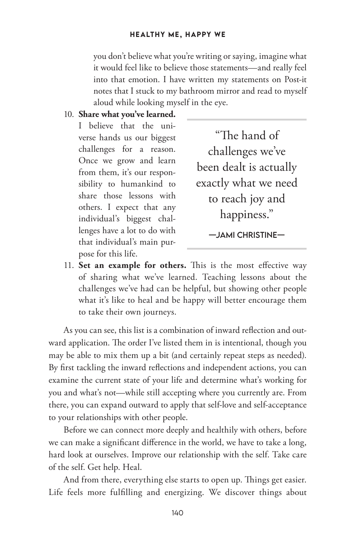you don't believe what you're writing or saying, imagine what it would feel like to believe those statements—and really feel into that emotion. I have written my statements on Post-it notes that I stuck to my bathroom mirror and read to myself aloud while looking myself in the eye.

### 10. **Share what you've learned.**

I believe that the universe hands us our biggest challenges for a reason. Once we grow and learn from them, it's our responsibility to humankind to share those lessons with others. I expect that any individual's biggest challenges have a lot to do with that individual's main purpose for this life.

"The hand of challenges we've been dealt is actually exactly what we need to reach joy and happiness."

—Jami Christine—

11. **Set an example for others.** This is the most effective way of sharing what we've learned. Teaching lessons about the challenges we've had can be helpful, but showing other people what it's like to heal and be happy will better encourage them to take their own journeys.

As you can see, this list is a combination of inward reflection and outward application. The order I've listed them in is intentional, though you may be able to mix them up a bit (and certainly repeat steps as needed). By first tackling the inward reflections and independent actions, you can examine the current state of your life and determine what's working for you and what's not—while still accepting where you currently are. From there, you can expand outward to apply that self-love and self-acceptance to your relationships with other people.

Before we can connect more deeply and healthily with others, before we can make a significant difference in the world, we have to take a long, hard look at ourselves. Improve our relationship with the self. Take care of the self. Get help. Heal.

And from there, everything else starts to open up. Things get easier. Life feels more fulfilling and energizing. We discover things about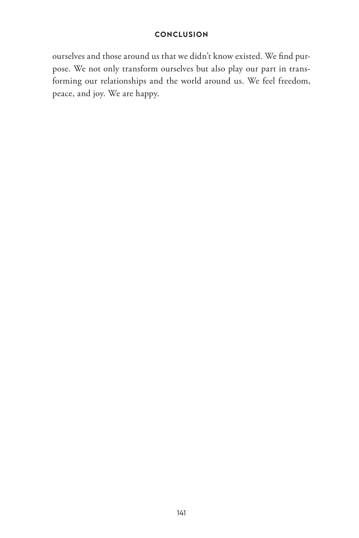ourselves and those around us that we didn't know existed. We find purpose. We not only transform ourselves but also play our part in transforming our relationships and the world around us. We feel freedom, peace, and joy. We are happy.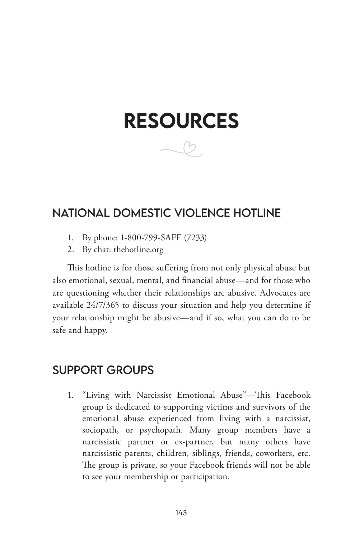# RESOURCES  $\overline{\mathcal{L}}$

## National Domestic Violence Hotline

- 1. By phone: 1-800-799-SAFE (7233)
- 2. By chat: thehotline.org

This hotline is for those suffering from not only physical abuse but also emotional, sexual, mental, and financial abuse—and for those who are questioning whether their relationships are abusive. Advocates are available 24/7/365 to discuss your situation and help you determine if your relationship might be abusive—and if so, what you can do to be safe and happy.

### Support Groups

1. "Living with Narcissist Emotional Abuse"—This Facebook group is dedicated to supporting victims and survivors of the emotional abuse experienced from living with a narcissist, sociopath, or psychopath. Many group members have a narcissistic partner or ex-partner, but many others have narcissistic parents, children, siblings, friends, coworkers, etc. The group is private, so your Facebook friends will not be able to see your membership or participation.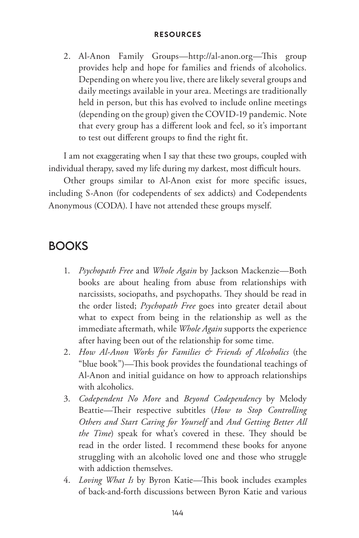#### RESOURCES

2. Al-Anon Family Groups—http://al-anon.org—This group provides help and hope for families and friends of alcoholics. Depending on where you live, there are likely several groups and daily meetings available in your area. Meetings are traditionally held in person, but this has evolved to include online meetings (depending on the group) given the COVID-19 pandemic. Note that every group has a different look and feel, so it's important to test out different groups to find the right fit.

I am not exaggerating when I say that these two groups, coupled with individual therapy, saved my life during my darkest, most difficult hours.

Other groups similar to Al-Anon exist for more specific issues, including S-Anon (for codependents of sex addicts) and Codependents Anonymous (CODA). I have not attended these groups myself.

# **BOOKS**

- 1. *Psychopath Free* and *Whole Again* by Jackson Mackenzie—Both books are about healing from abuse from relationships with narcissists, sociopaths, and psychopaths. They should be read in the order listed; *Psychopath Free* goes into greater detail about what to expect from being in the relationship as well as the immediate aftermath, while *Whole Again* supports the experience after having been out of the relationship for some time.
- 2. *How Al-Anon Works for Families & Friends of Alcoholics* (the "blue book")—This book provides the foundational teachings of Al-Anon and initial guidance on how to approach relationships with alcoholics.
- 3. *Codependent No More* and *Beyond Codependency* by Melody Beattie—Their respective subtitles (*How to Stop Controlling Others and Start Caring for Yourself* and *And Getting Better All the Time*) speak for what's covered in these. They should be read in the order listed. I recommend these books for anyone struggling with an alcoholic loved one and those who struggle with addiction themselves.
- 4. *Loving What Is* by Byron Katie—This book includes examples of back-and-forth discussions between Byron Katie and various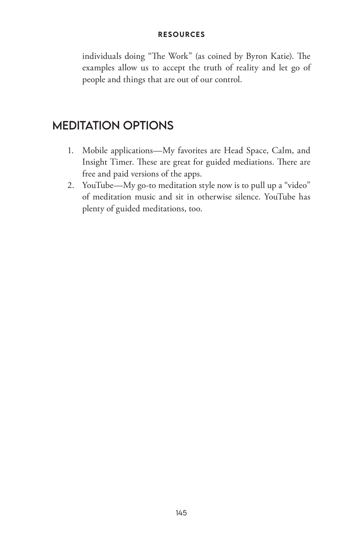#### RESOURCES

individuals doing "The Work" (as coined by Byron Katie). The examples allow us to accept the truth of reality and let go of people and things that are out of our control.

### Meditation Options

- 1. Mobile applications—My favorites are Head Space, Calm, and Insight Timer. These are great for guided mediations. There are free and paid versions of the apps.
- 2. YouTube—My go-to meditation style now is to pull up a "video" of meditation music and sit in otherwise silence. YouTube has plenty of guided meditations, too.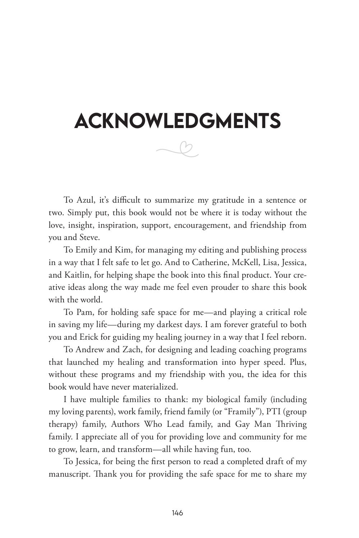# ACKNOWLEDGMENTS



To Azul, it's difficult to summarize my gratitude in a sentence or two. Simply put, this book would not be where it is today without the love, insight, inspiration, support, encouragement, and friendship from you and Steve.

To Emily and Kim, for managing my editing and publishing process in a way that I felt safe to let go. And to Catherine, McKell, Lisa, Jessica, and Kaitlin, for helping shape the book into this final product. Your creative ideas along the way made me feel even prouder to share this book with the world.

To Pam, for holding safe space for me—and playing a critical role in saving my life—during my darkest days. I am forever grateful to both you and Erick for guiding my healing journey in a way that I feel reborn.

To Andrew and Zach, for designing and leading coaching programs that launched my healing and transformation into hyper speed. Plus, without these programs and my friendship with you, the idea for this book would have never materialized.

I have multiple families to thank: my biological family (including my loving parents), work family, friend family (or "Framily"), PTI (group therapy) family, Authors Who Lead family, and Gay Man Thriving family. I appreciate all of you for providing love and community for me to grow, learn, and transform—all while having fun, too.

To Jessica, for being the first person to read a completed draft of my manuscript. Thank you for providing the safe space for me to share my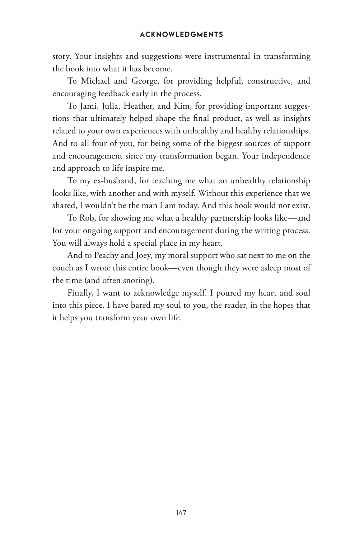#### ACKNOWLEDGMENTS

story. Your insights and suggestions were instrumental in transforming the book into what it has become.

To Michael and George, for providing helpful, constructive, and encouraging feedback early in the process.

To Jami, Julia, Heather, and Kim, for providing important suggestions that ultimately helped shape the final product, as well as insights related to your own experiences with unhealthy and healthy relationships. And to all four of you, for being some of the biggest sources of support and encouragement since my transformation began. Your independence and approach to life inspire me.

To my ex-husband, for teaching me what an unhealthy relationship looks like, with another and with myself. Without this experience that we shared, I wouldn't be the man I am today. And this book would not exist.

To Rob, for showing me what a healthy partnership looks like—and for your ongoing support and encouragement during the writing process. You will always hold a special place in my heart.

And to Peachy and Joey, my moral support who sat next to me on the couch as I wrote this entire book—even though they were asleep most of the time (and often snoring).

Finally, I want to acknowledge myself. I poured my heart and soul into this piece. I have bared my soul to you, the reader, in the hopes that it helps you transform your own life.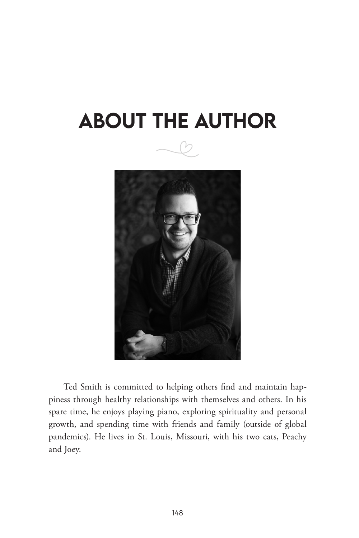# About the Author





Ted Smith is committed to helping others find and maintain happiness through healthy relationships with themselves and others. In his spare time, he enjoys playing piano, exploring spirituality and personal growth, and spending time with friends and family (outside of global pandemics). He lives in St. Louis, Missouri, with his two cats, Peachy and Joey.